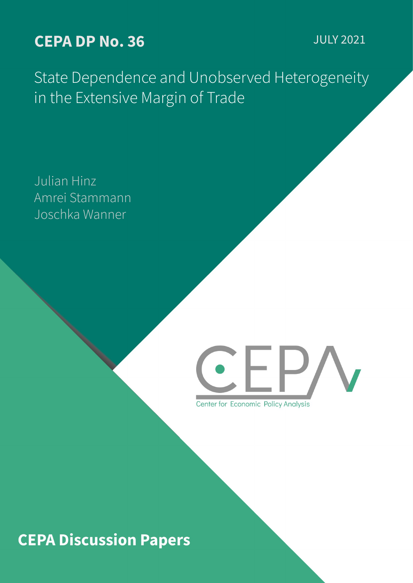# **CEPA DP No. 36** JULY 2021

State Dependence and Unobserved Heterogeneity in the Extensive Margin of Trade

Julian Hinz Amrei Stammann Joschka Wanner



Center for Economic Policy Analysis

# **CEPA Discussion Papers**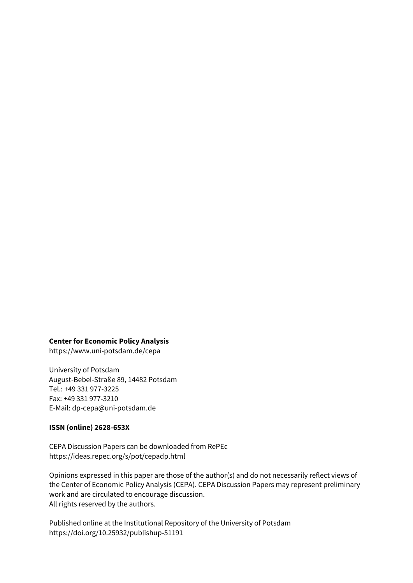#### **Center for Economic Policy Analysis**

https://www.uni-potsdam.de/cepa

University of Potsdam August-Bebel-Straße 89, 14482 Potsdam Tel.: +49 331 977-3225 Fax: +49 331 977-3210 E-Mail: dp-cepa@uni-potsdam.de

### **ISSN (online) 2628-653X**

CEPA Discussion Papers can be downloaded from RePEc https://ideas.repec.org/s/pot/cepadp.html

Opinions expressed in this paper are those of the author(s) and do not necessarily reflect views of the Center of Economic Policy Analysis (CEPA). CEPA Discussion Papers may represent preliminary work and are circulated to encourage discussion. All rights reserved by the authors.

Published online at the Institutional Repository of the University of Potsdam https://doi.org/10.25932/publishup-51191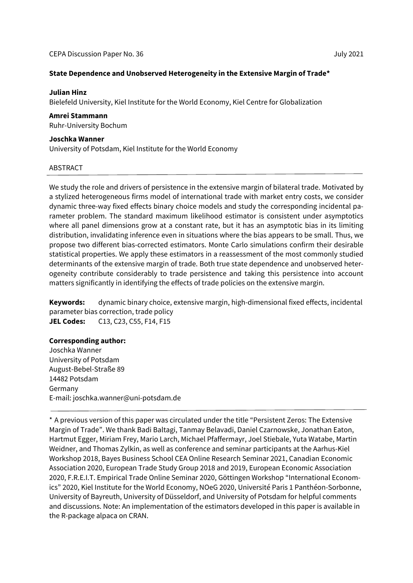#### **State Dependence and Unobserved Heterogeneity in the Extensive Margin of Trade\***

#### **Julian Hinz**

Bielefeld University, Kiel Institute for the World Economy, Kiel Centre for Globalization

#### **Amrei Stammann**

Ruhr-University Bochum

#### **Joschka Wanner**

University of Potsdam, Kiel Institute for the World Economy

#### ABSTRACT

We study the role and drivers of persistence in the extensive margin of bilateral trade. Motivated by a stylized heterogeneous firms model of international trade with market entry costs, we consider dynamic three-way fixed effects binary choice models and study the corresponding incidental parameter problem. The standard maximum likelihood estimator is consistent under asymptotics where all panel dimensions grow at a constant rate, but it has an asymptotic bias in its limiting distribution, invalidating inference even in situations where the bias appears to be small. Thus, we propose two different bias-corrected estimators. Monte Carlo simulations confirm their desirable statistical properties. We apply these estimators in a reassessment of the most commonly studied determinants of the extensive margin of trade. Both true state dependence and unobserved heterogeneity contribute considerably to trade persistence and taking this persistence into account matters significantly in identifying the effects of trade policies on the extensive margin.

**Keywords:** dynamic binary choice, extensive margin, high-dimensional fixed effects, incidental parameter bias correction, trade policy **JEL Codes:** C13, C23, C55, F14, F15

### **Corresponding author:**

Joschka Wanner University of Potsdam August-Bebel-Straße 89 14482 Potsdam Germany E-mail: joschka.wanner@uni-potsdam.de

<sup>\*</sup> A previous version of this paper was circulated under the title "Persistent Zeros: The Extensive Margin of Trade". We thank Badi Baltagi, Tanmay Belavadi, Daniel Czarnowske, Jonathan Eaton, Hartmut Egger, Miriam Frey, Mario Larch, Michael Pfaffermayr, Joel Stiebale, Yuta Watabe, Martin Weidner, and Thomas Zylkin, as well as conference and seminar participants at the Aarhus-Kiel Workshop 2018, Bayes Business School CEA Online Research Seminar 2021, Canadian Economic Association 2020, European Trade Study Group 2018 and 2019, European Economic Association 2020, F.R.E.I.T. Empirical Trade Online Seminar 2020, Göttingen Workshop "International Economics" 2020, Kiel Institute for the World Economy, NOeG 2020, Université Paris 1 Panthéon-Sorbonne, University of Bayreuth, University of Düsseldorf, and University of Potsdam for helpful comments and discussions. Note: An implementation of the estimators developed in this paper is available in the R-package alpaca on CRAN.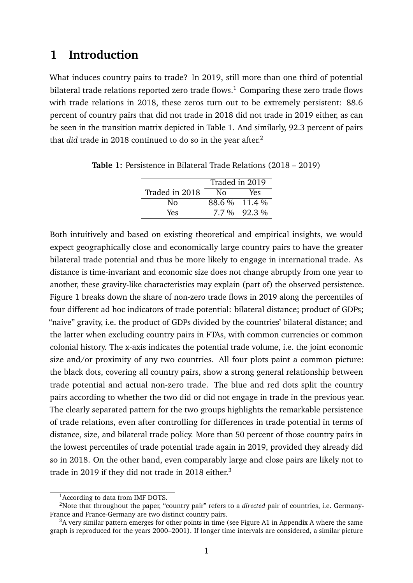# <span id="page-3-4"></span>**1 Introduction**

What induces country pairs to trade? In 2019, still more than one third of potential bilateral trade relations reported zero trade flows.<sup>[1](#page-3-0)</sup> Comparing these zero trade flows with trade relations in 2018, these zeros turn out to be extremely persistent: 88.6 percent of country pairs that did not trade in 2018 did not trade in 2019 either, as can be seen in the transition matrix depicted in Table [1.](#page-3-1) And similarly, 92.3 percent of pairs that *did* trade in [2](#page-3-2)018 continued to do so in the year after.<sup>2</sup>

|                | Traded in 2019 |               |
|----------------|----------------|---------------|
| Traded in 2018 | Nο             | Yes           |
| Nο             |                | 88.6 % 11.4 % |
| Yes            |                | 7.7 % 92.3 %  |

<span id="page-3-1"></span>**Table 1:** Persistence in Bilateral Trade Relations (2018 – 2019)

Both intuitively and based on existing theoretical and empirical insights, we would expect geographically close and economically large country pairs to have the greater bilateral trade potential and thus be more likely to engage in international trade. As distance is time-invariant and economic size does not change abruptly from one year to another, these gravity-like characteristics may explain (part of) the observed persistence. Figure [1](#page-4-0) breaks down the share of non-zero trade flows in 2019 along the percentiles of four different ad hoc indicators of trade potential: bilateral distance; product of GDPs; "naive" gravity, i.e. the product of GDPs divided by the countries' bilateral distance; and the latter when excluding country pairs in FTAs, with common currencies or common colonial history. The x-axis indicates the potential trade volume, i.e. the joint economic size and/or proximity of any two countries. All four plots paint a common picture: the black dots, covering all country pairs, show a strong general relationship between trade potential and actual non-zero trade. The blue and red dots split the country pairs according to whether the two did or did not engage in trade in the previous year. The clearly separated pattern for the two groups highlights the remarkable persistence of trade relations, even after controlling for differences in trade potential in terms of distance, size, and bilateral trade policy. More than 50 percent of those country pairs in the lowest percentiles of trade potential trade again in 2019, provided they already did so in 2018. On the other hand, even comparably large and close pairs are likely not to trade in 2019 if they did not trade in 2018 either.<sup>[3](#page-3-3)</sup>

<span id="page-3-2"></span><span id="page-3-0"></span><sup>&</sup>lt;sup>1</sup> According to data from IMF DOTS.

<sup>2</sup>Note that throughout the paper, "country pair" refers to a *directed* pair of countries, i.e. Germany-France and France-Germany are two distinct country pairs.

<span id="page-3-3"></span> $3A$  very similar pattern emerges for other points in time (see Figure [A1](#page-37-0) in [A](#page-37-1)ppendix A where the same graph is reproduced for the years 2000–2001). If longer time intervals are considered, a similar picture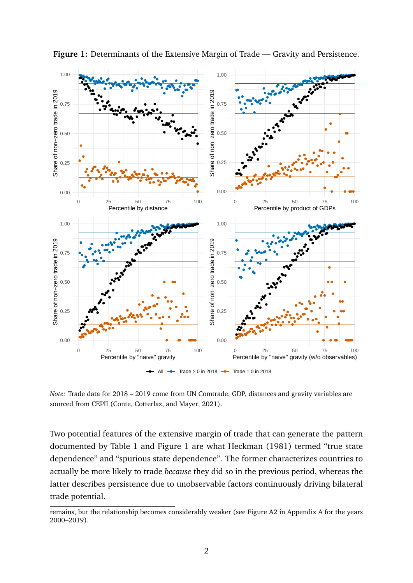

<span id="page-4-0"></span>**Figure 1:** Determinants of the Extensive Margin of Trade — Gravity and Persistence.

*Note:* Trade data for 2018 – 2019 come from UN Comtrade, GDP, distances and gravity variables are sourced from CEPII (Conte, Cotterlaz, and Mayer, [2021\)](#page-34-0).

Two potential features of the extensive margin of trade that can generate the pattern documented by Table [1](#page-3-1) and Figure [1](#page-4-0) are what Heckman [\(1981\)](#page-35-0) termed "true state dependence" and "spurious state dependence". The former characterizes countries to actually be more likely to trade *because* they did so in the previous period, whereas the latter describes persistence due to unobservable factors continuously driving bilateral trade potential.

remains, but the relationship becomes considerably weaker (see Figure [A2](#page-38-0) in Appendix [A](#page-37-1) for the years 2000–2019).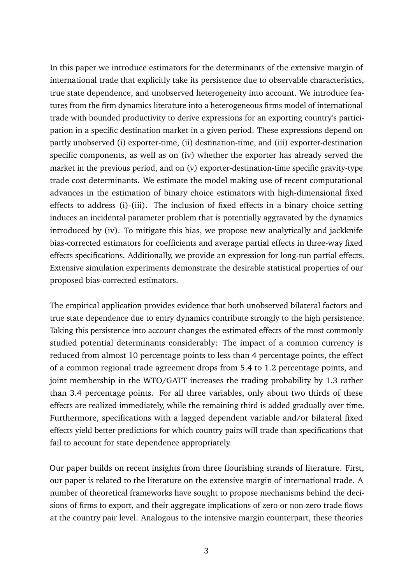In this paper we introduce estimators for the determinants of the extensive margin of international trade that explicitly take its persistence due to observable characteristics, true state dependence, and unobserved heterogeneity into account. We introduce features from the firm dynamics literature into a heterogeneous firms model of international trade with bounded productivity to derive expressions for an exporting country's participation in a specific destination market in a given period. These expressions depend on partly unobserved (i) exporter-time, (ii) destination-time, and (iii) exporter-destination specific components, as well as on (iv) whether the exporter has already served the market in the previous period, and on (v) exporter-destination-time specific gravity-type trade cost determinants. We estimate the model making use of recent computational advances in the estimation of binary choice estimators with high-dimensional fixed effects to address (i)-(iii). The inclusion of fixed effects in a binary choice setting induces an incidental parameter problem that is potentially aggravated by the dynamics introduced by (iv). To mitigate this bias, we propose new analytically and jackknife bias-corrected estimators for coefficients and average partial effects in three-way fixed effects specifications. Additionally, we provide an expression for long-run partial effects. Extensive simulation experiments demonstrate the desirable statistical properties of our proposed bias-corrected estimators.

The empirical application provides evidence that both unobserved bilateral factors and true state dependence due to entry dynamics contribute strongly to the high persistence. Taking this persistence into account changes the estimated effects of the most commonly studied potential determinants considerably: The impact of a common currency is reduced from almost 10 percentage points to less than 4 percentage points, the effect of a common regional trade agreement drops from 5.4 to 1.2 percentage points, and joint membership in the WTO/GATT increases the trading probability by 1.3 rather than 3.4 percentage points. For all three variables, only about two thirds of these effects are realized immediately, while the remaining third is added gradually over time. Furthermore, specifications with a lagged dependent variable and/or bilateral fixed effects yield better predictions for which country pairs will trade than specifications that fail to account for state dependence appropriately.

Our paper builds on recent insights from three flourishing strands of literature. First, our paper is related to the literature on the extensive margin of international trade. A number of theoretical frameworks have sought to propose mechanisms behind the decisions of firms to export, and their aggregate implications of zero or non-zero trade flows at the country pair level. Analogous to the intensive margin counterpart, these theories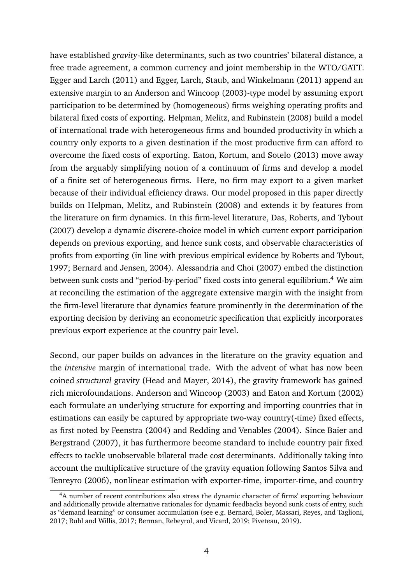have established *gravity*-like determinants, such as two countries' bilateral distance, a free trade agreement, a common currency and joint membership in the WTO/GATT. Egger and Larch [\(2011\)](#page-35-1) and Egger, Larch, Staub, and Winkelmann [\(2011\)](#page-35-2) append an extensive margin to an Anderson and Wincoop [\(2003\)](#page-34-1)-type model by assuming export participation to be determined by (homogeneous) firms weighing operating profits and bilateral fixed costs of exporting. Helpman, Melitz, and Rubinstein [\(2008\)](#page-36-0) build a model of international trade with heterogeneous firms and bounded productivity in which a country only exports to a given destination if the most productive firm can afford to overcome the fixed costs of exporting. Eaton, Kortum, and Sotelo [\(2013\)](#page-35-3) move away from the arguably simplifying notion of a continuum of firms and develop a model of a finite set of heterogeneous firms. Here, no firm may export to a given market because of their individual efficiency draws. Our model proposed in this paper directly builds on Helpman, Melitz, and Rubinstein [\(2008\)](#page-36-0) and extends it by features from the literature on firm dynamics. In this firm-level literature, Das, Roberts, and Tybout [\(2007\)](#page-34-2) develop a dynamic discrete-choice model in which current export participation depends on previous exporting, and hence sunk costs, and observable characteristics of profits from exporting (in line with previous empirical evidence by Roberts and Tybout, [1997;](#page-36-1) Bernard and Jensen, [2004\)](#page-34-3). Alessandria and Choi [\(2007\)](#page-34-4) embed the distinction between sunk costs and "period-by-period" fixed costs into general equilibrium.<sup>[4](#page-6-0)</sup> We aim at reconciling the estimation of the aggregate extensive margin with the insight from the firm-level literature that dynamics feature prominently in the determination of the exporting decision by deriving an econometric specification that explicitly incorporates previous export experience at the country pair level.

Second, our paper builds on advances in the literature on the gravity equation and the *intensive* margin of international trade. With the advent of what has now been coined *structural* gravity (Head and Mayer, [2014\)](#page-35-4), the gravity framework has gained rich microfoundations. Anderson and Wincoop [\(2003\)](#page-34-1) and Eaton and Kortum [\(2002\)](#page-34-5) each formulate an underlying structure for exporting and importing countries that in estimations can easily be captured by appropriate two-way country(-time) fixed effects, as first noted by Feenstra [\(2004\)](#page-35-5) and Redding and Venables [\(2004\)](#page-36-2). Since Baier and Bergstrand [\(2007\)](#page-34-6), it has furthermore become standard to include country pair fixed effects to tackle unobservable bilateral trade cost determinants. Additionally taking into account the multiplicative structure of the gravity equation following Santos Silva and Tenreyro [\(2006\)](#page-36-3), nonlinear estimation with exporter-time, importer-time, and country

<span id="page-6-0"></span><sup>&</sup>lt;sup>4</sup>A number of recent contributions also stress the dynamic character of firms' exporting behaviour and additionally provide alternative rationales for dynamic feedbacks beyond sunk costs of entry, such as "demand learning" or consumer accumulation (see e.g. Bernard, Bøler, Massari, Reyes, and Taglioni, [2017;](#page-34-7) Ruhl and Willis, [2017;](#page-36-4) Berman, Rebeyrol, and Vicard, [2019;](#page-34-8) Piveteau, [2019\)](#page-36-5).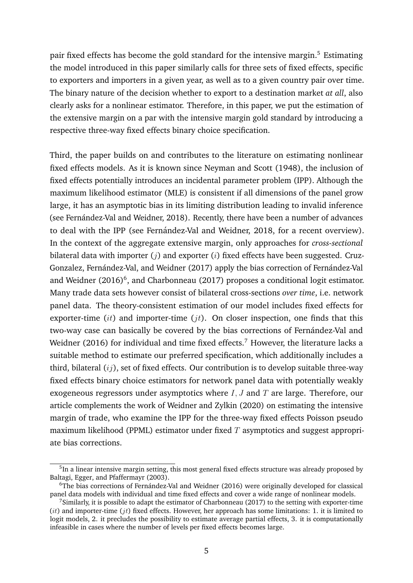pair fixed effects has become the gold standard for the intensive margin.[5](#page-7-0) Estimating the model introduced in this paper similarly calls for three sets of fixed effects, specific to exporters and importers in a given year, as well as to a given country pair over time. The binary nature of the decision whether to export to a destination market *at all*, also clearly asks for a nonlinear estimator. Therefore, in this paper, we put the estimation of the extensive margin on a par with the intensive margin gold standard by introducing a respective three-way fixed effects binary choice specification.

Third, the paper builds on and contributes to the literature on estimating nonlinear fixed effects models. As it is known since Neyman and Scott [\(1948\)](#page-36-6), the inclusion of fixed effects potentially introduces an incidental parameter problem (IPP). Although the maximum likelihood estimator (MLE) is consistent if all dimensions of the panel grow large, it has an asymptotic bias in its limiting distribution leading to invalid inference (see Fernández-Val and Weidner, [2018\)](#page-35-6). Recently, there have been a number of advances to deal with the IPP (see Fernández-Val and Weidner, [2018,](#page-35-6) for a recent overview). In the context of the aggregate extensive margin, only approaches for *cross-sectional* bilateral data with importer  $(j)$  and exporter  $(i)$  fixed effects have been suggested. Cruz-Gonzalez, Fernández-Val, and Weidner [\(2017\)](#page-34-9) apply the bias correction of Fernández-Val and Weidner [\(2016\)](#page-35-7)<sup>[6](#page-7-1)</sup>, and Charbonneau [\(2017\)](#page-34-10) proposes a conditional logit estimator. Many trade data sets however consist of bilateral cross-sections *over time*, i.e. network panel data. The theory-consistent estimation of our model includes fixed effects for exporter-time  $(it)$  and importer-time  $(jt)$ . On closer inspection, one finds that this two-way case can basically be covered by the bias corrections of Fernández-Val and Weidner [\(2016\)](#page-35-7) for individual and time fixed effects.<sup>[7](#page-7-2)</sup> However, the literature lacks a suitable method to estimate our preferred specification, which additionally includes a third, bilateral  $(i)$ , set of fixed effects. Our contribution is to develop suitable three-way fixed effects binary choice estimators for network panel data with potentially weakly exogeneous regressors under asymptotics where  $I, J$  and  $T$  are large. Therefore, our article complements the work of Weidner and Zylkin [\(2020\)](#page-36-7) on estimating the intensive margin of trade, who examine the IPP for the three-way fixed effects Poisson pseudo maximum likelihood (PPML) estimator under fixed  $T$  asymptotics and suggest appropriate bias corrections.

<span id="page-7-0"></span><sup>&</sup>lt;sup>5</sup>In a linear intensive margin setting, this most general fixed effects structure was already proposed by Baltagi, Egger, and Pfaffermayr [\(2003\)](#page-34-11).

<span id="page-7-1"></span> $6$ The bias corrections of Fernández-Val and Weidner [\(2016\)](#page-35-7) were originally developed for classical panel data models with individual and time fixed effects and cover a wide range of nonlinear models.

<span id="page-7-2"></span><sup>7</sup>Similarly, it is possible to adapt the estimator of Charbonneau [\(2017\)](#page-34-10) to the setting with exporter-time  $(it)$  and importer-time (*jt*) fixed effects. However, her approach has some limitations: 1. it is limited to logit models, 2. it precludes the possibility to estimate average partial effects, 3. it is computationally infeasible in cases where the number of levels per fixed effects becomes large.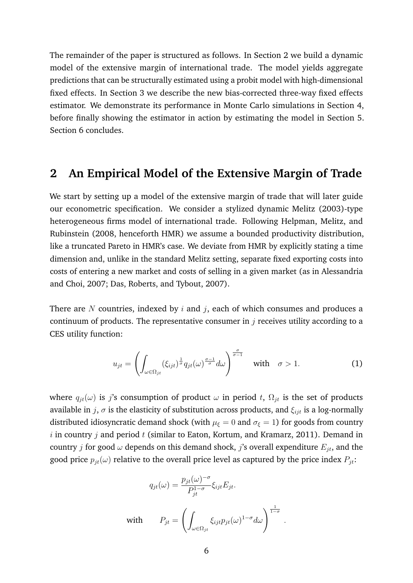The remainder of the paper is structured as follows. In Section [2](#page-8-0) we build a dynamic model of the extensive margin of international trade. The model yields aggregate predictions that can be structurally estimated using a probit model with high-dimensional fixed effects. In Section [3](#page-12-0) we describe the new bias-corrected three-way fixed effects estimator. We demonstrate its performance in Monte Carlo simulations in Section [4,](#page-20-0) before finally showing the estimator in action by estimating the model in Section [5.](#page-24-0) Section [6](#page-33-0) concludes.

# <span id="page-8-0"></span>**2 An Empirical Model of the Extensive Margin of Trade**

We start by setting up a model of the extensive margin of trade that will later guide our econometric specification. We consider a stylized dynamic Melitz [\(2003\)](#page-36-8)-type heterogeneous firms model of international trade. Following Helpman, Melitz, and Rubinstein [\(2008,](#page-36-0) henceforth HMR) we assume a bounded productivity distribution, like a truncated Pareto in HMR's case. We deviate from HMR by explicitly stating a time dimension and, unlike in the standard Melitz setting, separate fixed exporting costs into costs of entering a new market and costs of selling in a given market (as in Alessandria and Choi, [2007;](#page-34-4) Das, Roberts, and Tybout, [2007\)](#page-34-2).

There are  $N$  countries, indexed by  $i$  and  $j$ , each of which consumes and produces a continuum of products. The representative consumer in  $j$  receives utility according to a CES utility function:

$$
u_{jt} = \left(\int_{\omega \in \Omega_{jt}} (\xi_{ijt})^{\frac{1}{\sigma}} q_{jt}(\omega)^{\frac{\sigma-1}{\sigma}} d\omega\right)^{\frac{\sigma}{\sigma-1}} \quad \text{with} \quad \sigma > 1.
$$
 (1)

.

where  $q_{it}(\omega)$  is j's consumption of product  $\omega$  in period t,  $\Omega_{it}$  is the set of products available in j,  $\sigma$  is the elasticity of substitution across products, and  $\xi_{ijt}$  is a log-normally distributed idiosyncratic demand shock (with  $\mu_{\xi} = 0$  and  $\sigma_{\xi} = 1$ ) for goods from country i in country j and period  $t$  (similar to Eaton, Kortum, and Kramarz, [2011\)](#page-35-8). Demand in country *j* for good  $\omega$  depends on this demand shock, *j*'s overall expenditure  $E_{jt}$ , and the good price  $p_{it}(\omega)$  relative to the overall price level as captured by the price index  $P_{it}$ :

$$
q_{jt}(\omega) = \frac{p_{jt}(\omega)^{-\sigma}}{P_{jt}^{1-\sigma}} \xi_{ijt} E_{jt}.
$$
  
with 
$$
P_{jt} = \left( \int_{\omega \in \Omega_{jt}} \xi_{ijt} p_{jt}(\omega)^{1-\sigma} d\omega \right)^{\frac{1}{1-\sigma}}
$$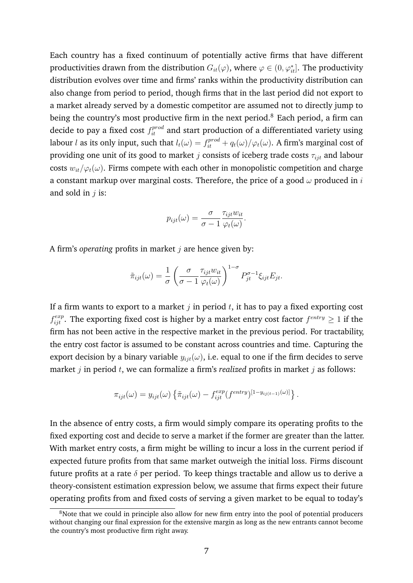Each country has a fixed continuum of potentially active firms that have different productivities drawn from the distribution  $G_{it}(\varphi)$ , where  $\varphi \in (0,\varphi_{it}^*]$ . The productivity distribution evolves over time and firms' ranks within the productivity distribution can also change from period to period, though firms that in the last period did not export to a market already served by a domestic competitor are assumed not to directly jump to being the country's most productive firm in the next period.<sup>[8](#page-9-0)</sup> Each period, a firm can decide to pay a fixed cost  $f_{it}^{prod}$  and start production of a differentiated variety using labour  $l$  as its only input, such that  $l_t(\omega) = f_{it}^{prod} + q_t(\omega) / \varphi_t(\omega)$ . A firm's marginal cost of providing one unit of its good to market *j* consists of iceberg trade costs  $\tau_{ijt}$  and labour costs  $w_{it}/\varphi_t(\omega)$ . Firms compete with each other in monopolistic competition and charge a constant markup over marginal costs. Therefore, the price of a good  $\omega$  produced in i and sold in  $j$  is:

$$
p_{ijt}(\omega) = \frac{\sigma}{\sigma - 1} \frac{\tau_{ijt} w_{it}}{\varphi_t(\omega)}.
$$

A firm's *operating* profits in market *j* are hence given by:

$$
\tilde{\pi}_{ijt}(\omega) = \frac{1}{\sigma} \left( \frac{\sigma}{\sigma - 1} \frac{\tau_{ijt} w_{it}}{\varphi_t(\omega)} \right)^{1 - \sigma} P_{jt}^{\sigma - 1} \xi_{ijt} E_{jt}.
$$

If a firm wants to export to a market  $j$  in period  $t$ , it has to pay a fixed exporting cost  $f_{ijt}^{exp}$ . The exporting fixed cost is higher by a market entry cost factor  $f^{entry} \ge 1$  if the firm has not been active in the respective market in the previous period. For tractability, the entry cost factor is assumed to be constant across countries and time. Capturing the export decision by a binary variable  $y_{ijt}(\omega)$ , i.e. equal to one if the firm decides to serve market  $j$  in period  $t$ , we can formalize a firm's *realized* profits in market  $j$  as follows:

$$
\pi_{ijt}(\omega) = y_{ijt}(\omega) \left\{ \tilde{\pi}_{ijt}(\omega) - f_{ijt}^{exp}(f^{entry})^{[1-y_{ij(t-1)}(\omega)]} \right\}.
$$

In the absence of entry costs, a firm would simply compare its operating profits to the fixed exporting cost and decide to serve a market if the former are greater than the latter. With market entry costs, a firm might be willing to incur a loss in the current period if expected future profits from that same market outweigh the initial loss. Firms discount future profits at a rate  $\delta$  per period. To keep things tractable and allow us to derive a theory-consistent estimation expression below, we assume that firms expect their future operating profits from and fixed costs of serving a given market to be equal to today's

<span id="page-9-0"></span><sup>&</sup>lt;sup>8</sup>Note that we could in principle also allow for new firm entry into the pool of potential producers without changing our final expression for the extensive margin as long as the new entrants cannot become the country's most productive firm right away.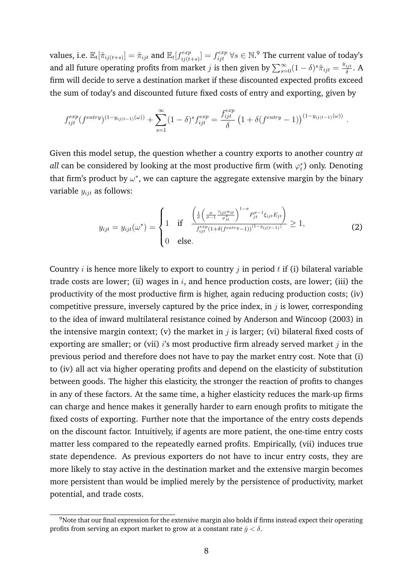values, i.e.  $\mathbb{E}_t[\tilde{\pi}_{ij(t+s)}] = \tilde{\pi}_{ijt}$  and  $\mathbb{E}_t[f_{ij(t)}^{exp}]$  $\mathcal{E}^{exp}_{ij(t+s)}] = f^{exp}_{ijt}$   $\forall s \in \mathbb{N}.^9$  $\forall s \in \mathbb{N}.^9$  The current value of today's and all future operating profits from market *j* is then given by  $\sum_{s=0}^{\infty} (1-\delta)^s \tilde{\pi}_{ijt} = \frac{\tilde{\pi}_{ijt}}{\delta}$  $\frac{ijt}{\delta}$ . A firm will decide to serve a destination market if these discounted expected profits exceed the sum of today's and discounted future fixed costs of entry and exporting, given by

$$
f_{ijt}^{exp}(f^{entry})^{(1-y_{ij(t-1)}(\omega))} + \sum_{s=1}^{\infty} (1-\delta)^s f_{ijt}^{exp} = \frac{f_{ijt}^{exp}}{\delta} (1+\delta(f^{entry}-1))^{(1-y_{ij(t-1)}(\omega))}.
$$

Given this model setup, the question whether a country exports to another country *at all* can be considered by looking at the most productive firm (with  $\varphi_t^*$ ) only. Denoting that firm's product by  $\omega^*$ , we can capture the aggregate extensive margin by the binary variable  $y_{ijt}$  as follows:

<span id="page-10-1"></span>
$$
y_{ijt} = y_{ijt}(\omega^*) = \begin{cases} 1 & \text{if } \frac{\left(\frac{1}{\sigma}\left(\frac{\sigma}{\sigma-1} \frac{\tau_{ijt}w_{it}}{\varphi_{it}^*}\right)^{1-\sigma} P_{jt}^{\sigma-1} \xi_{ijt} E_{jt}\right)}{f_{ijt}^{exp}(1+\delta(f^{entry}-1))^{(1-y_{ij}(t-1))}} \ge 1, \\ 0 & \text{else.} \end{cases}
$$
(2)

Country  $i$  is hence more likely to export to country  $j$  in period  $t$  if (i) bilateral variable trade costs are lower; (ii) wages in  $i$ , and hence production costs, are lower; (iii) the productivity of the most productive firm is higher, again reducing production costs; (iv) competitive pressure, inversely captured by the price index, in  $j$  is lower, corresponding to the idea of inward multilateral resistance coined by Anderson and Wincoop [\(2003\)](#page-34-1) in the intensive margin context; (v) the market in  $j$  is larger; (vi) bilateral fixed costs of exporting are smaller; or (vii) is most productive firm already served market  $j$  in the previous period and therefore does not have to pay the market entry cost. Note that (i) to (iv) all act via higher operating profits and depend on the elasticity of substitution between goods. The higher this elasticity, the stronger the reaction of profits to changes in any of these factors. At the same time, a higher elasticity reduces the mark-up firms can charge and hence makes it generally harder to earn enough profits to mitigate the fixed costs of exporting. Further note that the importance of the entry costs depends on the discount factor. Intuitively, if agents are more patient, the one-time entry costs matter less compared to the repeatedly earned profits. Empirically, (vii) induces true state dependence. As previous exporters do not have to incur entry costs, they are more likely to stay active in the destination market and the extensive margin becomes more persistent than would be implied merely by the persistence of productivity, market potential, and trade costs.

<span id="page-10-0"></span><sup>9</sup>Note that our final expression for the extensive margin also holds if firms instead expect their operating profits from serving an export market to grow at a constant rate  $\bar{q} < \delta$ .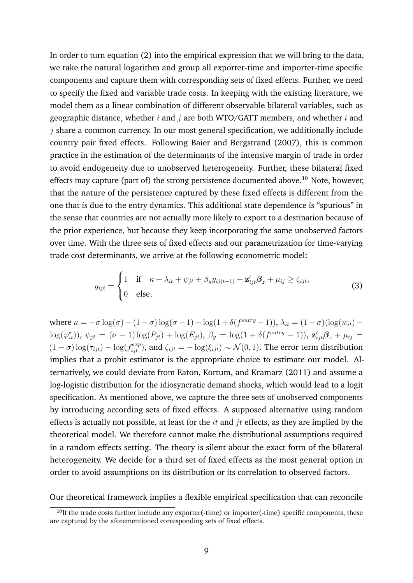In order to turn equation [\(2\)](#page-10-1) into the empirical expression that we will bring to the data, we take the natural logarithm and group all exporter-time and importer-time specific components and capture them with corresponding sets of fixed effects. Further, we need to specify the fixed and variable trade costs. In keeping with the existing literature, we model them as a linear combination of different observable bilateral variables, such as geographic distance, whether i and j are both WTO/GATT members, and whether i and  $j$  share a common currency. In our most general specification, we additionally include country pair fixed effects. Following Baier and Bergstrand [\(2007\)](#page-34-6), this is common practice in the estimation of the determinants of the intensive margin of trade in order to avoid endogeneity due to unobserved heterogeneity. Further, these bilateral fixed effects may capture (part of) the strong persistence documented above.<sup>[10](#page-11-0)</sup> Note, however, that the nature of the persistence captured by these fixed effects is different from the one that is due to the entry dynamics. This additional state dependence is "spurious" in the sense that countries are not actually more likely to export to a destination because of the prior experience, but because they keep incorporating the same unobserved factors over time. With the three sets of fixed effects and our parametrization for time-varying trade cost determinants, we arrive at the following econometric model:

<span id="page-11-1"></span>
$$
y_{ijt} = \begin{cases} 1 & \text{if } \kappa + \lambda_{it} + \psi_{jt} + \beta_y y_{ij(t-1)} + \mathbf{z}'_{ijt} \mathbf{\beta}_z + \mu_{ij} \ge \zeta_{ijt}, \\ 0 & \text{else,} \end{cases}
$$
(3)

where  $\kappa = -\sigma \log(\sigma) - (1 - \sigma) \log(\sigma - 1) - \log(1 + \delta(f^{entry} - 1)), \lambda_{it} = (1 - \sigma) (\log(w_{it})$  $log(\varphi_{it}^*))$ ,  $\psi_{jt} = (\sigma - 1)log(P_{jt}) + log(E_{jt})$ ,  $\beta_y = log(1 + \delta(f^{entry} - 1))$ ,  $\mathbf{z}_{ijt}'\mathbf{\beta}_z + \mu_{ij} =$  $(1-\sigma)\log(\tau_{ijt}) - \log(f_{ijt}^{exp})$ , and  $\zeta_{ijt} = -\log(\xi_{ijt}) \sim \mathcal{N}(0, 1)$ . The error term distribution implies that a probit estimator is the appropriate choice to estimate our model. Alternatively, we could deviate from Eaton, Kortum, and Kramarz [\(2011\)](#page-35-8) and assume a log-logistic distribution for the idiosyncratic demand shocks, which would lead to a logit specification. As mentioned above, we capture the three sets of unobserved components by introducing according sets of fixed effects. A supposed alternative using random effects is actually not possible, at least for the  $it$  and  $jt$  effects, as they are implied by the theoretical model. We therefore cannot make the distributional assumptions required in a random effects setting. The theory is silent about the exact form of the bilateral heterogeneity. We decide for a third set of fixed effects as the most general option in order to avoid assumptions on its distribution or its correlation to observed factors.

Our theoretical framework implies a flexible empirical specification that can reconcile

<span id="page-11-0"></span> $10$ If the trade costs further include any exporter(-time) or importer(-time) specific components, these are captured by the aforementioned corresponding sets of fixed effects.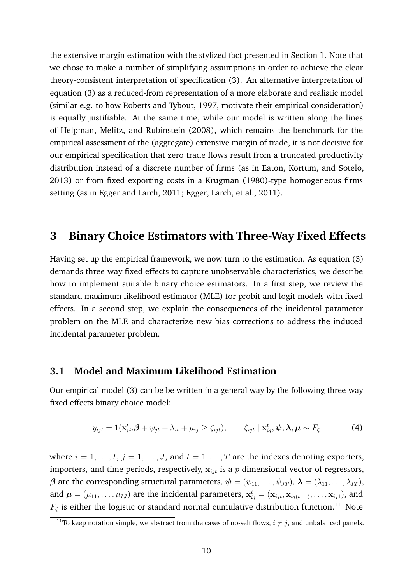the extensive margin estimation with the stylized fact presented in Section [1.](#page-3-4) Note that we chose to make a number of simplifying assumptions in order to achieve the clear theory-consistent interpretation of specification [\(3\)](#page-11-1). An alternative interpretation of equation [\(3\)](#page-11-1) as a reduced-from representation of a more elaborate and realistic model (similar e.g. to how Roberts and Tybout, [1997,](#page-36-1) motivate their empirical consideration) is equally justifiable. At the same time, while our model is written along the lines of Helpman, Melitz, and Rubinstein [\(2008\)](#page-36-0), which remains the benchmark for the empirical assessment of the (aggregate) extensive margin of trade, it is not decisive for our empirical specification that zero trade flows result from a truncated productivity distribution instead of a discrete number of firms (as in Eaton, Kortum, and Sotelo, [2013\)](#page-35-3) or from fixed exporting costs in a Krugman [\(1980\)](#page-36-9)-type homogeneous firms setting (as in Egger and Larch, [2011;](#page-35-1) Egger, Larch, et al., [2011\)](#page-35-2).

# <span id="page-12-0"></span>**3 Binary Choice Estimators with Three-Way Fixed Effects**

Having set up the empirical framework, we now turn to the estimation. As equation [\(3\)](#page-11-1) demands three-way fixed effects to capture unobservable characteristics, we describe how to implement suitable binary choice estimators. In a first step, we review the standard maximum likelihood estimator (MLE) for probit and logit models with fixed effects. In a second step, we explain the consequences of the incidental parameter problem on the MLE and characterize new bias corrections to address the induced incidental parameter problem.

## **3.1 Model and Maximum Likelihood Estimation**

Our empirical model [\(3\)](#page-11-1) can be be written in a general way by the following three-way fixed effects binary choice model:

$$
y_{ijt} = 1(\mathbf{x}'_{ijt}\boldsymbol{\beta} + \psi_{jt} + \lambda_{it} + \mu_{ij} \ge \zeta_{ijt}), \qquad \zeta_{ijt} \mid \mathbf{x}^t_{ij}, \boldsymbol{\psi}, \boldsymbol{\lambda}, \boldsymbol{\mu} \sim F_{\zeta}
$$
 (4)

where  $i = 1, \ldots, I$ ,  $j = 1, \ldots, J$ , and  $t = 1, \ldots, T$  are the indexes denoting exporters, importers, and time periods, respectively,  $x_{i,jt}$  is a *p*-dimensional vector of regressors,  $\beta$  are the corresponding structural parameters,  $\psi = (\psi_{11}, \dots, \psi_{JT})$ ,  $\lambda = (\lambda_{11}, \dots, \lambda_{IT})$ , and  $\mu = (\mu_{11}, \dots, \mu_{IJ})$  are the incidental parameters,  $\mathbf{x}_{ij}^t = (\mathbf{x}_{ijt}, \mathbf{x}_{ij(t-1)}, \dots, \mathbf{x}_{ij1})$ , and  $F_{\zeta}$  is either the logistic or standard normal cumulative distribution function.<sup>[11](#page-12-1)</sup> Note

<span id="page-12-1"></span><sup>&</sup>lt;sup>11</sup>To keep notation simple, we abstract from the cases of no-self flows,  $i \neq j$ , and unbalanced panels.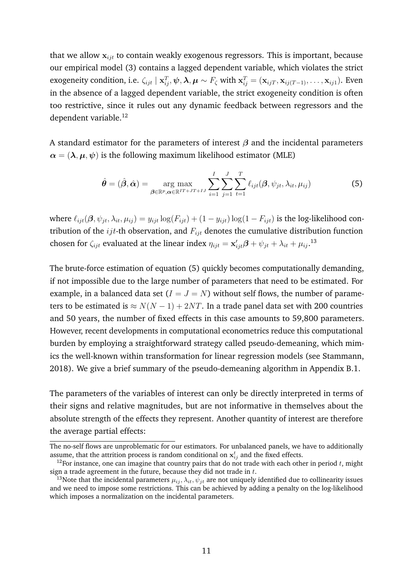that we allow  $x_{iit}$  to contain weakly exogenous regressors. This is important, because our empirical model [\(3\)](#page-11-1) contains a lagged dependent variable, which violates the strict exogeneity condition, i.e.  $\zeta_{ijt} \mid \mathbf{x}_{ij}^T, \psi, \boldsymbol{\lambda}, \boldsymbol{\mu} \sim F_{\zeta}$  with  $\mathbf{x}_{ij}^T = (\mathbf{x}_{ijT}, \mathbf{x}_{ij(T-1)}, \dots, \mathbf{x}_{ij1})$ . Even in the absence of a lagged dependent variable, the strict exogeneity condition is often too restrictive, since it rules out any dynamic feedback between regressors and the dependent variable.<sup>[12](#page-13-0)</sup>

A standard estimator for the parameters of interest  $\beta$  and the incidental parameters  $\alpha = (\lambda, \mu, \psi)$  is the following maximum likelihood estimator (MLE)

<span id="page-13-2"></span>
$$
\hat{\boldsymbol{\theta}} = (\hat{\boldsymbol{\beta}}, \hat{\boldsymbol{\alpha}}) = \underset{\boldsymbol{\beta} \in \mathbb{R}^p, \boldsymbol{\alpha} \in \mathbb{R}^{IT+JT+IJ}}{\arg \max} \sum_{i=1}^{I} \sum_{j=1}^{J} \sum_{t=1}^{T} \ell_{ijt}(\boldsymbol{\beta}, \psi_{jt}, \lambda_{it}, \mu_{ij})
$$
(5)

where  $\ell_{ijt}(\beta, \psi_{jt}, \lambda_{it}, \mu_{ij}) = y_{ijt} \log(F_{ijt}) + (1 - y_{ijt}) \log(1 - F_{ijt})$  is the log-likelihood contribution of the  $ijt$ -th observation, and  $F_{ijt}$  denotes the cumulative distribution function chosen for  $\zeta_{ijt}$  evaluated at the linear index  $\eta_{ijt} = \mathbf{x}'_{ijt} \boldsymbol{\beta} + \psi_{jt} + \lambda_{it} + \mu_{ij}$ .<sup>[13](#page-13-1)</sup>

The brute-force estimation of equation [\(5\)](#page-13-2) quickly becomes computationally demanding, if not impossible due to the large number of parameters that need to be estimated. For example, in a balanced data set  $(I = J = N)$  without self flows, the number of parameters to be estimated is  $\approx N(N-1) + 2NT$ . In a trade panel data set with 200 countries and 50 years, the number of fixed effects in this case amounts to 59,800 parameters. However, recent developments in computational econometrics reduce this computational burden by employing a straightforward strategy called pseudo-demeaning, which mimics the well-known within transformation for linear regression models (see Stammann, [2018\)](#page-36-10). We give a brief summary of the pseudo-demeaning algorithm in Appendix [B.1.](#page-39-0)

The parameters of the variables of interest can only be directly interpreted in terms of their signs and relative magnitudes, but are not informative in themselves about the absolute strength of the effects they represent. Another quantity of interest are therefore the average partial effects:

The no-self flows are unproblematic for our estimators. For unbalanced panels, we have to additionally assume, that the attrition process is random conditional on  $\mathbf{x}_{ij}^t$  and the fixed effects.

<span id="page-13-0"></span><sup>&</sup>lt;sup>12</sup>For instance, one can imagine that country pairs that do not trade with each other in period  $t$ , might sign a trade agreement in the future, because they did not trade in  $t$ .

<span id="page-13-1"></span><sup>&</sup>lt;sup>13</sup>Note that the incidental parameters  $\mu_{ij}$ ,  $\lambda_{it}$ ,  $\psi_{jt}$  are not uniquely identified due to collinearity issues and we need to impose some restrictions. This can be achieved by adding a penalty on the log-likelihood which imposes a normalization on the incidental parameters.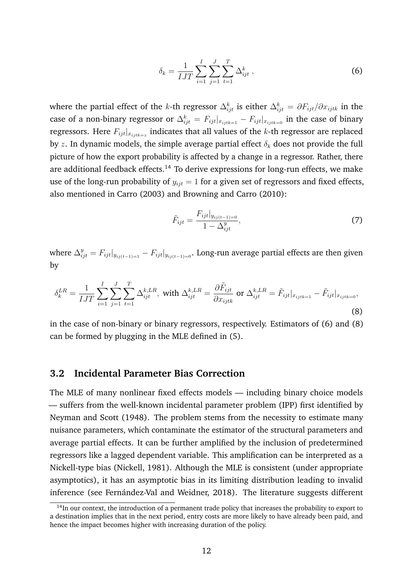<span id="page-14-1"></span>
$$
\delta_k = \frac{1}{IJT} \sum_{i=1}^{I} \sum_{j=1}^{J} \sum_{t=1}^{T} \Delta_{ijt}^k , \qquad (6)
$$

where the partial effect of the *k*-th regressor  $\Delta^k_{ijt}$  is either  $\Delta^k_{ijt}=\partial F_{ijt}/\partial x_{ijtk}$  in the case of a non-binary regressor or  $\Delta_{ijt}^k = F_{ijt}|_{x_{ijtk=1}} - F_{ijt}|_{x_{ijtk=0}}$  in the case of binary regressors. Here  $F_{ijt}|_{x_{ijtk=z}}$  indicates that all values of the  $k$ -th regressor are replaced by z. In dynamic models, the simple average partial effect  $\delta_k$  does not provide the full picture of how the export probability is affected by a change in a regressor. Rather, there are additional feedback effects.<sup>[14](#page-14-0)</sup> To derive expressions for long-run effects, we make use of the long-run probability of  $y_{ijt} = 1$  for a given set of regressors and fixed effects, also mentioned in Carro [\(2003\)](#page-34-12) and Browning and Carro [\(2010\)](#page-34-13):

$$
\tilde{F}_{ijt} = \frac{F_{ijt}|_{y_{ij(t-1)=0}}}{1 - \Delta_{ijt}^y},
$$
\n(7)

where  $\Delta_{ijt}^y = F_{ijt}|_{y_{ij(t-1)=1}} - F_{ijt}|_{y_{ij(t-1)=0}}.$  Long-run average partial effects are then given by

<span id="page-14-2"></span>
$$
\delta_k^{LR} = \frac{1}{IJT} \sum_{i=1}^I \sum_{j=1}^J \sum_{t=1}^T \Delta_{ijt}^{k,LR}, \text{ with } \Delta_{ijt}^{k,LR} = \frac{\partial \tilde{F}_{ijt}}{\partial x_{ijtk}} \text{ or } \Delta_{ijt}^{k,LR} = \tilde{F}_{ijt}|_{x_{ijtk=1}} - \tilde{F}_{ijt}|_{x_{ijtk=0}},\tag{8}
$$

in the case of non-binary or binary regressors, respectively. Estimators of [\(6\)](#page-14-1) and [\(8\)](#page-14-2) can be formed by plugging in the MLE defined in [\(5\)](#page-13-2).

## **3.2 Incidental Parameter Bias Correction**

The MLE of many nonlinear fixed effects models — including binary choice models — suffers from the well-known incidental parameter problem (IPP) first identified by Neyman and Scott [\(1948\)](#page-36-6). The problem stems from the necessity to estimate many nuisance parameters, which contaminate the estimator of the structural parameters and average partial effects. It can be further amplified by the inclusion of predetermined regressors like a lagged dependent variable. This amplification can be interpreted as a Nickell-type bias (Nickell, [1981\)](#page-36-11). Although the MLE is consistent (under appropriate asymptotics), it has an asymptotic bias in its limiting distribution leading to invalid inference (see Fernández-Val and Weidner, [2018\)](#page-35-6). The literature suggests different

<span id="page-14-0"></span> $14$ In our context, the introduction of a permanent trade policy that increases the probability to export to a destination implies that in the next period, entry costs are more likely to have already been paid, and hence the impact becomes higher with increasing duration of the policy.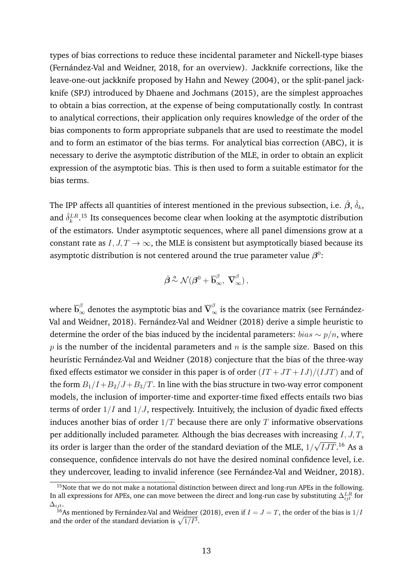types of bias corrections to reduce these incidental parameter and Nickell-type biases (Fernández-Val and Weidner, [2018,](#page-35-6) for an overview). Jackknife corrections, like the leave-one-out jackknife proposed by Hahn and Newey [\(2004\)](#page-35-9), or the split-panel jackknife (SPJ) introduced by Dhaene and Jochmans [\(2015\)](#page-34-14), are the simplest approaches to obtain a bias correction, at the expense of being computationally costly. In contrast to analytical corrections, their application only requires knowledge of the order of the bias components to form appropriate subpanels that are used to reestimate the model and to form an estimator of the bias terms. For analytical bias correction (ABC), it is necessary to derive the asymptotic distribution of the MLE, in order to obtain an explicit expression of the asymptotic bias. This is then used to form a suitable estimator for the bias terms.

The IPP affects all quantities of interest mentioned in the previous subsection, i.e.  $\hat{\bm{\beta}}, \, \hat{\delta}_k,$ and  $\hat{\delta}_k^{LR,15}$  $\hat{\delta}_k^{LR,15}$  $\hat{\delta}_k^{LR,15}$  Its consequences become clear when looking at the asymptotic distribution of the estimators. Under asymptotic sequences, where all panel dimensions grow at a constant rate as  $I, J, T \rightarrow \infty$ , the MLE is consistent but asymptotically biased because its asymptotic distribution is not centered around the true parameter value  $\beta^0$ :

$$
\hat{\boldsymbol{\beta}} \stackrel{\rm a}{\sim} \mathcal{N}(\boldsymbol{\beta}^0 + \overline{\mathbf{b}}_{\infty}^\beta, \; \overline{\mathbf{V}}_{\infty}^\beta) \,,
$$

where  $\overline{\bf b}^\beta_\infty$  denotes the asymptotic bias and  $\overline{\bf V}_\infty^\beta$  is the covariance matrix (see Fernández-Val and Weidner, [2018\)](#page-35-6). Fernández-Val and Weidner [\(2018\)](#page-35-6) derive a simple heuristic to determine the order of the bias induced by the incidental parameters:  $bias \sim p/n$ , where  $p$  is the number of the incidental parameters and  $n$  is the sample size. Based on this heuristic Fernández-Val and Weidner [\(2018\)](#page-35-6) conjecture that the bias of the three-way fixed effects estimator we consider in this paper is of order  $(TT + JT + IJ)/(IJT)$  and of the form  $B_1/I + B_2/J + B_3/T$ . In line with the bias structure in two-way error component models, the inclusion of importer-time and exporter-time fixed effects entails two bias terms of order  $1/I$  and  $1/J$ , respectively. Intuitively, the inclusion of dyadic fixed effects induces another bias of order  $1/T$  because there are only  $T$  informative observations per additionally included parameter. Although the bias decreases with increasing  $I, J, T$ , its order is larger than the order of the standard deviation of the MLE,  $1/\,$ √  $\overline{IJT}.^{16}$  $\overline{IJT}.^{16}$  $\overline{IJT}.^{16}$  As a consequence, confidence intervals do not have the desired nominal confidence level, i.e. they undercover, leading to invalid inference (see Fernández-Val and Weidner, [2018\)](#page-35-6).

<span id="page-15-0"></span><sup>&</sup>lt;sup>15</sup>Note that we do not make a notational distinction between direct and long-run APEs in the following. In all expressions for APEs, one can move between the direct and long-run case by substituting  $\Delta^{LR}_{ijt}$  for  $\Delta_{ijt}.$ 

<span id="page-15-1"></span><sup>&</sup>lt;sup>16</sup>As mentioned by Fernández-Val and Weidner [\(2018\)](#page-35-6), even if  $I = J = T$ , the order of the bias is  $1/I$ and the order of the standard deviation is  $\sqrt{1/I^3}$ .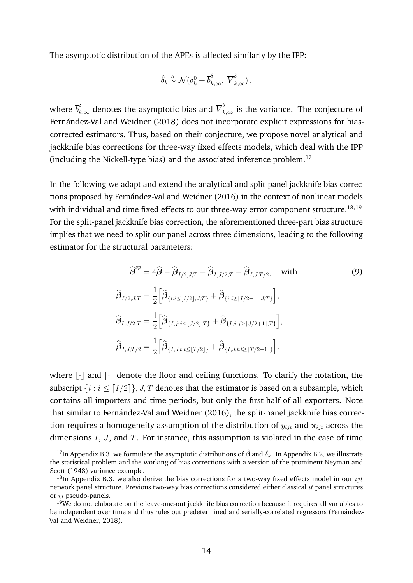The asymptotic distribution of the APEs is affected similarly by the IPP:

$$
\hat{\delta}_k \stackrel{\text{a}}{\sim} \mathcal{N} (\delta_k^0 + \overline{b}_{k,\infty}^\delta, \ \overline{V}_{k,\infty}^\delta) \,,
$$

where  $\overline{b}_{k,\infty}^{\delta}$  denotes the asymptotic bias and  $\overline{V}_{k,\infty}^{\delta}$  is the variance. The conjecture of Fernández-Val and Weidner [\(2018\)](#page-35-6) does not incorporate explicit expressions for biascorrected estimators. Thus, based on their conjecture, we propose novel analytical and jackknife bias corrections for three-way fixed effects models, which deal with the IPP (including the Nickell-type bias) and the associated inference problem.[17](#page-16-0)

In the following we adapt and extend the analytical and split-panel jackknife bias correc-tions proposed by Fernández-Val and Weidner [\(2016\)](#page-35-7) in the context of nonlinear models with individual and time fixed effects to our three-way error component structure.<sup>[18](#page-16-1),[19](#page-16-2)</sup> For the split-panel jackknife bias correction, the aforementioned three-part bias structure implies that we need to split our panel across three dimensions, leading to the following estimator for the structural parameters:

<span id="page-16-3"></span>
$$
\hat{\beta}^{sp} = 4\hat{\beta} - \hat{\beta}_{I/2,J,T} - \hat{\beta}_{I,J/2,T} - \hat{\beta}_{I,J,T/2}, \text{ with}
$$
\n
$$
\hat{\beta}_{I/2,J,T} = \frac{1}{2} \Big[ \hat{\beta}_{\{i:i \le [I/2], J,T\}} + \hat{\beta}_{\{i:i \ge [I/2+1], J,T\}} \Big],
$$
\n
$$
\hat{\beta}_{I,J/2,T} = \frac{1}{2} \Big[ \hat{\beta}_{\{I,j:j \le [J/2], T\}} + \hat{\beta}_{\{I,j:j \ge [J/2+1], T\}} \Big],
$$
\n
$$
\hat{\beta}_{I,J,T/2} = \frac{1}{2} \Big[ \hat{\beta}_{\{I,J,t:t \le [T/2]\}} + \hat{\beta}_{\{I,J,t:t \ge [T/2+1]\}} \Big].
$$
\n(9)

where  $\lvert \cdot \rvert$  and  $\lvert \cdot \rvert$  denote the floor and ceiling functions. To clarify the notation, the subscript  $\{i : i \leq [I/2]\}, J, T$  denotes that the estimator is based on a subsample, which contains all importers and time periods, but only the first half of all exporters. Note that similar to Fernández-Val and Weidner [\(2016\)](#page-35-7), the split-panel jackknife bias correction requires a homogeneity assumption of the distribution of  $y_{ijt}$  and  $x_{ijt}$  across the dimensions  $I$ ,  $J$ , and  $T$ . For instance, this assumption is violated in the case of time

<span id="page-16-0"></span><sup>&</sup>lt;sup>17</sup>In Appendix [B.3,](#page-45-0) we formulate the asymptotic distributions of  $\hat{\beta}$  and  $\hat{\delta}_k$ . In Appendix [B.2,](#page-40-0) we illustrate the statistical problem and the working of bias corrections with a version of the prominent Neyman and Scott [\(1948\)](#page-36-6) variance example.

<span id="page-16-1"></span><sup>&</sup>lt;sup>18</sup>In Appendix [B.3,](#page-45-0) we also derive the bias corrections for a two-way fixed effects model in our *ijt* network panel structure. Previous two-way bias corrections considered either classical it panel structures or ij pseudo-panels.

<span id="page-16-2"></span> $19W$ e do not elaborate on the leave-one-out jackknife bias correction because it requires all variables to be independent over time and thus rules out predetermined and serially-correlated regressors (Fernández-Val and Weidner, [2018\)](#page-35-6).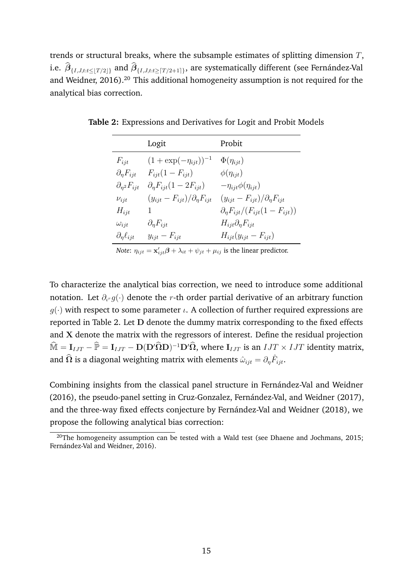trends or structural breaks, where the subsample estimates of splitting dimension  $T$ , i.e.  $\bm{\beta}_{\{I,J,t:t\leq\lfloor T/2\rfloor\}}$  and  $\bm{\beta}_{\{I,J,t:t\geq\lceil T/2+1\rceil\}},$  are systematically different (see Fernández-Val and Weidner, [2016\)](#page-35-7).<sup>[20](#page-17-0)</sup> This additional homogeneity assumption is not required for the analytical bias correction.

|                              | Logit                                    | Probit                                               |
|------------------------------|------------------------------------------|------------------------------------------------------|
| $F_{ijt}$                    | $(1 + \exp(-\eta_{ijt}))^{-1}$           | $\Phi(\eta_{ijt})$                                   |
| $\partial_{\eta} F_{ijt}$    | $F_{iit}(1-F_{iit})$                     | $\phi(\eta_{ijt})$                                   |
| $\partial_{\eta^2} F_{ijt}$  | $\partial_{\eta}F_{ijt}(1-2F_{ijt})$     | $-\eta_{ijt}\phi(\eta_{ijt})$                        |
| $\nu_{ijt}$                  | $(y_{ijt} - F_{ijt})/\partial_n F_{ijt}$ | $(y_{ijt} - F_{ijt})/\partial_{\eta}F_{ijt}$         |
| $H_{ijt}$                    | 1                                        | $\partial_{\eta} F_{i j t}/(F_{i j t}(1-F_{i j t}))$ |
| $\omega_{ijt}$               | $\partial_{\eta} F_{ijt}$                | $H_{ijt}\partial_{\eta}F_{ijt}$                      |
| $\partial_{\eta} \ell_{ijt}$ | $y_{ijt} - F_{ijt}$                      | $H_{ijt}(y_{ijt}-F_{ijt})$                           |

<span id="page-17-1"></span>**Table 2:** Expressions and Derivatives for Logit and Probit Models

*Note:*  $\eta_{ijt} = \mathbf{x}'_{ijt} \boldsymbol{\beta} + \lambda_{it} + \psi_{jt} + \mu_{ij}$  is the linear predictor.

To characterize the analytical bias correction, we need to introduce some additional notation. Let  $\partial_{\iota^{r}}g(\cdot)$  denote the  $r$ -th order partial derivative of an arbitrary function  $q(\cdot)$  with respect to some parameter  $\iota$ . A collection of further required expressions are reported in Table [2.](#page-17-1) Let D denote the dummy matrix corresponding to the fixed effects and X denote the matrix with the regressors of interest. Define the residual projection  $\widehat{\mathbb{M}} = \mathbf{I}_{IJT} - \widehat{\mathbb{P}} = \mathbf{I}_{IJT} - \mathbf{D}(\mathbf{D}'\widehat{\mathbf{\Omega}}\mathbf{D})^{-1}\mathbf{D}'\widehat{\mathbf{\Omega}},$  where  $\mathbf{I}_{IJT}$  is an  $IJT \times IJT$  identity matrix, and  $\widehat{\Omega}$  is a diagonal weighting matrix with elements  $\hat{\omega}_{ijt} = \partial_{\eta} \hat{F}_{ijt}.$ 

Combining insights from the classical panel structure in Fernández-Val and Weidner [\(2016\)](#page-35-7), the pseudo-panel setting in Cruz-Gonzalez, Fernández-Val, and Weidner [\(2017\)](#page-34-9), and the three-way fixed effects conjecture by Fernández-Val and Weidner [\(2018\)](#page-35-6), we propose the following analytical bias correction:

<span id="page-17-0"></span> $\frac{20}{20}$ The homogeneity assumption can be tested with a Wald test (see Dhaene and Jochmans, [2015;](#page-34-14) Fernández-Val and Weidner, [2016\)](#page-35-7).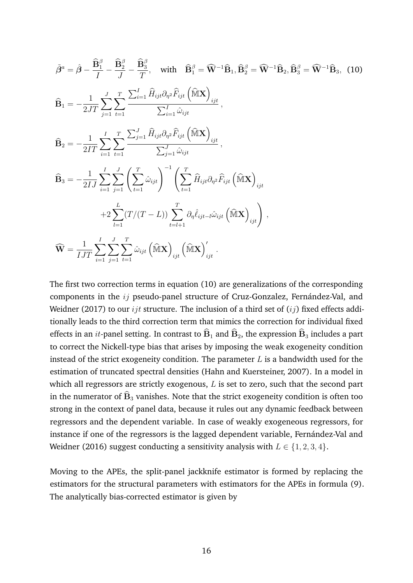<span id="page-18-0"></span>
$$
\tilde{\beta}^{a} = \hat{\beta} - \frac{\hat{\mathbf{B}}_{1}^{\beta}}{I} - \frac{\hat{\mathbf{B}}_{2}^{\beta}}{J} - \frac{\hat{\mathbf{B}}_{3}^{\beta}}{T}, \quad \text{with} \quad \hat{\mathbf{B}}_{1}^{\beta} = \widehat{\mathbf{W}}^{-1} \widehat{\mathbf{B}}_{1}, \widehat{\mathbf{B}}_{2}^{\beta} = \widehat{\mathbf{W}}^{-1} \widehat{\mathbf{B}}_{2}, \widehat{\mathbf{B}}_{3}^{\beta} = \widehat{\mathbf{W}}^{-1} \widehat{\mathbf{B}}_{3}, \quad (10)
$$
\n
$$
\widehat{\mathbf{B}}_{1} = -\frac{1}{2JT} \sum_{j=1}^{J} \sum_{t=1}^{T} \frac{\sum_{i=1}^{I} \widehat{H}_{ijt} \partial_{\eta^{2}} \widehat{F}_{ijt} \left(\widehat{\mathbf{M}} \mathbf{X}\right)_{ijt}}{\sum_{i=1}^{I} \widehat{\omega}_{ijt}},
$$
\n
$$
\widehat{\mathbf{B}}_{2} = -\frac{1}{2IT} \sum_{i=1}^{I} \sum_{t=1}^{T} \sum_{t=1}^{T} \frac{\sum_{j=1}^{J} \widehat{H}_{ijt} \partial_{\eta^{2}} \widehat{F}_{ijt} \left(\widehat{\mathbf{M}} \mathbf{X}\right)_{ijt}}{\sum_{j=1}^{J} \widehat{\omega}_{ijt}},
$$
\n
$$
\widehat{\mathbf{B}}_{3} = -\frac{1}{2IJ} \sum_{i=1}^{I} \sum_{j=1}^{J} \left(\sum_{t=1}^{T} \widehat{\omega}_{ijt}\right)^{-1} \left(\sum_{t=1}^{T} \widehat{H}_{ijt} \partial_{\eta^{2}} \widehat{F}_{ijt} \left(\widehat{\mathbf{M}} \mathbf{X}\right)_{ijt} + 2 \sum_{l=1}^{L} (T/(T-L)) \sum_{t=l+1}^{T} \partial_{\eta} \widehat{\ell}_{ijt-l} \widehat{\omega}_{ijt} \left(\widehat{\mathbf{M}} \mathbf{X}\right)_{ijt}\right),
$$
\n
$$
\widehat{\mathbf{W}} = \frac{1}{IJT} \sum_{i=1}^{I} \sum_{j=1}^{J} \sum_{t=1}^{T
$$

The first two correction terms in equation [\(10\)](#page-18-0) are generalizations of the corresponding components in the  $ij$  pseudo-panel structure of Cruz-Gonzalez, Fernández-Val, and Weidner [\(2017\)](#page-34-9) to our  $ijt$  structure. The inclusion of a third set of  $(ij)$  fixed effects additionally leads to the third correction term that mimics the correction for individual fixed effects in an *it*-panel setting. In contrast to  $\widehat{B}_1$  and  $\widehat{B}_2$ , the expression  $\widehat{B}_3$  includes a part to correct the Nickell-type bias that arises by imposing the weak exogeneity condition instead of the strict exogeneity condition. The parameter  $L$  is a bandwidth used for the estimation of truncated spectral densities (Hahn and Kuersteiner, [2007\)](#page-35-10). In a model in which all regressors are strictly exogenous,  $L$  is set to zero, such that the second part in the numerator of  $\widehat{\mathbf{B}}_3$  vanishes. Note that the strict exogeneity condition is often too strong in the context of panel data, because it rules out any dynamic feedback between regressors and the dependent variable. In case of weakly exogeneous regressors, for instance if one of the regressors is the lagged dependent variable, Fernández-Val and Weidner [\(2016\)](#page-35-7) suggest conducting a sensitivity analysis with  $L \in \{1, 2, 3, 4\}$ .

Moving to the APEs, the split-panel jackknife estimator is formed by replacing the estimators for the structural parameters with estimators for the APEs in formula [\(9\)](#page-16-3). The analytically bias-corrected estimator is given by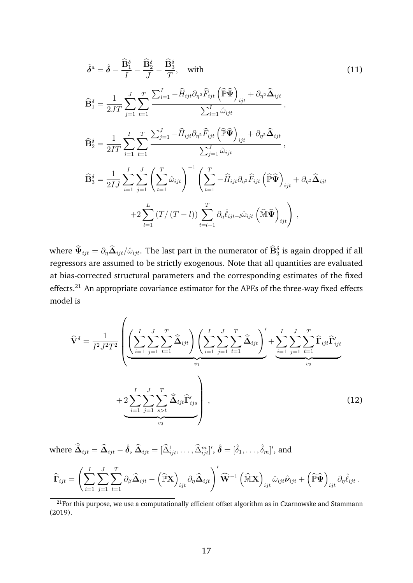$$
\tilde{\delta}^{a} = \hat{\delta} - \frac{\hat{\mathbf{B}}_{1}^{\delta}}{I} - \frac{\hat{\mathbf{B}}_{2}^{\delta}}{J} - \frac{\hat{\mathbf{B}}_{3}^{\delta}}{T}, \quad \text{with} \quad (11)
$$
\n
$$
\hat{\mathbf{B}}_{1}^{\delta} = \frac{1}{2JT} \sum_{j=1}^{J} \sum_{t=1}^{T} \frac{\sum_{i=1}^{I} - \hat{H}_{ijt} \partial_{\eta^{2}} \hat{F}_{ijt} \left(\hat{\mathbb{P}} \hat{\mathbf{\Psi}}\right)_{ijt} + \partial_{\eta^{2}} \hat{\mathbf{\Delta}}_{ijt}}{\sum_{i=1}^{I} \hat{\omega}_{ijt}},
$$
\n
$$
\hat{\mathbf{B}}_{2}^{\delta} = \frac{1}{2IT} \sum_{i=1}^{I} \sum_{t=1}^{T} \sum_{t=1}^{T} \frac{\sum_{j=1}^{J} - \hat{H}_{ijt} \partial_{\eta^{2}} \hat{F}_{ijt} \left(\hat{\mathbb{P}} \hat{\mathbf{\Psi}}\right)_{ijt} + \partial_{\eta^{2}} \hat{\mathbf{\Delta}}_{ijt}}{\sum_{j=1}^{J} \hat{\omega}_{ijt}},
$$
\n
$$
\hat{\mathbf{B}}_{3}^{\delta} = \frac{1}{2IJ} \sum_{i=1}^{I} \sum_{j=1}^{J} \left(\sum_{t=1}^{T} \hat{\omega}_{ijt}\right)^{-1} \left(\sum_{t=1}^{T} - \hat{H}_{ijt} \partial_{\eta^{2}} \hat{F}_{ijt} \left(\hat{\mathbb{P}} \hat{\mathbf{\Psi}}\right)_{ijt} + \partial_{\eta^{2}} \hat{\mathbf{\Delta}}_{ijt} + \partial_{\eta^{2}} \hat{\mathbf{\Delta}}_{ijt} \right)
$$
\n
$$
+ 2 \sum_{l=1}^{L} \left(T / \left(T - l\right) \sum_{t=l+1}^{T} \partial_{\eta} \hat{\ell}_{ijt-l} \hat{\omega}_{ijt} \left(\hat{\mathbb{M}} \hat{\mathbf{\Psi}}\right)_{ijt}\right),
$$
\n(11)

where  $\hat\Psi_{ijt}=\partial_\eta\hat\Delta_{ijt}/\hat\omega_{ijt}.$  The last part in the numerator of  $\hat{\mathbf{B}}_3^\delta$  is again dropped if all regressors are assumed to be strictly exogenous. Note that all quantities are evaluated at bias-corrected structural parameters and the corresponding estimates of the fixed effects.<sup>[21](#page-19-0)</sup> An appropriate covariance estimator for the APEs of the three-way fixed effects model is

<span id="page-19-1"></span>
$$
\widehat{\mathbf{V}}^{\delta} = \frac{1}{I^2 J^2 T^2} \left( \underbrace{\left( \sum_{i=1}^{I} \sum_{j=1}^{J} \widehat{\mathbf{L}}_{t=1}^{T} \widehat{\mathbf{\Delta}}_{ijt} \right) \left( \sum_{i=1}^{I} \sum_{j=1}^{J} \widehat{\mathbf{L}}_{ijt} \right)^{T}}_{v_1} + \underbrace{\sum_{i=1}^{I} \sum_{j=1}^{J} \sum_{t=1}^{T} \widehat{\mathbf{L}}_{ijt} \widehat{\mathbf{\Gamma}}'_{ijt}}_{v_2} + 2 \underbrace{\sum_{i=1}^{I} \sum_{j=1}^{J} \sum_{s>t}^{T} \widehat{\mathbf{\Delta}}_{ijt} \widehat{\mathbf{\Gamma}}'_{ijs}}_{v_3} \right), \qquad (12)
$$

where  $\widehat{\bar{\mathbf{\Delta}}}_{ijt} = \widehat{\mathbf{\Delta}}_{ijt} - \widehat{\boldsymbol{\delta}}, \, \widehat{\Delta}_{ijt} = [\widehat{\Delta}_{ijt}^1, \ldots, \widehat{\Delta}_{ijt}^m]^\prime, \, \widehat{\boldsymbol{\delta}} = [\widehat{\delta}_1, \ldots, \widehat{\delta}_m]^\prime,$  and

$$
\widehat{\boldsymbol{\Gamma}}_{ijt} = \left(\sum_{i=1}^I\sum_{j=1}^J\sum_{t=1}^T\partial_{\beta}\widehat{\boldsymbol{\Delta}}_{ijt} - \left(\widehat{\mathbb{P}}\mathbf{X}\right)_{ijt}\partial_{\eta}\widehat{\boldsymbol{\Delta}}_{ijt}\right)'\widehat{\mathbf{W}}^{-1}\left(\widehat{\mathbb{M}}\mathbf{X}\right)_{ijt}\hat{\omega}_{ijt}\hat{\boldsymbol{\nu}}_{ijt} + \left(\widehat{\mathbb{P}}\widehat{\boldsymbol{\Psi}}\right)_{ijt}\partial_{\eta}\hat{\ell}_{ijt}.
$$

<span id="page-19-0"></span> $\overline{\hspace{1cm}}$ <sup>21</sup>For this purpose, we use a computationally efficient offset algorithm as in Czarnowske and Stammann [\(2019\)](#page-34-15).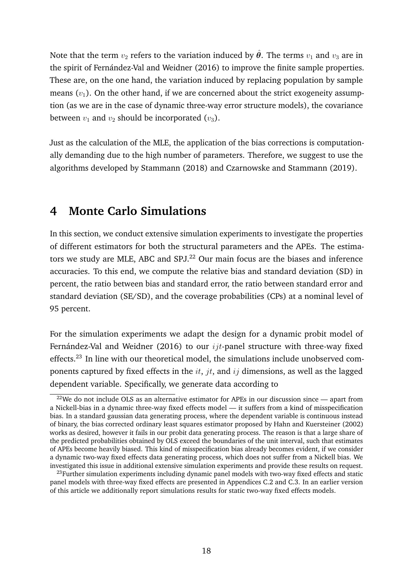Note that the term  $v_2$  refers to the variation induced by  $\hat{\theta}$ . The terms  $v_1$  and  $v_3$  are in the spirit of Fernández-Val and Weidner [\(2016\)](#page-35-7) to improve the finite sample properties. These are, on the one hand, the variation induced by replacing population by sample means  $(v_1)$ . On the other hand, if we are concerned about the strict exogeneity assumption (as we are in the case of dynamic three-way error structure models), the covariance between  $v_1$  and  $v_2$  should be incorporated  $(v_3)$ .

Just as the calculation of the MLE, the application of the bias corrections is computationally demanding due to the high number of parameters. Therefore, we suggest to use the algorithms developed by Stammann [\(2018\)](#page-36-10) and Czarnowske and Stammann [\(2019\)](#page-34-15).

# <span id="page-20-0"></span>**4 Monte Carlo Simulations**

In this section, we conduct extensive simulation experiments to investigate the properties of different estimators for both the structural parameters and the APEs. The estima-tors we study are MLE, ABC and SPJ.<sup>[22](#page-20-1)</sup> Our main focus are the biases and inference accuracies. To this end, we compute the relative bias and standard deviation (SD) in percent, the ratio between bias and standard error, the ratio between standard error and standard deviation (SE/SD), and the coverage probabilities (CPs) at a nominal level of 95 percent.

For the simulation experiments we adapt the design for a dynamic probit model of Fernández-Val and Weidner [\(2016\)](#page-35-7) to our  $ijt$ -panel structure with three-way fixed effects.<sup>[23](#page-20-2)</sup> In line with our theoretical model, the simulations include unobserved components captured by fixed effects in the  $it$ ,  $jt$ , and  $ij$  dimensions, as well as the lagged dependent variable. Specifically, we generate data according to

<span id="page-20-1"></span> $22$ We do not include OLS as an alternative estimator for APEs in our discussion since — apart from a Nickell-bias in a dynamic three-way fixed effects model — it suffers from a kind of misspecification bias. In a standard gaussian data generating process, where the dependent variable is continuous instead of binary, the bias corrected ordinary least squares estimator proposed by Hahn and Kuersteiner [\(2002\)](#page-35-11) works as desired, however it fails in our probit data generating process. The reason is that a large share of the predicted probabilities obtained by OLS exceed the boundaries of the unit interval, such that estimates of APEs become heavily biased. This kind of misspecification bias already becomes evident, if we consider a dynamic two-way fixed effects data generating process, which does not suffer from a Nickell bias. We investigated this issue in additional extensive simulation experiments and provide these results on request.

<span id="page-20-2"></span> $^{23}$ Further simulation experiments including dynamic panel models with two-way fixed effects and static panel models with three-way fixed effects are presented in Appendices [C.2](#page-55-0) and [C.3.](#page-61-0) In an earlier version of this article we additionally report simulations results for static two-way fixed effects models.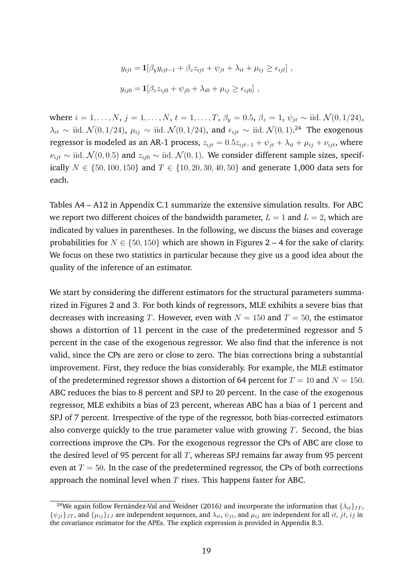$$
y_{ijt} = \mathbf{1}[\beta_y y_{ijt-1} + \beta_z z_{ijt} + \psi_{jt} + \lambda_{it} + \mu_{ij} \ge \epsilon_{ijt}],
$$
  

$$
y_{ij0} = \mathbf{1}[\beta_z z_{ij0} + \psi_{j0} + \lambda_{i0} + \mu_{ij} \ge \epsilon_{ij0}],
$$

where  $i = 1, ..., N$ ,  $j = 1, ..., N$ ,  $t = 1, ..., T$ ,  $\beta_y = 0.5$ ,  $\beta_z = 1$ ,  $\psi_{jt} \sim$  iid.  $\mathcal{N}(0, 1/24)$ ,  $\lambda_{it}$  ~ iid.  $\mathcal{N}(0,1/24)$  $\mathcal{N}(0,1/24)$  $\mathcal{N}(0,1/24)$ ,  $\mu_{ij}$  ~ iid.  $\mathcal{N}(0,1/24)$ , and  $\epsilon_{ijt}$  ~ iid.  $\mathcal{N}(0,1).^{24}$  The exogenous regressor is modeled as an AR-1 process,  $z_{ijt} = 0.5z_{ijt-1} + \psi_{jt} + \lambda_{it} + \mu_{ij} + \nu_{ijt}$ , where  $\nu_{iit} \sim$  iid.  $\mathcal{N}(0, 0.5)$  and  $z_{i j0} \sim$  iid.  $\mathcal{N}(0, 1)$ . We consider different sample sizes, specifically  $N \in \{50, 100, 150\}$  and  $T \in \{10, 20, 30, 40, 50\}$  and generate 1,000 data sets for each.

Tables [A4](#page-52-0) – [A12](#page-54-0) in Appendix [C.1](#page-52-1) summarize the extensive simulation results. For ABC we report two different choices of the bandwidth parameter,  $L = 1$  and  $L = 2$ , which are indicated by values in parentheses. In the following, we discuss the biases and coverage probabilities for  $N \in \{50, 150\}$  which are shown in Figures [2](#page-22-0) – [4](#page-23-0) for the sake of clarity. We focus on these two statistics in particular because they give us a good idea about the quality of the inference of an estimator.

We start by considering the different estimators for the structural parameters summarized in Figures [2](#page-22-0) and [3.](#page-22-0) For both kinds of regressors, MLE exhibits a severe bias that decreases with increasing T. However, even with  $N = 150$  and  $T = 50$ , the estimator shows a distortion of 11 percent in the case of the predetermined regressor and 5 percent in the case of the exogenous regressor. We also find that the inference is not valid, since the CPs are zero or close to zero. The bias corrections bring a substantial improvement. First, they reduce the bias considerably. For example, the MLE estimator of the predetermined regressor shows a distortion of 64 percent for  $T = 10$  and  $N = 150$ . ABC reduces the bias to 8 percent and SPJ to 20 percent. In the case of the exogenous regressor, MLE exhibits a bias of 23 percent, whereas ABC has a bias of 1 percent and SPJ of 7 percent. Irrespective of the type of the regressor, both bias-corrected estimators also converge quickly to the true parameter value with growing  $T$ . Second, the bias corrections improve the CPs. For the exogenous regressor the CPs of ABC are close to the desired level of 95 percent for all  $T$ , whereas SPJ remains far away from 95 percent even at  $T = 50$ . In the case of the predetermined regressor, the CPs of both corrections approach the nominal level when  $T$  rises. This happens faster for ABC.

<span id="page-21-0"></span><sup>&</sup>lt;sup>24</sup>We again follow Fernández-Val and Weidner [\(2016\)](#page-35-7) and incorporate the information that  $\{\lambda_{it}\}_{IT}$ ,  $\{\psi_{jt}\}_{JT}$ , and  $\{\mu_{ij}\}_{IJ}$  are independent sequences, and  $\lambda_{it}$ ,  $\psi_{jt}$ , and  $\mu_{ij}$  are independent for all it, jt, ij in the covariance estimator for the APEs. The explicit expression is provided in Appendix [B.3.](#page-45-0)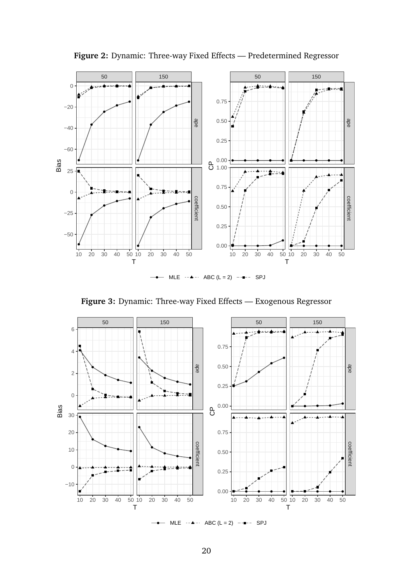<span id="page-22-0"></span>

**Figure 2:** Dynamic: Three-way Fixed Effects — Predetermined Regressor





MLE  $\cdots$  ABC (L = 2)  $\cdots$  SPJ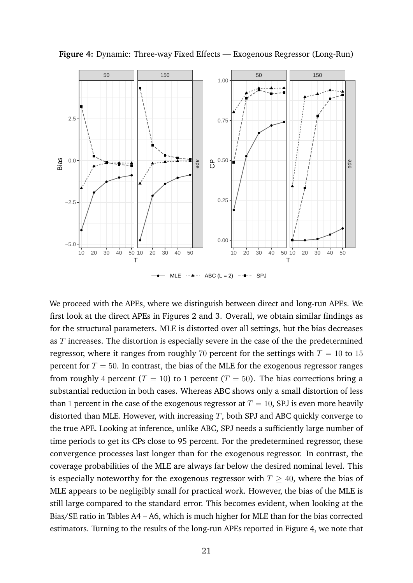

<span id="page-23-0"></span>**Figure 4:** Dynamic: Three-way Fixed Effects — Exogenous Regressor (Long-Run)

We proceed with the APEs, where we distinguish between direct and long-run APEs. We first look at the direct APEs in Figures [2](#page-22-0) and [3.](#page-22-0) Overall, we obtain similar findings as for the structural parameters. MLE is distorted over all settings, but the bias decreases as T increases. The distortion is especially severe in the case of the the predetermined regressor, where it ranges from roughly 70 percent for the settings with  $T = 10$  to 15 percent for  $T = 50$ . In contrast, the bias of the MLE for the exogenous regressor ranges from roughly 4 percent ( $T = 10$ ) to 1 percent ( $T = 50$ ). The bias corrections bring a substantial reduction in both cases. Whereas ABC shows only a small distortion of less than 1 percent in the case of the exogenous regressor at  $T = 10$ , SPJ is even more heavily distorted than MLE. However, with increasing  $T$ , both SPJ and ABC quickly converge to the true APE. Looking at inference, unlike ABC, SPJ needs a sufficiently large number of time periods to get its CPs close to 95 percent. For the predetermined regressor, these convergence processes last longer than for the exogenous regressor. In contrast, the coverage probabilities of the MLE are always far below the desired nominal level. This is especially noteworthy for the exogenous regressor with  $T \geq 40$ , where the bias of MLE appears to be negligibly small for practical work. However, the bias of the MLE is still large compared to the standard error. This becomes evident, when looking at the Bias/SE ratio in Tables [A4](#page-52-0) – [A6,](#page-52-0) which is much higher for MLE than for the bias corrected estimators. Turning to the results of the long-run APEs reported in Figure [4,](#page-23-0) we note that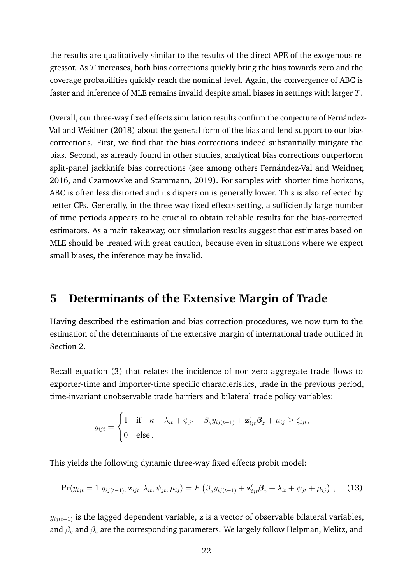the results are qualitatively similar to the results of the direct APE of the exogenous regressor. As T increases, both bias corrections quickly bring the bias towards zero and the coverage probabilities quickly reach the nominal level. Again, the convergence of ABC is faster and inference of MLE remains invalid despite small biases in settings with larger T.

Overall, our three-way fixed effects simulation results confirm the conjecture of Fernández-Val and Weidner [\(2018\)](#page-35-6) about the general form of the bias and lend support to our bias corrections. First, we find that the bias corrections indeed substantially mitigate the bias. Second, as already found in other studies, analytical bias corrections outperform split-panel jackknife bias corrections (see among others Fernández-Val and Weidner, [2016,](#page-35-7) and Czarnowske and Stammann, [2019\)](#page-34-15). For samples with shorter time horizons, ABC is often less distorted and its dispersion is generally lower. This is also reflected by better CPs. Generally, in the three-way fixed effects setting, a sufficiently large number of time periods appears to be crucial to obtain reliable results for the bias-corrected estimators. As a main takeaway, our simulation results suggest that estimates based on MLE should be treated with great caution, because even in situations where we expect small biases, the inference may be invalid.

# <span id="page-24-0"></span>**5 Determinants of the Extensive Margin of Trade**

Having described the estimation and bias correction procedures, we now turn to the estimation of the determinants of the extensive margin of international trade outlined in Section [2.](#page-8-0)

Recall equation [\(3\)](#page-11-1) that relates the incidence of non-zero aggregate trade flows to exporter-time and importer-time specific characteristics, trade in the previous period, time-invariant unobservable trade barriers and bilateral trade policy variables:

<span id="page-24-1"></span>
$$
y_{ijt} = \begin{cases} 1 & \text{if } \kappa + \lambda_{it} + \psi_{jt} + \beta_y y_{ij(t-1)} + \mathbf{z}_{ijt}'\boldsymbol{\beta}_z + \mu_{ij} \ge \zeta_{ijt}, \\ 0 & \text{else.} \end{cases}
$$

This yields the following dynamic three-way fixed effects probit model:

$$
\Pr(y_{ijt} = 1|y_{ij(t-1)}, \mathbf{z}_{ijt}, \lambda_{it}, \psi_{jt}, \mu_{ij}) = F\left(\beta_y y_{ij(t-1)} + \mathbf{z}_{ijt}'\boldsymbol{\beta}_z + \lambda_{it} + \psi_{jt} + \mu_{ij}\right), \quad (13)
$$

 $y_{ij(t-1)}$  is the lagged dependent variable, z is a vector of observable bilateral variables, and  $\beta_y$  and  $\beta_z$  are the corresponding parameters. We largely follow Helpman, Melitz, and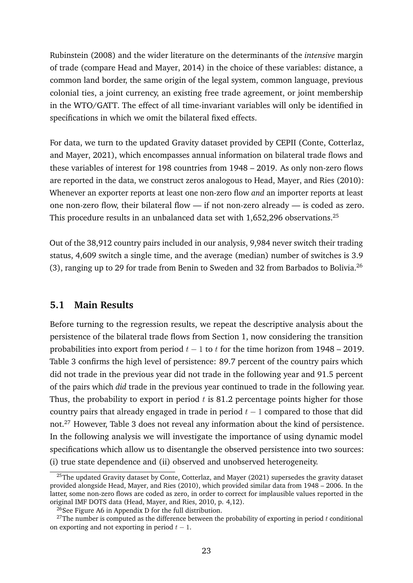Rubinstein [\(2008\)](#page-36-0) and the wider literature on the determinants of the *intensive* margin of trade (compare Head and Mayer, [2014\)](#page-35-4) in the choice of these variables: distance, a common land border, the same origin of the legal system, common language, previous colonial ties, a joint currency, an existing free trade agreement, or joint membership in the WTO/GATT. The effect of all time-invariant variables will only be identified in specifications in which we omit the bilateral fixed effects.

For data, we turn to the updated Gravity dataset provided by CEPII (Conte, Cotterlaz, and Mayer, [2021\)](#page-34-0), which encompasses annual information on bilateral trade flows and these variables of interest for 198 countries from 1948 – 2019. As only non-zero flows are reported in the data, we construct zeros analogous to Head, Mayer, and Ries [\(2010\)](#page-35-12): Whenever an exporter reports at least one non-zero flow *and* an importer reports at least one non-zero flow, their bilateral flow — if not non-zero already — is coded as zero. This procedure results in an unbalanced data set with 1,652,296 observations.<sup>[25](#page-25-0)</sup>

Out of the 38,912 country pairs included in our analysis, 9,984 never switch their trading status, 4,609 switch a single time, and the average (median) number of switches is 3.9 (3), ranging up to 29 for trade from Benin to Sweden and 32 from Barbados to Bolivia.[26](#page-25-1)

# <span id="page-25-3"></span>**5.1 Main Results**

Before turning to the regression results, we repeat the descriptive analysis about the persistence of the bilateral trade flows from Section 1, now considering the transition probabilities into export from period  $t - 1$  to  $t$  for the time horizon from 1948 – 2019. Table [3](#page-26-0) confirms the high level of persistence: 89.7 percent of the country pairs which did not trade in the previous year did not trade in the following year and 91.5 percent of the pairs which *did* trade in the previous year continued to trade in the following year. Thus, the probability to export in period  $t$  is 81.2 percentage points higher for those country pairs that already engaged in trade in period  $t - 1$  compared to those that did not.[27](#page-25-2) However, Table [3](#page-26-0) does not reveal any information about the kind of persistence. In the following analysis we will investigate the importance of using dynamic model specifications which allow us to disentangle the observed persistence into two sources: (i) true state dependence and (ii) observed and unobserved heterogeneity.

<span id="page-25-0"></span> $^{25}$ The updated Gravity dataset by Conte, Cotterlaz, and Mayer [\(2021\)](#page-34-0) supersedes the gravity dataset provided alongside Head, Mayer, and Ries [\(2010\)](#page-35-12), which provided similar data from 1948 – 2006. In the latter, some non-zero flows are coded as zero, in order to correct for implausible values reported in the original IMF DOTS data (Head, Mayer, and Ries, [2010,](#page-35-12) p. 4,12).

<span id="page-25-2"></span><span id="page-25-1"></span><sup>&</sup>lt;sup>26</sup>See Figure [A6](#page-62-0) in Appendix [D](#page-62-1) for the full distribution.

<sup>&</sup>lt;sup>27</sup>The number is computed as the difference between the probability of exporting in period  $t$  conditional on exporting and not exporting in period  $t - 1$ .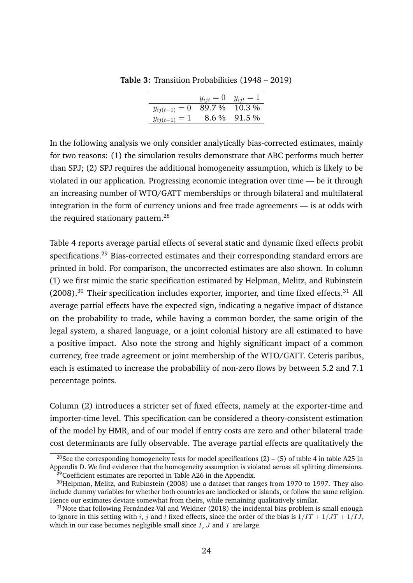|                   | $y_{ijt} = 0$ | $y_{ijt} = 1$ |
|-------------------|---------------|---------------|
| $y_{ij(t-1)} = 0$ |               | 89.7 % 10.3 % |
| $y_{ij(t-1)} = 1$ | $8.6\,\%$     | 91.5 %        |
|                   |               |               |

<span id="page-26-0"></span>**Table 3:** Transition Probabilities (1948 – 2019)

In the following analysis we only consider analytically bias-corrected estimates, mainly for two reasons: (1) the simulation results demonstrate that ABC performs much better than SPJ; (2) SPJ requires the additional homogeneity assumption, which is likely to be violated in our application. Progressing economic integration over time — be it through an increasing number of WTO/GATT memberships or through bilateral and multilateral integration in the form of currency unions and free trade agreements — is at odds with the required stationary pattern.<sup>[28](#page-26-1)</sup>

Table [4](#page-27-0) reports average partial effects of several static and dynamic fixed effects probit specifications.<sup>[29](#page-26-2)</sup> Bias-corrected estimates and their corresponding standard errors are printed in bold. For comparison, the uncorrected estimates are also shown. In column (1) we first mimic the static specification estimated by Helpman, Melitz, and Rubinstein  $(2008).$  $(2008).$ <sup>[30](#page-26-3)</sup> Their specification includes exporter, importer, and time fixed effects.<sup>[31](#page-26-4)</sup> All average partial effects have the expected sign, indicating a negative impact of distance on the probability to trade, while having a common border, the same origin of the legal system, a shared language, or a joint colonial history are all estimated to have a positive impact. Also note the strong and highly significant impact of a common currency, free trade agreement or joint membership of the WTO/GATT. Ceteris paribus, each is estimated to increase the probability of non-zero flows by between 5.2 and 7.1 percentage points.

Column (2) introduces a stricter set of fixed effects, namely at the exporter-time and importer-time level. This specification can be considered a theory-consistent estimation of the model by HMR, and of our model if entry costs are zero and other bilateral trade cost determinants are fully observable. The average partial effects are qualitatively the

<span id="page-26-1"></span><sup>&</sup>lt;sup>28</sup>See the corresponding homogeneity tests for model specifications (2) – (5) of table [4](#page-27-0) in table [A25](#page-62-2) in Appendix [D.](#page-62-1) We find evidence that the homogeneity assumption is violated across all splitting dimensions.  $^{29}$ Coefficient estimates are reported in Table [A26](#page-63-0) in the Appendix.

<span id="page-26-3"></span><span id="page-26-2"></span> $30$ Helpman, Melitz, and Rubinstein [\(2008\)](#page-36-0) use a dataset that ranges from 1970 to 1997. They also include dummy variables for whether both countries are landlocked or islands, or follow the same religion. Hence our estimates deviate somewhat from theirs, while remaining qualitatively similar.

<span id="page-26-4"></span> $31$ Note that following Fernández-Val and Weidner [\(2018\)](#page-35-6) the incidental bias problem is small enough to ignore in this setting with i, j and t fixed effects, since the order of the bias is  $1/IT + 1/IT + 1/JI$ , which in our case becomes negligible small since  $I, J$  and  $T$  are large.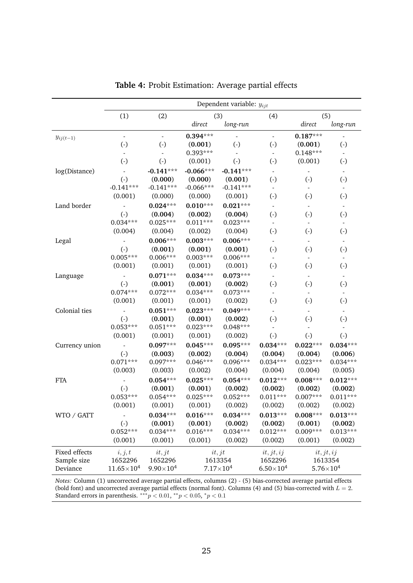<span id="page-27-0"></span>

|                | Dependent variable: $y_{ijt}$ |                        |             |                        |                        |                          |                          |
|----------------|-------------------------------|------------------------|-------------|------------------------|------------------------|--------------------------|--------------------------|
|                | (1)                           | (2)                    |             | (3)                    | (4)                    |                          | (5)                      |
|                |                               |                        | direct      | long-run               |                        | direct                   | long-run                 |
| $y_{ij(t-1)}$  | $\blacksquare$                | $\blacksquare$         | $0.394***$  |                        | $\omega$               | $0.187***$               | $\overline{a}$           |
|                | $\left( \cdot \right)$        | $\left( \cdot \right)$ | (0.001)     | $\left( \cdot \right)$ | $\left( \cdot \right)$ | (0.001)                  | $\left( \cdot \right)$   |
|                | $\blacksquare$                | $\equiv$               | $0.393***$  |                        |                        | $0.148***$               | $\overline{a}$           |
|                | $\left( \cdot \right)$        | $(-)$                  | (0.001)     | $\left( \cdot \right)$ | $\left( \cdot \right)$ | (0.001)                  | $\left( \cdot \right)$   |
| log(Distance)  |                               | $-0.141***$            | $-0.066***$ | $-0.141***$            |                        |                          |                          |
|                | $(-)$                         | (0.000)                | (0.000)     | (0.001)                | $(-)$                  | $\left( \cdot \right)$   | $\left( \cdot \right)$   |
|                | $-0.141***$                   | $-0.141***$            | $-0.066***$ | $-0.141***$            |                        | $\blacksquare$           | $\blacksquare$           |
|                | (0.001)                       | (0.000)                | (0.000)     | (0.001)                | $\left( \cdot \right)$ | $\left( \cdot \right)$   | $\left( \cdot \right)$   |
| Land border    |                               | $0.024***$             | $0.010***$  | $0.021***$             |                        | $\blacksquare$           | $\blacksquare$           |
|                | $(-)$                         | (0.004)                | (0.002)     | (0.004)                | $\left( \cdot \right)$ | $\left( \cdot \right)$   | $\left( \cdot \right)$   |
|                | $0.034***$                    | $0.025***$             | $0.011***$  | $0.023***$             | $\blacksquare$         | $\overline{\phantom{a}}$ | $\blacksquare$           |
|                | (0.004)                       | (0.004)                | (0.002)     | (0.004)                | $\left( \cdot \right)$ | $\left( \cdot \right)$   | $\left( \cdot \right)$   |
| Legal          |                               | $0.006***$             | $0.003***$  | $0.006***$             |                        | $\overline{\phantom{a}}$ |                          |
|                | $(-)$                         | (0.001)                | (0.001)     | (0.001)                | $\left( \cdot \right)$ | $\left( \cdot \right)$   | $\left( \cdot \right)$   |
|                | $0.005***$                    | $0.006***$             | $0.003***$  | $0.006***$             |                        |                          |                          |
|                | (0.001)                       | (0.001)                | (0.001)     | (0.001)                | $(-)$                  | $\left( \cdot \right)$   | $\left( \cdot \right)$   |
| Language       |                               | $0.071***$             | $0.034***$  | $0.073***$             |                        | $\overline{\phantom{a}}$ | $\blacksquare$           |
|                | $(-)$                         | (0.001)                | (0.001)     | (0.002)                | $\left( \cdot \right)$ | $\left( \cdot \right)$   | $\left( \cdot \right)$   |
|                | $0.074***$                    | $0.072***$             | $0.034***$  | $0.073***$             |                        | $\overline{\phantom{a}}$ | $\blacksquare$           |
|                | (0.001)                       | (0.001)                | (0.001)     | (0.002)                | $\left( \cdot \right)$ | $\left( \cdot \right)$   | $\left( \cdot \right)$   |
| Colonial ties  |                               | $0.051***$             | $0.023***$  | $0.049***$             |                        | $\overline{\phantom{a}}$ | $\overline{\phantom{a}}$ |
|                | $(-)$                         | (0.001)                | (0.001)     | (0.002)                | $(\cdot)$              | $\left( \cdot \right)$   | $\left( \cdot \right)$   |
|                | $0.053***$                    | $0.051***$             | $0.023***$  | $0.048***$             |                        | $\blacksquare$           |                          |
|                | (0.001)                       | (0.001)                | (0.001)     | (0.002)                | $\left( \cdot \right)$ | $\left( \cdot \right)$   | $\left( \cdot \right)$   |
| Currency union |                               | $0.097***$             | $0.045***$  | $0.095***$             | $0.034***$             | $0.022***$               | $0.034***$               |
|                | $(-)$                         | (0.003)                | (0.002)     | (0.004)                | (0.004)                | (0.004)                  | (0.006)                  |
|                | $0.071***$                    | $0.097***$             | $0.046***$  | 0.096***               | $0.034***$             | $0.023***$               | $0.034***$               |
|                | (0.003)                       | (0.003)                | (0.002)     | (0.004)                | (0.004)                | (0.004)                  | (0.005)                  |
| <b>FTA</b>     |                               | $0.054***$             | $0.025***$  | $0.054***$             | $0.012***$             | $0.008***$               | $0.012***$               |
|                | $\left( \cdot \right)$        | (0.001)                | (0.001)     | (0.002)                | (0.002)                | (0.002)                  | (0.002)                  |
|                | $0.053***$                    | $0.054***$             | $0.025***$  | $0.052***$             | $0.011***$             | $0.007***$               | $0.011***$               |
|                | (0.001)                       | (0.001)                | (0.001)     | (0.002)                | (0.002)                | (0.002)                  | (0.002)                  |
| WTO / GATT     |                               | $0.034***$             | $0.016***$  | $0.034***$             | $0.013***$             | $0.008***$               | $0.013***$               |
|                | $(-)$                         | (0.001)                | (0.001)     | (0.002)                | (0.002)                | (0.001)                  | (0.002)                  |
|                | $0.052***$                    | $0.034***$             | $0.016***$  | $0.034***$             | $0.012***$             | $0.009***$               | $0.013***$               |
|                | (0.001)                       | (0.001)                | (0.001)     | (0.002)                | (0.002)                | (0.001)                  | (0.002)                  |
| Fixed effects  | i, j, t                       | it, jt                 |             | it, j                  | it, jt, ij             |                          | $it, j_t, ij$            |
| Sample size    | 1652296                       | 1652296                |             | 1613354                | 1652296                |                          | 1613354                  |
| Deviance       | $11.65\times10^{4}$           | $9.90\times10^{4}$     |             | $7.17\times10^{4}$     | $6.50\times10^{4}$     |                          | $5.76\times10^{4}$       |

*Notes:* Column (1) uncorrected average partial effects, columns (2) - (5) bias-corrected average partial effects (bold font) and uncorrected average partial effects (normal font). Columns (4) and (5) bias-corrected with  $L = 2$ . Standard errors in parenthesis.  $***p$  < 0.01,  $**p$  < 0.05,  $*p$  < 0.1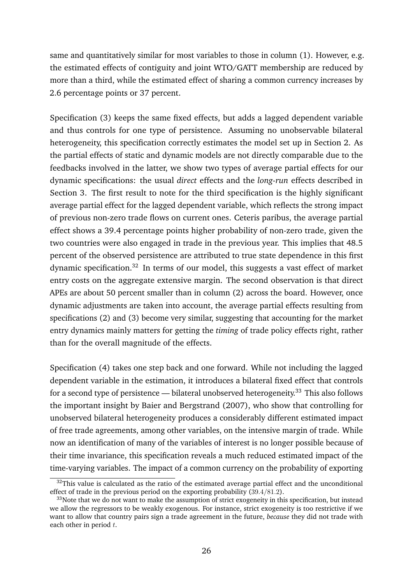same and quantitatively similar for most variables to those in column (1). However, e.g. the estimated effects of contiguity and joint WTO/GATT membership are reduced by more than a third, while the estimated effect of sharing a common currency increases by 2.6 percentage points or 37 percent.

Specification (3) keeps the same fixed effects, but adds a lagged dependent variable and thus controls for one type of persistence. Assuming no unobservable bilateral heterogeneity, this specification correctly estimates the model set up in Section [2.](#page-8-0) As the partial effects of static and dynamic models are not directly comparable due to the feedbacks involved in the latter, we show two types of average partial effects for our dynamic specifications: the usual *direct* effects and the *long-run* effects described in Section [3.](#page-12-0) The first result to note for the third specification is the highly significant average partial effect for the lagged dependent variable, which reflects the strong impact of previous non-zero trade flows on current ones. Ceteris paribus, the average partial effect shows a 39.4 percentage points higher probability of non-zero trade, given the two countries were also engaged in trade in the previous year. This implies that 48.5 percent of the observed persistence are attributed to true state dependence in this first dynamic specification.[32](#page-28-0) In terms of our model, this suggests a vast effect of market entry costs on the aggregate extensive margin. The second observation is that direct APEs are about 50 percent smaller than in column (2) across the board. However, once dynamic adjustments are taken into account, the average partial effects resulting from specifications (2) and (3) become very similar, suggesting that accounting for the market entry dynamics mainly matters for getting the *timing* of trade policy effects right, rather than for the overall magnitude of the effects.

Specification (4) takes one step back and one forward. While not including the lagged dependent variable in the estimation, it introduces a bilateral fixed effect that controls for a second type of persistence — bilateral unobserved heterogeneity.<sup>[33](#page-28-1)</sup> This also follows the important insight by Baier and Bergstrand [\(2007\)](#page-34-6), who show that controlling for unobserved bilateral heterogeneity produces a considerably different estimated impact of free trade agreements, among other variables, on the intensive margin of trade. While now an identification of many of the variables of interest is no longer possible because of their time invariance, this specification reveals a much reduced estimated impact of the time-varying variables. The impact of a common currency on the probability of exporting

<span id="page-28-0"></span> $32$ This value is calculated as the ratio of the estimated average partial effect and the unconditional effect of trade in the previous period on the exporting probability  $(39.4/81.2)$ .

<span id="page-28-1"></span><sup>&</sup>lt;sup>33</sup>Note that we do not want to make the assumption of strict exogeneity in this specification, but instead we allow the regressors to be weakly exogenous. For instance, strict exogeneity is too restrictive if we want to allow that country pairs sign a trade agreement in the future, *because* they did not trade with each other in period  $t$ .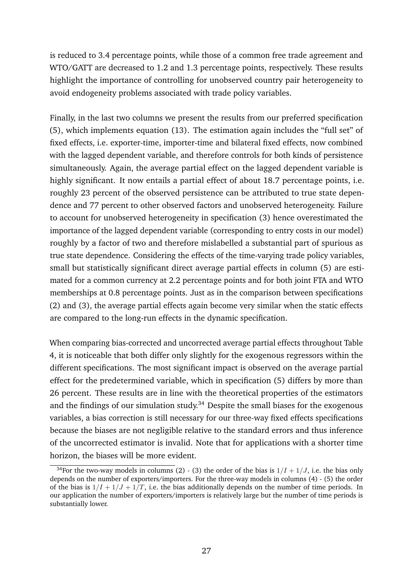is reduced to 3.4 percentage points, while those of a common free trade agreement and WTO/GATT are decreased to 1.2 and 1.3 percentage points, respectively. These results highlight the importance of controlling for unobserved country pair heterogeneity to avoid endogeneity problems associated with trade policy variables.

Finally, in the last two columns we present the results from our preferred specification (5), which implements equation [\(13\)](#page-24-1). The estimation again includes the "full set" of fixed effects, i.e. exporter-time, importer-time and bilateral fixed effects, now combined with the lagged dependent variable, and therefore controls for both kinds of persistence simultaneously. Again, the average partial effect on the lagged dependent variable is highly significant. It now entails a partial effect of about 18.7 percentage points, i.e. roughly 23 percent of the observed persistence can be attributed to true state dependence and 77 percent to other observed factors and unobserved heterogeneity. Failure to account for unobserved heterogeneity in specification (3) hence overestimated the importance of the lagged dependent variable (corresponding to entry costs in our model) roughly by a factor of two and therefore mislabelled a substantial part of spurious as true state dependence. Considering the effects of the time-varying trade policy variables, small but statistically significant direct average partial effects in column (5) are estimated for a common currency at 2.2 percentage points and for both joint FTA and WTO memberships at 0.8 percentage points. Just as in the comparison between specifications (2) and (3), the average partial effects again become very similar when the static effects are compared to the long-run effects in the dynamic specification.

When comparing bias-corrected and uncorrected average partial effects throughout Table [4,](#page-27-0) it is noticeable that both differ only slightly for the exogenous regressors within the different specifications. The most significant impact is observed on the average partial effect for the predetermined variable, which in specification (5) differs by more than 26 percent. These results are in line with the theoretical properties of the estimators and the findings of our simulation study. $34$  Despite the small biases for the exogenous variables, a bias correction is still necessary for our three-way fixed effects specifications because the biases are not negligible relative to the standard errors and thus inference of the uncorrected estimator is invalid. Note that for applications with a shorter time horizon, the biases will be more evident.

<span id="page-29-0"></span><sup>&</sup>lt;sup>34</sup>For the two-way models in columns (2) - (3) the order of the bias is  $1/I + 1/J$ , i.e. the bias only depends on the number of exporters/importers. For the three-way models in columns (4) - (5) the order of the bias is  $1/I + 1/J + 1/T$ , i.e. the bias additionally depends on the number of time periods. In our application the number of exporters/importers is relatively large but the number of time periods is substantially lower.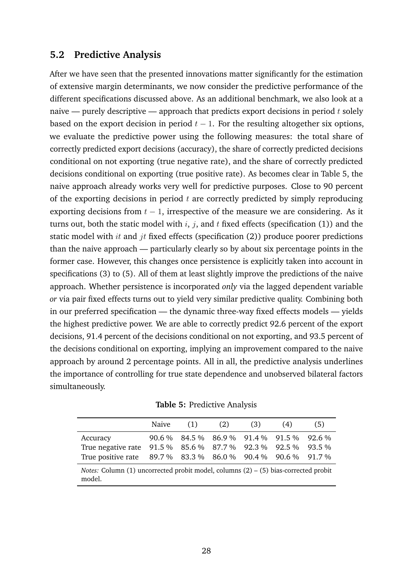## **5.2 Predictive Analysis**

After we have seen that the presented innovations matter significantly for the estimation of extensive margin determinants, we now consider the predictive performance of the different specifications discussed above. As an additional benchmark, we also look at a naive — purely descriptive — approach that predicts export decisions in period  $t$  solely based on the export decision in period  $t - 1$ . For the resulting altogether six options, we evaluate the predictive power using the following measures: the total share of correctly predicted export decisions (accuracy), the share of correctly predicted decisions conditional on not exporting (true negative rate), and the share of correctly predicted decisions conditional on exporting (true positive rate). As becomes clear in Table [5,](#page-30-0) the naive approach already works very well for predictive purposes. Close to 90 percent of the exporting decisions in period  $t$  are correctly predicted by simply reproducing exporting decisions from  $t - 1$ , irrespective of the measure we are considering. As it turns out, both the static model with  $i$ ,  $j$ , and  $t$  fixed effects (specification (1)) and the static model with  $it$  and  $jt$  fixed effects (specification (2)) produce poorer predictions than the naive approach — particularly clearly so by about six percentage points in the former case. However, this changes once persistence is explicitly taken into account in specifications (3) to (5). All of them at least slightly improve the predictions of the naive approach. Whether persistence is incorporated *only* via the lagged dependent variable *or* via pair fixed effects turns out to yield very similar predictive quality. Combining both in our preferred specification — the dynamic three-way fixed effects models — yields the highest predictive power. We are able to correctly predict 92.6 percent of the export decisions, 91.4 percent of the decisions conditional on not exporting, and 93.5 percent of the decisions conditional on exporting, implying an improvement compared to the naive approach by around 2 percentage points. All in all, the predictive analysis underlines the importance of controlling for true state dependence and unobserved bilateral factors simultaneously.

<span id="page-30-0"></span>

|                                                                                                                                          | Naive | (1) | (2) | (3) | (4)                                       | (5) |
|------------------------------------------------------------------------------------------------------------------------------------------|-------|-----|-----|-----|-------------------------------------------|-----|
| Accuracy<br>True negative rate 91.5 % 85.6 % 87.7 % 92.3 % 92.5 % 93.5 %<br>True positive rate 89.7 % 83.3 % 86.0 % 90.4 % 90.6 % 91.7 % |       |     |     |     | 90.6 % 84.5 % 86.9 % 91.4 % 91.5 % 92.6 % |     |
| <i>Notes:</i> Column $(1)$ uncorrected probit model, columns $(2) - (5)$ bias-corrected probit<br>model.                                 |       |     |     |     |                                           |     |

**Table 5:** Predictive Analysis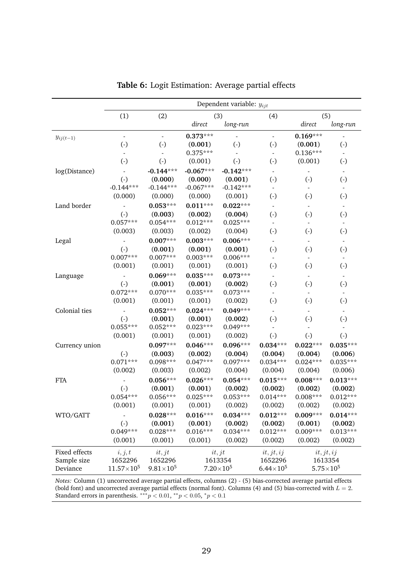<span id="page-31-0"></span>

|                | Dependent variable: $y_{ijt}$ |                        |             |                        |                        |                          |                           |
|----------------|-------------------------------|------------------------|-------------|------------------------|------------------------|--------------------------|---------------------------|
|                | (1)                           | (2)                    |             | (3)                    | (4)                    |                          | (5)                       |
|                |                               |                        | direct      | long-run               |                        | direct                   | $long-run$                |
| $y_{ij(t-1)}$  | $\blacksquare$                | $\blacksquare$         | $0.373***$  |                        | $\omega$               | $0.169***$               | $\overline{a}$            |
|                | $\left( \cdot \right)$        | $\left( \cdot \right)$ | (0.001)     | $\left( \cdot \right)$ | $\left( \cdot \right)$ | (0.001)                  | $\left( \cdot \right)$    |
|                | $\blacksquare$                | $\equiv$               | $0.375***$  |                        |                        | $0.136***$               | $\mathbb{L}^{\mathbb{N}}$ |
|                | $\left( \cdot \right)$        | $\left( \cdot \right)$ | (0.001)     | $\left( \cdot \right)$ | $\left( \cdot \right)$ | (0.001)                  | $\left( \cdot \right)$    |
| log(Distance)  |                               | $-0.144***$            | $-0.067***$ | $-0.142***$            |                        |                          |                           |
|                | $(-)$                         | (0.000)                | (0.000)     | (0.001)                | $(-)$                  | $\left( \cdot \right)$   | $\left( \cdot \right)$    |
|                | $-0.144***$                   | $-0.144***$            | $-0.067***$ | $-0.142***$            |                        | $\blacksquare$           | $\blacksquare$            |
|                | (0.000)                       | (0.000)                | (0.000)     | (0.001)                | $\left( \cdot \right)$ | $\left( \cdot \right)$   | $\left( \cdot \right)$    |
| Land border    |                               | $0.053***$             | $0.011***$  | $0.022***$             |                        | $\blacksquare$           | $\blacksquare$            |
|                | $(-)$                         | (0.003)                | (0.002)     | (0.004)                | $\left( \cdot \right)$ | $\left( \cdot \right)$   | $\left( \cdot \right)$    |
|                | $0.057***$                    | $0.054***$             | $0.012***$  | $0.025***$             | $\blacksquare$         | $\blacksquare$           | $\overline{\phantom{a}}$  |
|                | (0.003)                       | (0.003)                | (0.002)     | (0.004)                | $\left( \cdot \right)$ | $\left( \cdot \right)$   | $\left( \cdot \right)$    |
| Legal          |                               | $0.007***$             | $0.003***$  | $0.006***$             |                        | $\overline{\phantom{a}}$ |                           |
|                | $(-)$                         | (0.001)                | (0.001)     | (0.001)                | $\left( \cdot \right)$ | $\left( \cdot \right)$   | $\left( \cdot \right)$    |
|                | $0.007***$                    | $0.007***$             | $0.003***$  | $0.006***$             |                        |                          |                           |
|                | (0.001)                       | (0.001)                | (0.001)     | (0.001)                | $(-)$                  | $\left( \cdot \right)$   | $\left( \cdot \right)$    |
| Language       |                               | $0.069***$             | $0.035***$  | $0.073***$             |                        | $\overline{\phantom{a}}$ | $\blacksquare$            |
|                | $(-)$                         | (0.001)                | (0.001)     | (0.002)                | $\left( \cdot \right)$ | $\left( \cdot \right)$   | $\left( \cdot \right)$    |
|                | $0.072***$                    | $0.070***$             | $0.035***$  | $0.073***$             |                        | $\overline{\phantom{a}}$ | $\blacksquare$            |
|                | (0.001)                       | (0.001)                | (0.001)     | (0.002)                | $\left( \cdot \right)$ | $\left( \cdot \right)$   | $\left( \cdot \right)$    |
| Colonial ties  |                               | $0.052***$             | $0.024***$  | $0.049***$             |                        | $\overline{\phantom{a}}$ | $\overline{\phantom{a}}$  |
|                | $(-)$                         | (0.001)                | (0.001)     | (0.002)                | $(\cdot)$              | $\left( \cdot \right)$   | $\left( \cdot \right)$    |
|                | $0.055***$                    | $0.052***$             | $0.023***$  | $0.049***$             |                        | $\blacksquare$           |                           |
|                | (0.001)                       | (0.001)                | (0.001)     | (0.002)                | $\left( \cdot \right)$ | $\left( \cdot \right)$   | $\left( \cdot \right)$    |
| Currency union |                               | $0.097***$             | $0.046***$  | $0.096***$             | $0.034***$             | $0.022***$               | $0.035***$                |
|                | $\left( \cdot \right)$        | (0.003)                | (0.002)     | (0.004)                | (0.004)                | (0.004)                  | (0.006)                   |
|                | $0.071***$                    | $0.098***$             | $0.047***$  | $0.097***$             | $0.034***$             | $0.024***$               | $0.035***$                |
|                | (0.002)                       | (0.003)                | (0.002)     | (0.004)                | (0.004)                | (0.004)                  | (0.006)                   |
| <b>FTA</b>     |                               | $0.056***$             | $0.026***$  | $0.054***$             | $0.015***$             | $0.008***$               | $0.013***$                |
|                | $\left( \cdot \right)$        | (0.001)                | (0.001)     | (0.002)                | (0.002)                | (0.002)                  | (0.002)                   |
|                | $0.054***$                    | $0.056***$             | $0.025***$  | $0.053***$             | $0.014***$             | $0.008***$               | $0.012***$                |
|                | (0.001)                       | (0.001)                | (0.001)     | (0.002)                | (0.002)                | (0.002)                  | (0.002)                   |
| WTO/GATT       |                               | $0.028***$             | $0.016***$  | $0.034***$             | $0.012***$             | $0.009***$               | $0.014***$                |
|                | $(-)$                         | (0.001)                | (0.001)     | (0.002)                | (0.002)                | (0.001)                  | (0.002)                   |
|                | $0.049***$                    | $0.028***$             | $0.016***$  | $0.034***$             | $0.012***$             | $0.009***$               | $0.013***$                |
|                | (0.001)                       | (0.001)                | (0.001)     | (0.002)                | (0.002)                | (0.002)                  | (0.002)                   |
| Fixed effects  | i, j, t                       | it, j                  |             | it, j                  | it, jt, ij             |                          | $it, j_t, ij$             |
| Sample size    | 1652296                       | 1652296                |             | 1613354                | 1652296                |                          | 1613354                   |
| Deviance       | $11.57\times10^{5}$           | $9.81\times10^{5}$     |             | $7.20\times10^{5}$     | $6.44\times10^{5}$     |                          | $5.75 \times 10^{5}$      |

| Table 6: Logit Estimation: Average partial effects |  |
|----------------------------------------------------|--|
|----------------------------------------------------|--|

*Notes:* Column (1) uncorrected average partial effects, columns (2) - (5) bias-corrected average partial effects (bold font) and uncorrected average partial effects (normal font). Columns (4) and (5) bias-corrected with  $L = 2$ . Standard errors in parenthesis.  $***p$  < 0.01,  $**p$  < 0.05,  $*p$  < 0.1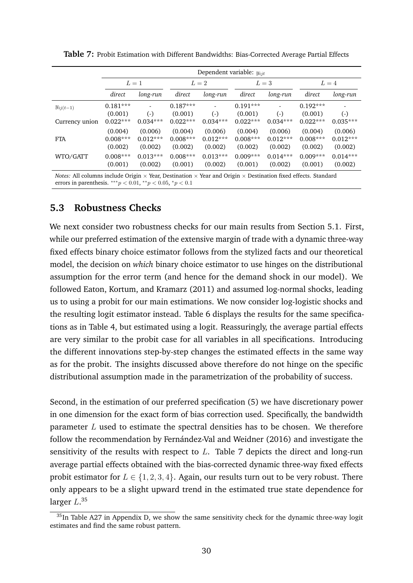|                | Dependent variable: $y_{ijt}$ |            |            |            |            |               |            |            |
|----------------|-------------------------------|------------|------------|------------|------------|---------------|------------|------------|
|                |                               | $L=1$      | $L=2$      |            | $L=3$      |               | $L=4$      |            |
|                | direct                        | long-run   | direct     | long-run   | direct     | long-run      | direct     | long-run   |
| $y_{ij(t-1)}$  | $0.181***$                    |            | $0.187***$ |            | $0.191***$ | ۰             | $0.192***$ |            |
|                | (0.001)                       | $(-)$      | (0.001)    | $(-)$      | (0.001)    | $(-)$         | (0.001)    | $(-)$      |
| Currency union | $0.022***$                    | $0.034***$ | $0.022***$ | $0.034***$ | $0.022***$ | $0.034***$    | $0.022***$ | $0.035***$ |
|                | (0.004)                       | (0.006)    | (0.004)    | (0.006)    | (0.004)    | (0.006)       | (0.004)    | (0.006)    |
| <b>FTA</b>     | $0.008***$                    | $0.012***$ | $0.008***$ | $0.012***$ | $0.008***$ | $0.012***$    | $0.008***$ | $0.012***$ |
|                | (0.002)                       | (0.002)    | (0.002)    | (0.002)    | (0.002)    | (0.002)       | (0.002)    | (0.002)    |
| WTO/GATT       | $0.008***$                    | $0.013***$ | $0.008***$ | $0.013***$ | $0.009***$ | $0.014***$    | $0.009***$ | $0.014***$ |
|                | (0.001)                       | (0.002)    | (0.001)    | (0.002)    | (0.001)    | (0.002)       | (0.001)    | (0.002)    |
|                | .                             | $- -$      |            |            |            | $\sim$ $\sim$ |            |            |

<span id="page-32-0"></span>**Table 7:** Probit Estimation with Different Bandwidths: Bias-Corrected Average Partial Effects

*Notes:* All columns include Origin  $\times$  Year, Destination  $\times$  Year and Origin  $\times$  Destination fixed effects. Standard errors in parenthesis.  $***p < 0.01, **p < 0.05, *p < 0.1$ 

## **5.3 Robustness Checks**

We next consider two robustness checks for our main results from Section [5.1.](#page-25-3) First, while our preferred estimation of the extensive margin of trade with a dynamic three-way fixed effects binary choice estimator follows from the stylized facts and our theoretical model, the decision on *which* binary choice estimator to use hinges on the distributional assumption for the error term (and hence for the demand shock in our model). We followed Eaton, Kortum, and Kramarz [\(2011\)](#page-35-8) and assumed log-normal shocks, leading us to using a probit for our main estimations. We now consider log-logistic shocks and the resulting logit estimator instead. Table [6](#page-31-0) displays the results for the same specifications as in Table [4,](#page-27-0) but estimated using a logit. Reassuringly, the average partial effects are very similar to the probit case for all variables in all specifications. Introducing the different innovations step-by-step changes the estimated effects in the same way as for the probit. The insights discussed above therefore do not hinge on the specific distributional assumption made in the parametrization of the probability of success.

Second, in the estimation of our preferred specification (5) we have discretionary power in one dimension for the exact form of bias correction used. Specifically, the bandwidth parameter  $L$  used to estimate the spectral densities has to be chosen. We therefore follow the recommendation by Fernández-Val and Weidner [\(2016\)](#page-35-7) and investigate the sensitivity of the results with respect to  $L$ . Table [7](#page-32-0) depicts the direct and long-run average partial effects obtained with the bias-corrected dynamic three-way fixed effects probit estimator for  $L \in \{1, 2, 3, 4\}$ . Again, our results turn out to be very robust. There only appears to be a slight upward trend in the estimated true state dependence for larger  $L^{,35}$  $L^{,35}$  $L^{,35}$ 

<span id="page-32-1"></span><sup>&</sup>lt;sup>35</sup>In Table [A27](#page-64-0) in Appendix [D,](#page-62-1) we show the same sensitivity check for the dynamic three-way logit estimates and find the same robust pattern.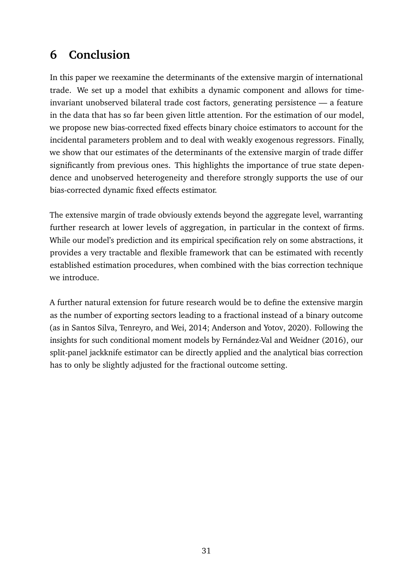# <span id="page-33-0"></span>**6 Conclusion**

In this paper we reexamine the determinants of the extensive margin of international trade. We set up a model that exhibits a dynamic component and allows for timeinvariant unobserved bilateral trade cost factors, generating persistence — a feature in the data that has so far been given little attention. For the estimation of our model, we propose new bias-corrected fixed effects binary choice estimators to account for the incidental parameters problem and to deal with weakly exogenous regressors. Finally, we show that our estimates of the determinants of the extensive margin of trade differ significantly from previous ones. This highlights the importance of true state dependence and unobserved heterogeneity and therefore strongly supports the use of our bias-corrected dynamic fixed effects estimator.

The extensive margin of trade obviously extends beyond the aggregate level, warranting further research at lower levels of aggregation, in particular in the context of firms. While our model's prediction and its empirical specification rely on some abstractions, it provides a very tractable and flexible framework that can be estimated with recently established estimation procedures, when combined with the bias correction technique we introduce

A further natural extension for future research would be to define the extensive margin as the number of exporting sectors leading to a fractional instead of a binary outcome (as in Santos Silva, Tenreyro, and Wei, [2014;](#page-36-12) Anderson and Yotov, [2020\)](#page-34-16). Following the insights for such conditional moment models by Fernández-Val and Weidner [\(2016\)](#page-35-7), our split-panel jackknife estimator can be directly applied and the analytical bias correction has to only be slightly adjusted for the fractional outcome setting.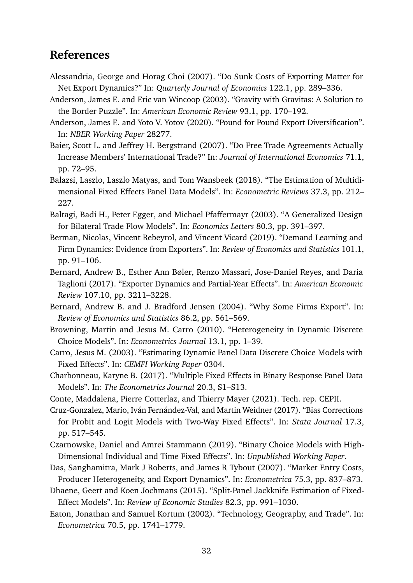# **References**

- <span id="page-34-4"></span>Alessandria, George and Horag Choi (2007). "Do Sunk Costs of Exporting Matter for Net Export Dynamics?" In: *Quarterly Journal of Economics* 122.1, pp. 289–336.
- <span id="page-34-1"></span>Anderson, James E. and Eric van Wincoop (2003). "Gravity with Gravitas: A Solution to the Border Puzzle". In: *American Economic Review* 93.1, pp. 170–192.
- <span id="page-34-16"></span>Anderson, James E. and Yoto V. Yotov (2020). "Pound for Pound Export Diversification". In: *NBER Working Paper* 28277.
- <span id="page-34-6"></span>Baier, Scott L. and Jeffrey H. Bergstrand (2007). "Do Free Trade Agreements Actually Increase Members' International Trade?" In: *Journal of International Economics* 71.1, pp. 72–95.
- <span id="page-34-17"></span>Balazsi, Laszlo, Laszlo Matyas, and Tom Wansbeek (2018). "The Estimation of Multidimensional Fixed Effects Panel Data Models". In: *Econometric Reviews* 37.3, pp. 212– 227.
- <span id="page-34-11"></span>Baltagi, Badi H., Peter Egger, and Michael Pfaffermayr (2003). "A Generalized Design for Bilateral Trade Flow Models". In: *Economics Letters* 80.3, pp. 391–397.
- <span id="page-34-8"></span>Berman, Nicolas, Vincent Rebeyrol, and Vincent Vicard (2019). "Demand Learning and Firm Dynamics: Evidence from Exporters". In: *Review of Economics and Statistics* 101.1, pp. 91–106.
- <span id="page-34-7"></span>Bernard, Andrew B., Esther Ann Bøler, Renzo Massari, Jose-Daniel Reyes, and Daria Taglioni (2017). "Exporter Dynamics and Partial-Year Effects". In: *American Economic Review* 107.10, pp. 3211–3228.
- <span id="page-34-3"></span>Bernard, Andrew B. and J. Bradford Jensen (2004). "Why Some Firms Export". In: *Review of Economics and Statistics* 86.2, pp. 561–569.
- <span id="page-34-13"></span>Browning, Martin and Jesus M. Carro (2010). "Heterogeneity in Dynamic Discrete Choice Models". In: *Econometrics Journal* 13.1, pp. 1–39.
- <span id="page-34-12"></span>Carro, Jesus M. (2003). "Estimating Dynamic Panel Data Discrete Choice Models with Fixed Effects". In: *CEMFI Working Paper* 0304.
- <span id="page-34-10"></span>Charbonneau, Karyne B. (2017). "Multiple Fixed Effects in Binary Response Panel Data Models". In: *The Econometrics Journal* 20.3, S1–S13.
- <span id="page-34-0"></span>Conte, Maddalena, Pierre Cotterlaz, and Thierry Mayer (2021). Tech. rep. CEPII.
- <span id="page-34-9"></span>Cruz-Gonzalez, Mario, Iván Fernández-Val, and Martin Weidner (2017). "Bias Corrections for Probit and Logit Models with Two-Way Fixed Effects". In: *Stata Journal* 17.3, pp. 517–545.
- <span id="page-34-15"></span>Czarnowske, Daniel and Amrei Stammann (2019). "Binary Choice Models with High-Dimensional Individual and Time Fixed Effects". In: *Unpublished Working Paper*.
- <span id="page-34-2"></span>Das, Sanghamitra, Mark J Roberts, and James R Tybout (2007). "Market Entry Costs, Producer Heterogeneity, and Export Dynamics". In: *Econometrica* 75.3, pp. 837–873.
- <span id="page-34-14"></span>Dhaene, Geert and Koen Jochmans (2015). "Split-Panel Jackknife Estimation of Fixed-Effect Models". In: *Review of Economic Studies* 82.3, pp. 991–1030.
- <span id="page-34-5"></span>Eaton, Jonathan and Samuel Kortum (2002). "Technology, Geography, and Trade". In: *Econometrica* 70.5, pp. 1741–1779.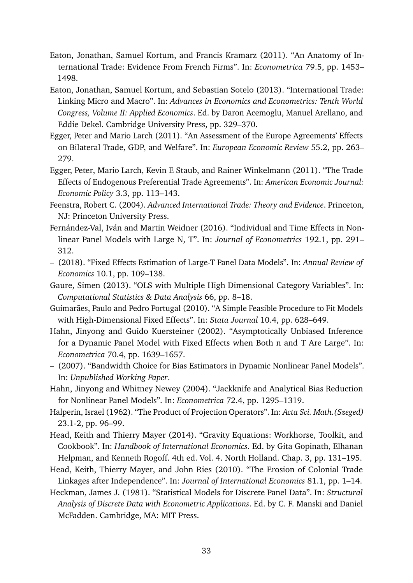- <span id="page-35-8"></span>Eaton, Jonathan, Samuel Kortum, and Francis Kramarz (2011). "An Anatomy of International Trade: Evidence From French Firms". In: *Econometrica* 79.5, pp. 1453– 1498.
- <span id="page-35-3"></span>Eaton, Jonathan, Samuel Kortum, and Sebastian Sotelo (2013). "International Trade: Linking Micro and Macro". In: *Advances in Economics and Econometrics: Tenth World Congress, Volume II: Applied Economics*. Ed. by Daron Acemoglu, Manuel Arellano, and Eddie Dekel. Cambridge University Press, pp. 329–370.
- <span id="page-35-1"></span>Egger, Peter and Mario Larch (2011). "An Assessment of the Europe Agreements' Effects on Bilateral Trade, GDP, and Welfare". In: *European Economic Review* 55.2, pp. 263– 279.
- <span id="page-35-2"></span>Egger, Peter, Mario Larch, Kevin E Staub, and Rainer Winkelmann (2011). "The Trade Effects of Endogenous Preferential Trade Agreements". In: *American Economic Journal: Economic Policy* 3.3, pp. 113–143.
- <span id="page-35-5"></span>Feenstra, Robert C. (2004). *Advanced International Trade: Theory and Evidence*. Princeton, NJ: Princeton University Press.
- <span id="page-35-7"></span>Fernández-Val, Iván and Martin Weidner (2016). "Individual and Time Effects in Nonlinear Panel Models with Large N, T". In: *Journal of Econometrics* 192.1, pp. 291– 312.
- <span id="page-35-6"></span>– (2018). "Fixed Effects Estimation of Large-T Panel Data Models". In: *Annual Review of Economics* 10.1, pp. 109–138.
- <span id="page-35-15"></span>Gaure, Simen (2013). "OLS with Multiple High Dimensional Category Variables". In: *Computational Statistics & Data Analysis* 66, pp. 8–18.
- <span id="page-35-14"></span>Guimarães, Paulo and Pedro Portugal (2010). "A Simple Feasible Procedure to Fit Models with High-Dimensional Fixed Effects". In: *Stata Journal* 10.4, pp. 628–649.
- <span id="page-35-11"></span>Hahn, Jinyong and Guido Kuersteiner (2002). "Asymptotically Unbiased Inference for a Dynamic Panel Model with Fixed Effects when Both n and T Are Large". In: *Econometrica* 70.4, pp. 1639–1657.
- <span id="page-35-10"></span>– (2007). "Bandwidth Choice for Bias Estimators in Dynamic Nonlinear Panel Models". In: *Unpublished Working Paper*.
- <span id="page-35-9"></span>Hahn, Jinyong and Whitney Newey (2004). "Jackknife and Analytical Bias Reduction for Nonlinear Panel Models". In: *Econometrica* 72.4, pp. 1295–1319.
- <span id="page-35-13"></span>Halperin, Israel (1962). "The Product of Projection Operators". In: *Acta Sci. Math.(Szeged)* 23.1-2, pp. 96–99.
- <span id="page-35-4"></span>Head, Keith and Thierry Mayer (2014). "Gravity Equations: Workhorse, Toolkit, and Cookbook". In: *Handbook of International Economics*. Ed. by Gita Gopinath, Elhanan Helpman, and Kenneth Rogoff. 4th ed. Vol. 4. North Holland. Chap. 3, pp. 131–195.
- <span id="page-35-12"></span>Head, Keith, Thierry Mayer, and John Ries (2010). "The Erosion of Colonial Trade Linkages after Independence". In: *Journal of International Economics* 81.1, pp. 1–14.
- <span id="page-35-0"></span>Heckman, James J. (1981). "Statistical Models for Discrete Panel Data". In: *Structural Analysis of Discrete Data with Econometric Applications*. Ed. by C. F. Manski and Daniel McFadden. Cambridge, MA: MIT Press.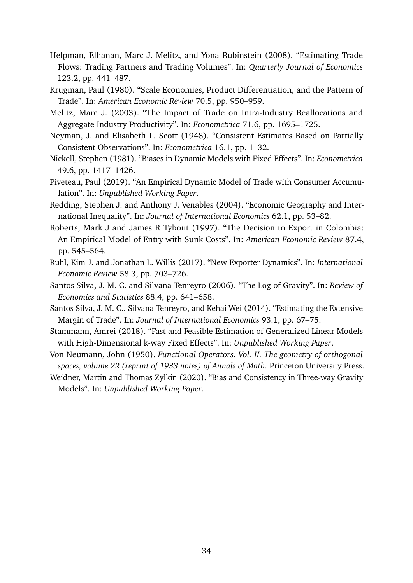- <span id="page-36-0"></span>Helpman, Elhanan, Marc J. Melitz, and Yona Rubinstein (2008). "Estimating Trade Flows: Trading Partners and Trading Volumes". In: *Quarterly Journal of Economics* 123.2, pp. 441–487.
- <span id="page-36-9"></span>Krugman, Paul (1980). "Scale Economies, Product Differentiation, and the Pattern of Trade". In: *American Economic Review* 70.5, pp. 950–959.
- <span id="page-36-8"></span>Melitz, Marc J. (2003). "The Impact of Trade on Intra-Industry Reallocations and Aggregate Industry Productivity". In: *Econometrica* 71.6, pp. 1695–1725.
- <span id="page-36-6"></span>Neyman, J. and Elisabeth L. Scott (1948). "Consistent Estimates Based on Partially Consistent Observations". In: *Econometrica* 16.1, pp. 1–32.
- <span id="page-36-11"></span>Nickell, Stephen (1981). "Biases in Dynamic Models with Fixed Effects". In: *Econometrica* 49.6, pp. 1417–1426.
- <span id="page-36-5"></span>Piveteau, Paul (2019). "An Empirical Dynamic Model of Trade with Consumer Accumulation". In: *Unpublished Working Paper*.
- <span id="page-36-2"></span>Redding, Stephen J. and Anthony J. Venables (2004). "Economic Geography and International Inequality". In: *Journal of International Economics* 62.1, pp. 53–82.
- <span id="page-36-1"></span>Roberts, Mark J and James R Tybout (1997). "The Decision to Export in Colombia: An Empirical Model of Entry with Sunk Costs". In: *American Economic Review* 87.4, pp. 545–564.
- <span id="page-36-4"></span>Ruhl, Kim J. and Jonathan L. Willis (2017). "New Exporter Dynamics". In: *International Economic Review* 58.3, pp. 703–726.
- <span id="page-36-3"></span>Santos Silva, J. M. C. and Silvana Tenreyro (2006). "The Log of Gravity". In: *Review of Economics and Statistics* 88.4, pp. 641–658.
- <span id="page-36-12"></span>Santos Silva, J. M. C., Silvana Tenreyro, and Kehai Wei (2014). "Estimating the Extensive Margin of Trade". In: *Journal of International Economics* 93.1, pp. 67–75.
- <span id="page-36-10"></span>Stammann, Amrei (2018). "Fast and Feasible Estimation of Generalized Linear Models with High-Dimensional k-way Fixed Effects". In: *Unpublished Working Paper*.
- <span id="page-36-13"></span>Von Neumann, John (1950). *Functional Operators. Vol. II. The geometry of orthogonal spaces, volume 22 (reprint of 1933 notes) of Annals of Math.* Princeton University Press.
- <span id="page-36-7"></span>Weidner, Martin and Thomas Zylkin (2020). "Bias and Consistency in Three-way Gravity Models". In: *Unpublished Working Paper*.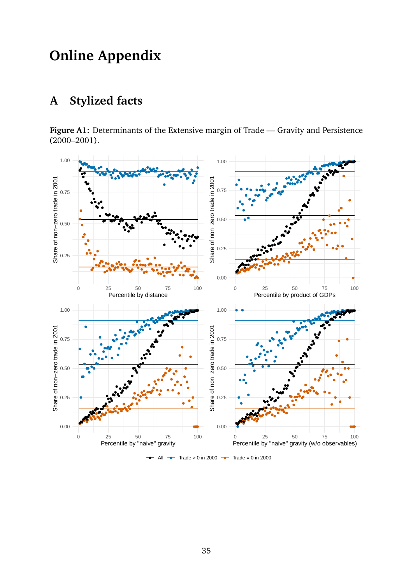# **Online Appendix**

# <span id="page-37-1"></span>**A Stylized facts**

<span id="page-37-0"></span>**Figure A1:** Determinants of the Extensive margin of Trade — Gravity and Persistence (2000–2001).

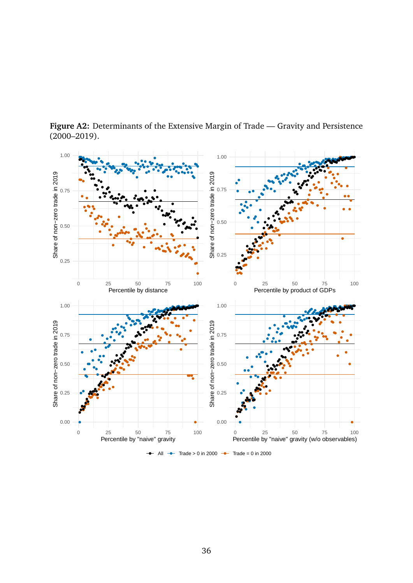

<span id="page-38-0"></span>**Figure A2:** Determinants of the Extensive Margin of Trade — Gravity and Persistence  $(2000 - 2019)$ .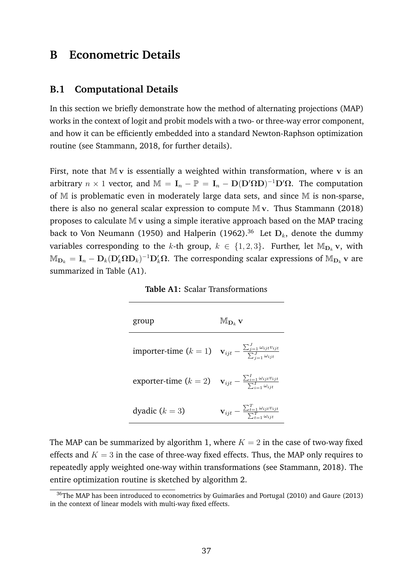# **B Econometric Details**

## <span id="page-39-0"></span>**B.1 Computational Details**

In this section we briefly demonstrate how the method of alternating projections (MAP) works in the context of logit and probit models with a two- or three-way error component, and how it can be efficiently embedded into a standard Newton-Raphson optimization routine (see Stammann, [2018,](#page-36-10) for further details).

First, note that  $Mv$  is essentially a weighted within transformation, where  $v$  is an arbitrary  $n \times 1$  vector, and  $\mathbb{M} = I_n - \mathbb{P} = I_n - D(D^{\prime} \Omega D)^{-1} D^{\prime} \Omega$ . The computation of M is problematic even in moderately large data sets, and since M is non-sparse, there is also no general scalar expression to compute  $Mv$ . Thus Stammann [\(2018\)](#page-36-10) proposes to calculate  $Mv$  using a simple iterative approach based on the MAP tracing back to Von Neumann [\(1950\)](#page-36-13) and Halperin [\(1962\)](#page-35-13).<sup>[36](#page-39-1)</sup> Let  $D_k$ , denote the dummy variables corresponding to the k-th group,  $k \in \{1,2,3\}$ . Further, let  $M_{D_k}$  v, with  $\mathbb{M}_{\textbf{D}_k}=\textbf{I}_n-\textbf{D}_k(\textbf{D}'_k\Omega\textbf{D}_k)^{-1}\textbf{D}'_k\Omega.$  The corresponding scalar expressions of  $\mathbb{M}_{\textbf{D}_k}$  v are summarized in Table [\(A1\)](#page-39-2).

**Table A1:** Scalar Transformations

<span id="page-39-2"></span>

| group                                                                                                                       | $\mathbb{M}_{\mathbf{D}_k}$ V                                                                |
|-----------------------------------------------------------------------------------------------------------------------------|----------------------------------------------------------------------------------------------|
| <b>importer-time</b> $(k = 1)$ $\mathbf{v}_{ijt} - \frac{\sum_{j=1}^{J} \omega_{ijt} v_{ijt}}{\sum_{i=1}^{J} \omega_{ijt}}$ |                                                                                              |
| exporter-time $(k = 2)$ $\mathbf{v}_{ijt} - \frac{\sum_{i=1}^{t} \omega_{ijt} v_{ijt}}{\sum_{i=1}^{t} \omega_{ijt}}$        |                                                                                              |
| dyadic $(k = 3)$                                                                                                            | $\mathbf{v}_{ijt} - \frac{\sum_{t=1}^{t} \omega_{ijt} v_{ijt}}{\sum_{t=1}^{T} \omega_{ijt}}$ |

The MAP can be summarized by algorithm 1, where  $K = 2$  in the case of two-way fixed effects and  $K = 3$  in the case of three-way fixed effects. Thus, the MAP only requires to repeatedly apply weighted one-way within transformations (see Stammann, [2018\)](#page-36-10). The entire optimization routine is sketched by algorithm 2.

<span id="page-39-1"></span><sup>&</sup>lt;sup>36</sup>The MAP has been introduced to econometrics by Guimarães and Portugal [\(2010\)](#page-35-14) and Gaure [\(2013\)](#page-35-15) in the context of linear models with multi-way fixed effects.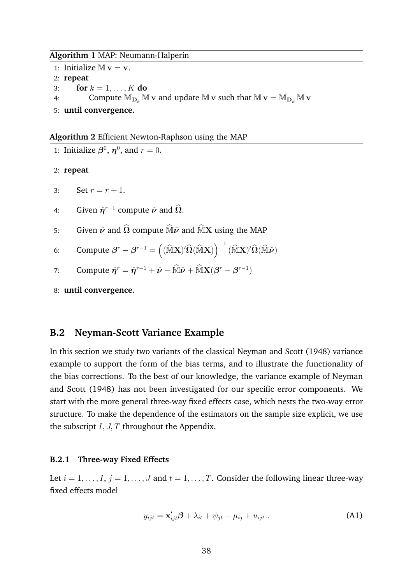### **Algorithm 1** MAP: Neumann-Halperin

1: Initialize  $\mathbb{M} \mathbf{v} = \mathbf{v}$ . 2: **repeat** 3: **for**  $k = 1, ..., K$  **do** 4: Compute  $\mathbb{M}_{\mathbf{D}_k} \mathbb{M}$  v and update  $\mathbb{M}$  v such that  $\mathbb{M}$  v =  $\mathbb{M}_{\mathbf{D}_k} \mathbb{M}$  v 5: **until convergence**.

**Algorithm 2** Efficient Newton-Raphson using the MAP

1: Initialize  $\beta^0$ ,  $\eta^0$ , and  $r = 0$ . 2: **repeat** 3: Set  $r = r + 1$ . 4: Given  $\hat{\eta}^{r-1}$  compute  $\hat{\nu}$  and  $\hat{\Omega}$ . 5: Given  $\hat{\nu}$  and  $\hat{\Omega}$  compute  $\hat{\mathbb{M}}\hat{\nu}$  and  $\hat{\mathbb{M}}X$  using the MAP 6: Compute  $\boldsymbol{\beta}^r - \boldsymbol{\beta}^{r-1} = \left((\widehat{\mathbb{M}}\mathbf{X})'\widehat{\boldsymbol{\Omega}}(\widehat{\mathbb{M}}\mathbf{X})\right)^{-1}(\widehat{\mathbb{M}}\mathbf{X})'\widehat{\boldsymbol{\Omega}}(\widehat{\mathbb{M}}\hat{\boldsymbol{\nu}})$ 7: Compute  $\hat{\boldsymbol{\eta}}^r = \hat{\boldsymbol{\eta}}^{r-1} + \hat{\boldsymbol{\nu}} - \widehat{\mathbb{M}} \hat{\boldsymbol{\nu}} + \widehat{\mathbb{M}} \mathbf{X} (\boldsymbol{\beta}^r - \boldsymbol{\beta}^{r-1})$ 8: **until convergence**.

# <span id="page-40-0"></span>**B.2 Neyman-Scott Variance Example**

In this section we study two variants of the classical Neyman and Scott [\(1948\)](#page-36-6) variance example to support the form of the bias terms, and to illustrate the functionality of the bias corrections. To the best of our knowledge, the variance example of Neyman and Scott [\(1948\)](#page-36-6) has not been investigated for our specific error components. We start with the more general three-way fixed effects case, which nests the two-way error structure. To make the dependence of the estimators on the sample size explicit, we use the subscript  $I, J, T$  throughout the Appendix.

### **B.2.1 Three-way Fixed Effects**

Let  $i = 1, \ldots, I$ ,  $j = 1, \ldots, J$  and  $t = 1, \ldots, T$ . Consider the following linear three-way fixed effects model

<span id="page-40-1"></span>
$$
y_{ijt} = \mathbf{x}'_{ijt}\boldsymbol{\beta} + \lambda_{it} + \psi_{jt} + \mu_{ij} + u_{ijt} . \tag{A1}
$$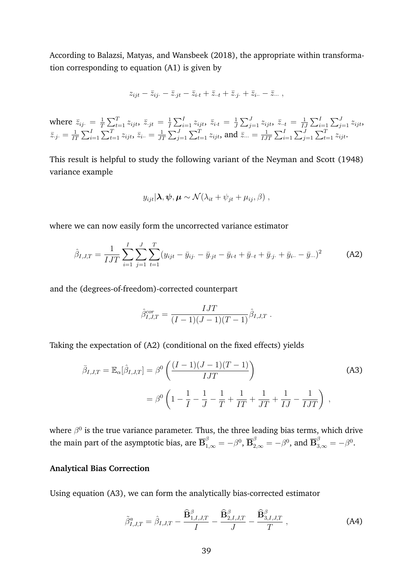According to Balazsi, Matyas, and Wansbeek [\(2018\)](#page-34-17), the appropriate within transformation corresponding to equation [\(A1\)](#page-40-1) is given by

$$
z_{ijt} - \bar{z}_{ij} = \bar{z}_{jt} - \bar{z}_{i\cdot t} + \bar{z}_{\cdot t} + \bar{z}_{\cdot j} + \bar{z}_{i\cdot t} - \bar{z}_{\cdot \cdot \cdot}
$$

where  $\bar{z}_{ij}$ .  $=\frac{1}{7}$  $\frac{1}{T}\sum_{t=1}^T z_{ijt}$ ,  $\bar{z}_{\cdot jt} = \frac{1}{T}$  $\frac{1}{I}\sum_{i=1}^I z_{ijt}$ ,  $\bar{z}_{i\cdot t} = \frac{1}{J}$  $\frac{1}{J}\sum_{j=1}^J z_{ijt}$ ,  $\bar{z}_{\cdot \cdot t} = \frac{1}{I_s}$  $\frac{1}{IJ}\sum_{i=1}^I\sum_{j=1}^J z_{ijt}$  $\bar{z}_{\cdot j \cdot} = \frac{1}{17}$  $\frac{1}{IT}\sum_{i=1}^I\sum_{t=1}^T z_{ijt} , \, \bar{z}_{i\cdot \cdot} = \frac{1}{J^{\prime}}$  $\frac{1}{JT}\sum_{j=1}^J\sum_{t=1}^T z_{ijt}$ , and  $\bar{z}_{...} = \frac{1}{IJ}$  $\frac{1}{IJT}\sum_{i=1}^{I}\sum_{j=1}^{J}\sum_{t=1}^{T}z_{ijt}.$ 

This result is helpful to study the following variant of the Neyman and Scott [\(1948\)](#page-36-6) variance example

$$
y_{ijt}|\lambda, \psi, \mu \sim \mathcal{N}(\lambda_{it} + \psi_{jt} + \mu_{ij}, \beta) ,
$$

where we can now easily form the uncorrected variance estimator

<span id="page-41-0"></span>
$$
\hat{\beta}_{I,J,T} = \frac{1}{IJT} \sum_{i=1}^{I} \sum_{j=1}^{J} \sum_{t=1}^{T} (y_{ijt} - \bar{y}_{ij} - \bar{y}_{jt} - \bar{y}_{it} + \bar{y}_{it} + \bar{y}_{jt} + \bar{y}_{i} - \bar{y}_{it})^2
$$
 (A2)

and the (degrees-of-freedom)-corrected counterpart

<span id="page-41-1"></span>
$$
\hat{\beta}_{I,J,T}^{cor} = \frac{IJT}{(I-1)(J-1)(T-1)} \hat{\beta}_{I,J,T} .
$$

Taking the expectation of [\(A2\)](#page-41-0) (conditional on the fixed effects) yields

$$
\bar{\beta}_{I,J,T} = \mathbb{E}_{\alpha}[\hat{\beta}_{I,J,T}] = \beta^0 \left( \frac{(I-1)(J-1)(T-1)}{IJT} \right)
$$
\n
$$
= \beta^0 \left( 1 - \frac{1}{I} - \frac{1}{J} - \frac{1}{T} + \frac{1}{IT} + \frac{1}{JT} + \frac{1}{IJ} - \frac{1}{IJT} \right) ,
$$
\n(A3)

where  $\beta^0$  is the true variance parameter. Thus, the three leading bias terms, which drive the main part of the asymptotic bias, are  $\overline{\mathbf{B}}_{1,\infty}^\beta=-\beta^0,$   $\overline{\mathbf{B}}_{2,\infty}^\beta=-\beta^0,$  and  $\overline{\mathbf{B}}_{3,\infty}^\beta=-\beta^0.$ 

### **Analytical Bias Correction**

Using equation [\(A3\)](#page-41-1), we can form the analytically bias-corrected estimator

<span id="page-41-2"></span>
$$
\tilde{\beta}_{I,J,T}^{a} = \hat{\beta}_{I,J,T} - \frac{\widehat{\mathbf{B}}_{1,I,J,T}^{\beta}}{I} - \frac{\widehat{\mathbf{B}}_{2,I,J,T}^{\beta}}{J} - \frac{\widehat{\mathbf{B}}_{3,I,J,T}^{\beta}}{T}, \tag{A4}
$$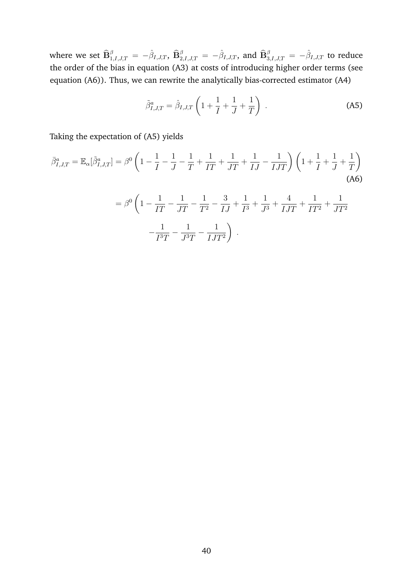where we set  $\widehat{\mathbf{B}}^{\beta}_{1,I,J,T}=\,-\hat{\beta}_{I,J,T},\ \widehat{\mathbf{B}}^{\beta}_{2,I,J,T}=-\hat{\beta}_{I,J,T},$  and  $\widehat{\mathbf{B}}^{\beta}_{3,I,J,T}=-\hat{\beta}_{I,J,T}$  to reduce the order of the bias in equation [\(A3\)](#page-41-1) at costs of introducing higher order terms (see equation [\(A6\)](#page-42-0)). Thus, we can rewrite the analytically bias-corrected estimator [\(A4\)](#page-41-2)

<span id="page-42-1"></span><span id="page-42-0"></span>
$$
\tilde{\beta}_{I,J,T}^a = \hat{\beta}_{I,J,T} \left( 1 + \frac{1}{I} + \frac{1}{J} + \frac{1}{T} \right) \,. \tag{A5}
$$

Taking the expectation of [\(A5\)](#page-42-1) yields

$$
\bar{\beta}_{I,J,T}^{a} = \mathbb{E}_{\alpha}[\tilde{\beta}_{I,J,T}^{a}] = \beta^{0} \left( 1 - \frac{1}{I} - \frac{1}{J} - \frac{1}{T} + \frac{1}{IT} + \frac{1}{JT} + \frac{1}{JJ} - \frac{1}{IJT} \right) \left( 1 + \frac{1}{I} + \frac{1}{J} + \frac{1}{T} \right)
$$
\n(A6)

$$
= \beta^{0} \left( 1 - \frac{1}{IT} - \frac{1}{JT} - \frac{1}{T^{2}} - \frac{3}{IJ} + \frac{1}{I^{3}} + \frac{1}{J^{3}} + \frac{4}{IJT} + \frac{1}{IT^{2}} + \frac{1}{JT^{2}}
$$

$$
- \frac{1}{I^{3}T} - \frac{1}{J^{3}T} - \frac{1}{IJT^{2}} \right).
$$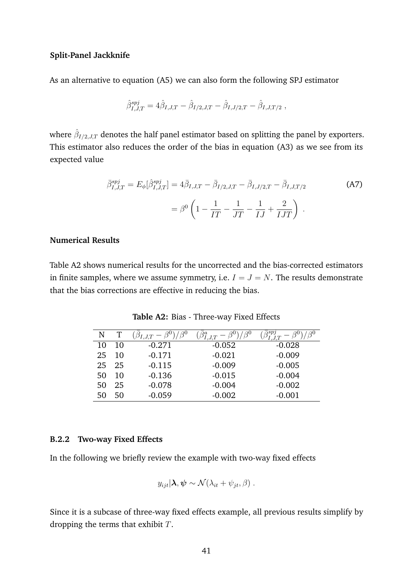## **Split-Panel Jackknife**

As an alternative to equation [\(A5\)](#page-42-1) we can also form the following SPJ estimator

$$
\hat{\beta}_{I,J,T}^{spj} = 4\hat{\beta}_{I,J,T} - \hat{\beta}_{I/2,J,T} - \hat{\beta}_{I,J/2,T} - \hat{\beta}_{I,J,T/2} ,
$$

where  $\hat{\beta}_{I/2,J,T}$  denotes the half panel estimator based on splitting the panel by exporters. This estimator also reduces the order of the bias in equation [\(A3\)](#page-41-1) as we see from its expected value

$$
\bar{\beta}_{I,J,T}^{spj} = E_{\phi}[\hat{\beta}_{I,J,T}^{spj}] = 4\bar{\beta}_{I,J,T} - \bar{\beta}_{I/2,J,T} - \bar{\beta}_{I,J/2,T} - \bar{\beta}_{I,J,T/2}
$$
\n
$$
= \beta^0 \left(1 - \frac{1}{IT} - \frac{1}{JT} - \frac{1}{JJ} + \frac{2}{IJT}\right) .
$$
\n(A7)

## **Numerical Results**

<span id="page-43-0"></span>Table [A2](#page-43-0) shows numerical results for the uncorrected and the bias-corrected estimators in finite samples, where we assume symmetry, i.e.  $I = J = N$ . The results demonstrate that the bias corrections are effective in reducing the bias.

| N  |    | $\beta^0$<br>$\beta_{I,J,T} - \beta^0$ | $\beta^0$<br>$\tilde{I}.J.T$ | $\overline{\triangledown}spj$ |
|----|----|----------------------------------------|------------------------------|-------------------------------|
| 10 | 10 | $-0.271$                               | $-0.052$                     | $-0.028$                      |
| 25 | 10 | $-0.171$                               | $-0.021$                     | $-0.009$                      |
| 25 | 25 | $-0.115$                               | $-0.009$                     | $-0.005$                      |
| 50 | 10 | $-0.136$                               | $-0.015$                     | $-0.004$                      |
| 50 | 25 | $-0.078$                               | $-0.004$                     | $-0.002$                      |
| 50 | 50 | $-0.059$                               | $-0.002$                     | $-0.001$                      |

**Table A2:** Bias - Three-way Fixed Effects

## **B.2.2 Two-way Fixed Effects**

In the following we briefly review the example with two-way fixed effects

$$
y_{ijt}|\lambda, \psi \sim \mathcal{N}(\lambda_{it} + \psi_{jt}, \beta) .
$$

Since it is a subcase of three-way fixed effects example, all previous results simplify by dropping the terms that exhibit  $T$ .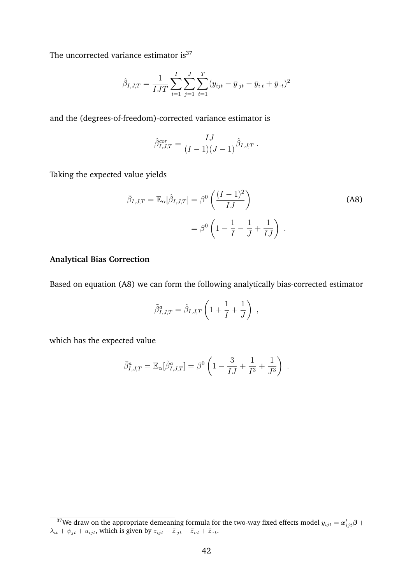The uncorrected variance estimator is $37$ 

$$
\hat{\beta}_{I,J,T} = \frac{1}{IJT} \sum_{i=1}^{I} \sum_{j=1}^{J} \sum_{t=1}^{T} (y_{ijt} - \bar{y}_{\cdot jt} - \bar{y}_{i\cdot t} + \bar{y}_{\cdot \cdot t})^2
$$

and the (degrees-of-freedom)-corrected variance estimator is

<span id="page-44-1"></span>
$$
\hat{\beta}_{I,J,T}^{cor} = \frac{IJ}{(I-1)(J-1)} \hat{\beta}_{I,J,T} .
$$

Taking the expected value yields

$$
\bar{\beta}_{I,J,T} = \mathbb{E}_{\alpha}[\hat{\beta}_{I,J,T}] = \beta^0 \left( \frac{(I-1)^2}{IJ} \right)
$$
\n
$$
= \beta^0 \left( 1 - \frac{1}{I} - \frac{1}{J} + \frac{1}{IJ} \right) .
$$
\n(A8)

## **Analytical Bias Correction**

Based on equation [\(A8\)](#page-44-1) we can form the following analytically bias-corrected estimator

$$
\tilde{\beta}_{I,J,T}^a = \hat{\beta}_{I,J,T} \left( 1 + \frac{1}{I} + \frac{1}{J} \right) ,
$$

which has the expected value

$$
\bar{\beta}_{I,J,T}^a = \mathbb{E}_{\alpha}[\tilde{\beta}_{I,J,T}^a] = \beta^0 \left( 1 - \frac{3}{IJ} + \frac{1}{I^3} + \frac{1}{J^3} \right) .
$$

<span id="page-44-0"></span> $^{37}$ We draw on the appropriate demeaning formula for the two-way fixed effects model  $y_{ijt} = \bm{x}^{\prime}_{ijt} \bm{\beta} +$  $\lambda_{it} + \psi_{jt} + u_{ijt}$ , which is given by  $z_{ijt} - \bar{z}_{jt} - \bar{z}_{i\cdot t} + \bar{z}_{\cdot \cdot t}$ .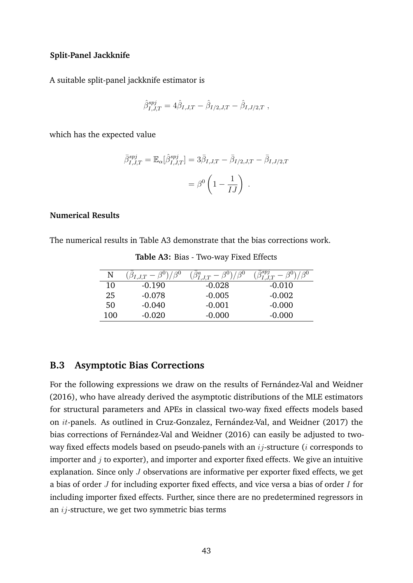## **Split-Panel Jackknife**

A suitable split-panel jackknife estimator is

$$
\hat{\beta}_{I,J,T}^{spj} = 4 \hat{\beta}_{I,J,T} - \hat{\beta}_{I/2,J,T} - \hat{\beta}_{I,J/2,T} \; ,
$$

which has the expected value

$$
\bar{\beta}_{I,J,T}^{spj} = \mathbb{E}_{\alpha}[\hat{\beta}_{I,J,T}^{spj}] = 3\bar{\beta}_{I,J,T} - \bar{\beta}_{I/2,J,T} - \bar{\beta}_{I,J/2,T}
$$

$$
= \beta^0 \left(1 - \frac{1}{IJ}\right).
$$

## **Numerical Results**

<span id="page-45-1"></span>The numerical results in Table [A3](#page-45-1) demonstrate that the bias corrections work.

| N   | Q <sub>0</sub><br>$(\beta_{I,J,T}-\beta^0)_I$ | $\varphi$ 0<br>$\beta^a_{I,J,T}$ | ${}'\bar\beta_{I,J,T}^{spj}$<br>$A^{0}$ |
|-----|-----------------------------------------------|----------------------------------|-----------------------------------------|
| 10  | $-0.190$                                      | $-0.028$                         | $-0.010$                                |
| 25  | $-0.078$                                      | $-0.005$                         | $-0.002$                                |
| 50  | $-0.040$                                      | $-0.001$                         | $-0.000$                                |
| 100 | $-0.020$                                      | $-0.000$                         | $-0.000$                                |

**Table A3:** Bias - Two-way Fixed Effects

## <span id="page-45-0"></span>**B.3 Asymptotic Bias Corrections**

For the following expressions we draw on the results of Fernández-Val and Weidner [\(2016\)](#page-35-7), who have already derived the asymptotic distributions of the MLE estimators for structural parameters and APEs in classical two-way fixed effects models based on *it-panels.* As outlined in Cruz-Gonzalez, Fernández-Val, and Weidner [\(2017\)](#page-34-9) the bias corrections of Fernández-Val and Weidner [\(2016\)](#page-35-7) can easily be adjusted to twoway fixed effects models based on pseudo-panels with an  $ij$ -structure (*i* corresponds to importer and  $i$  to exporter), and importer and exporter fixed effects. We give an intuitive explanation. Since only J observations are informative per exporter fixed effects, we get a bias of order  $J$  for including exporter fixed effects, and vice versa a bias of order  $I$  for including importer fixed effects. Further, since there are no predetermined regressors in an ij-structure, we get two symmetric bias terms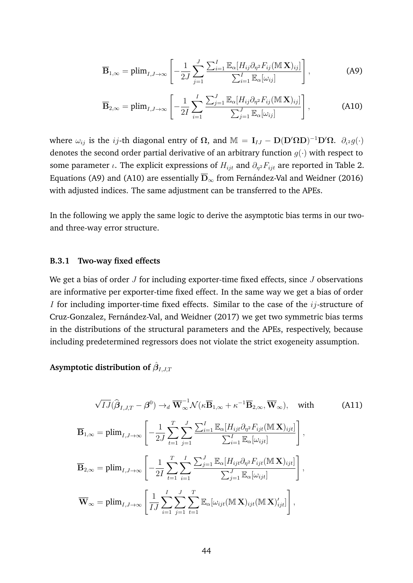<span id="page-46-0"></span>
$$
\overline{\mathbf{B}}_{1,\infty} = \text{plim}_{I,J \to \infty} \left[ -\frac{1}{2J} \sum_{j=1}^{J} \frac{\sum_{i=1}^{I} \mathbb{E}_{\alpha} [H_{ij} \partial_{\eta^2} F_{ij} (\mathbb{M} \mathbf{X})_{ij}]}{\sum_{i=1}^{I} \mathbb{E}_{\alpha} [\omega_{ij}]} \right],
$$
(A9)

<span id="page-46-1"></span>
$$
\overline{\mathbf{B}}_{2,\infty} = \text{plim}_{I,J\to\infty} \left[ -\frac{1}{2I} \sum_{i=1}^{I} \frac{\sum_{j=1}^{J} \mathbb{E}_{\alpha} [H_{ij} \partial_{\eta} {}^{2} F_{ij} (\mathbb{M} \mathbf{X})_{ij}]}{\sum_{j=1}^{J} \mathbb{E}_{\alpha} [\omega_{ij}]} \right], \tag{A10}
$$

where  $\omega_{ij}$  is the ij-th diagonal entry of  $\Omega$ , and  $\mathbb{M} = I_{IJ} - D(D'\Omega D)^{-1}D'\Omega$ .  $\partial_{i^2}g(\cdot)$ denotes the second order partial derivative of an arbitrary function  $g(\cdot)$  with respect to some parameter *ι*. The explicit expressions of  $H_{ijt}$  and  $\partial_{\eta^2} F_{ijt}$  are reported in Table [2.](#page-17-1) Equations [\(A9\)](#page-46-0) and [\(A10\)](#page-46-1) are essentially  $\overline{D}_{\infty}$  from Fernández-Val and Weidner [\(2016\)](#page-35-7) with adjusted indices. The same adjustment can be transferred to the APEs.

In the following we apply the same logic to derive the asymptotic bias terms in our twoand three-way error structure.

## **B.3.1 Two-way fixed effects**

We get a bias of order  $J$  for including exporter-time fixed effects, since  $J$  observations are informative per exporter-time fixed effect. In the same way we get a bias of order I for including importer-time fixed effects. Similar to the case of the  $ij$ -structure of Cruz-Gonzalez, Fernández-Val, and Weidner [\(2017\)](#page-34-9) we get two symmetric bias terms in the distributions of the structural parameters and the APEs, respectively, because including predetermined regressors does not violate the strict exogeneity assumption.

Asymptotic distribution of  $\hat{\boldsymbol{\beta}}_{I,J,T}$ 

$$
\sqrt{IJ}(\widehat{\boldsymbol{\beta}}_{I,J,T}-\boldsymbol{\beta}^0)\rightarrow_d \overline{\mathbf{W}}_{\infty}^{-1}\mathcal{N}(\kappa\overline{\mathbf{B}}_{1,\infty}+\kappa^{-1}\overline{\mathbf{B}}_{2,\infty},\overline{\mathbf{W}}_{\infty}),\quad\text{with}\tag{A11}
$$

$$
\overline{\mathbf{B}}_{1,\infty} = \text{plim}_{I,J\to\infty} \left[ -\frac{1}{2J} \sum_{t=1}^{T} \sum_{j=1}^{J} \frac{\sum_{i=1}^{I} \mathbb{E}_{\alpha} [H_{ijt} \partial_{\eta^{2}} F_{ijt}(\mathbb{M} \mathbf{X})_{ijt}]}{\sum_{i=1}^{I} \mathbb{E}_{\alpha} [\omega_{ijt}]} \right],
$$
  

$$
\overline{\mathbf{B}}_{2,\infty} = \text{plim}_{I,J\to\infty} \left[ -\frac{1}{2I} \sum_{t=1}^{T} \sum_{i=1}^{I} \frac{\sum_{j=1}^{J} \mathbb{E}_{\alpha} [H_{ijt} \partial_{\eta^{2}} F_{ijt}(\mathbb{M} \mathbf{X})_{ijt}]}{\sum_{j=1}^{J} \mathbb{E}_{\alpha} [\omega_{ijt}]} \right],
$$
  

$$
\overline{\mathbf{W}}_{\infty} = \text{plim}_{I,J\to\infty} \left[ \frac{1}{IJ} \sum_{i=1}^{I} \sum_{j=1}^{J} \sum_{t=1}^{T} \mathbb{E}_{\alpha} [\omega_{ijt}(\mathbb{M} \mathbf{X})_{ijt}(\mathbb{M} \mathbf{X})'_{ijt}] \right],
$$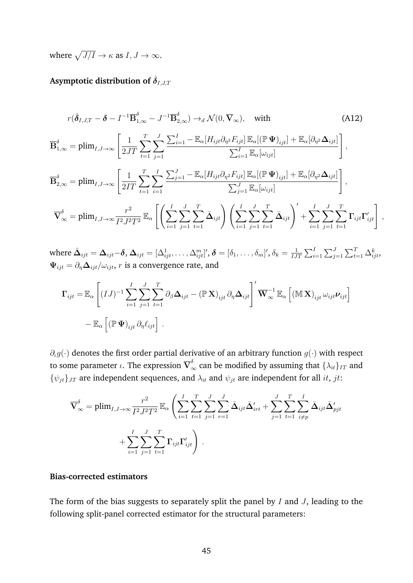where  $\sqrt{J/I} \to \kappa$  as  $I, J \to \infty$ .

# **Asymptotic distribution of**  $\hat{\delta}_{I,J,T}$

$$
r(\hat{\delta}_{I,J,T} - \delta - I^{-1} \overline{\mathbf{B}}_{1,\infty}^{\delta} - J^{-1} \overline{\mathbf{B}}_{2,\infty}^{\delta}) \rightarrow_d \mathcal{N}(0, \overline{\mathbf{V}}_{\infty}), \text{ with}
$$
(A12)  

$$
\overline{\mathbf{B}}_{1,\infty}^{\delta} = \text{plim}_{I,J \to \infty} \left[ \frac{1}{2JT} \sum_{t=1}^{T} \sum_{j=1}^{J} \frac{\sum_{i=1}^{I} - \mathbb{E}_{\alpha} [H_{ijt} \partial_{\eta^2} F_{ijt}] \mathbb{E}_{\alpha} [(\mathbb{P} \Psi)_{ijt}] + \mathbb{E}_{\alpha} [\partial_{\eta^2} \Delta_{ijt}]}{\sum_{i=1}^{I} \mathbb{E}_{\alpha} [\omega_{ijt}]} \right],
$$

$$
\overline{\mathbf{B}}_{2,\infty}^{\delta} = \text{plim}_{I,J \to \infty} \left[ \frac{1}{2IT} \sum_{t=1}^{T} \sum_{i=1}^{I} \frac{\sum_{j=1}^{J} - \mathbb{E}_{\alpha} [H_{ijt} \partial_{\eta^2} F_{ijt}] \mathbb{E}_{\alpha} [(\mathbb{P} \Psi)_{ijt}] + \mathbb{E}_{\alpha} [\partial_{\eta^2} \Delta_{ijt}]}{\sum_{j=1}^{J} \mathbb{E}_{\alpha} [\omega_{ijt}]} \right],
$$

$$
\overline{\mathbf{V}}_{\infty}^{\delta} = \text{plim}_{I,J \to \infty} \frac{r^2}{I^2 J^2 T^2} \mathbb{E}_{\alpha} \left[ \left( \sum_{i=1}^{I} \sum_{j=1}^{J} \sum_{t=1}^{T} \bar{\Delta}_{ijt} \right) \left( \sum_{i=1}^{I} \sum_{j=1}^{J} \sum_{t=1}^{T} \bar{\Delta}_{ijt} \right)' + \sum_{i=1}^{I} \sum_{j=1}^{J} \sum_{t=1}^{T} \sum_{t=1}^{T} \mathbf{I}_{ijt} \Gamma'_{ijt} \right],
$$

where  $\bar{\mathbf{\Delta}}_{ijt}=\mathbf{\Delta}_{ijt}-\bm{\delta}, \, \mathbf{\Delta}_{ijt}=[\Delta_{ijt}^1,\ldots,\Delta_{ijt}^m]^\prime, \, \bm{\delta}=[\delta_1,\ldots,\delta_m]^\prime, \, \delta_k=\frac{1}{IJ}$  $\frac{1}{IJT}\sum_{i=1}^I\sum_{j=1}^J\sum_{t=1}^T\Delta_{ijt}^k$  $\Psi_{ijt} = \partial_{\eta} \Delta_{ijt} / \omega_{ijt}$ , *r* is a convergence rate, and

$$
\Gamma_{ijt} = \mathbb{E}_{\alpha} \left[ (IJ)^{-1} \sum_{i=1}^{I} \sum_{j=1}^{J} \sum_{t=1}^{T} \partial_{\beta} \Delta_{ijt} - (\mathbb{P} \mathbf{X})_{ijt} \partial_{\eta} \Delta_{ijt} \right]' \overline{\mathbf{W}}_{\infty}^{-1} \mathbb{E}_{\alpha} \left[ (\mathbb{M} \mathbf{X})_{ijt} \omega_{ijt} \nu_{ijt} \right]
$$
  
-  $\mathbb{E}_{\alpha} \left[ (\mathbb{P} \mathbf{\Psi})_{ijt} \partial_{\eta} \ell_{ijt} \right].$ 

 $\partial_{\mu}q(\cdot)$  denotes the first order partial derivative of an arbitrary function  $q(\cdot)$  with respect to some parameter  $\iota.$  The expression  $\overline{\mathbf V}_{\infty}^\delta$  can be modified by assuming that  $\{\lambda_{it}\}_{IT}$  and  ${\psi_{jt}}_{JT}$  are independent sequences, and  $\lambda_{it}$  and  $\psi_{jt}$  are independent for all *it*, *jt*:

$$
\overline{\mathbf{V}}_{\infty}^{\delta} = \text{plim}_{I,J \to \infty} \frac{r^2}{I^2 J^2 T^2} \mathbb{E}_{\alpha} \left( \sum_{i=1}^{I} \sum_{t=1}^{T} \sum_{j=1}^{J} \sum_{r=1}^{J} \bar{\mathbf{\Delta}}_{ijt} \bar{\mathbf{\Delta}}'_{irt} + \sum_{j=1}^{J} \sum_{t=1}^{T} \sum_{i \neq p}^{I} \bar{\mathbf{\Delta}}_{ijt} \bar{\mathbf{\Delta}}'_{pjt} + \sum_{i=1}^{I} \sum_{j=1}^{J} \sum_{t=1}^{T} \sum_{t=1}^{T} \mathbf{\Gamma}_{ijt} \mathbf{\Gamma}'_{ijt} \right).
$$

### **Bias-corrected estimators**

The form of the bias suggests to separately split the panel by  $I$  and  $J$ , leading to the following split-panel corrected estimator for the structural parameters: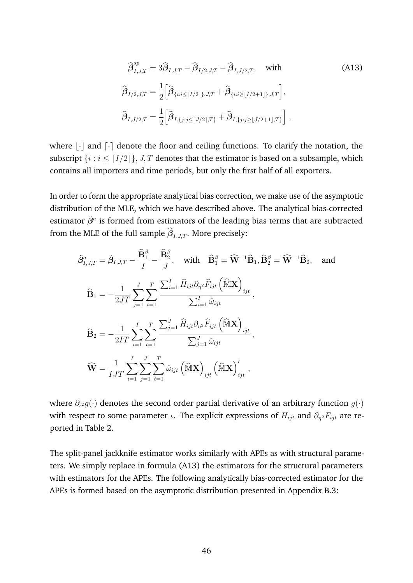<span id="page-48-0"></span>
$$
\hat{\beta}_{I,J,T}^{sp} = 3\hat{\beta}_{I,J,T} - \hat{\beta}_{I/2,J,T} - \hat{\beta}_{I,J/2,T}, \text{ with}
$$
\n
$$
\hat{\beta}_{I/2,J,T} = \frac{1}{2} \Big[ \hat{\beta}_{\{i:i \le [I/2]\},J,T} + \hat{\beta}_{\{i:i \ge [I/2+1]\},J,T} \Big],
$$
\n
$$
\hat{\beta}_{I,J/2,T} = \frac{1}{2} \Big[ \hat{\beta}_{I,\{j:j \le [J/2],T\}} + \hat{\beta}_{I,\{j:j \ge [J/2+1],T\}} \Big],
$$
\n(M13)

where  $|\cdot|$  and  $\lceil \cdot \rceil$  denote the floor and ceiling functions. To clarify the notation, the subscript  $\{i : i \leq [I/2]\}, J, T$  denotes that the estimator is based on a subsample, which contains all importers and time periods, but only the first half of all exporters.

In order to form the appropriate analytical bias correction, we make use of the asymptotic distribution of the MLE, which we have described above. The analytical bias-corrected estimator  $\tilde{\beta}^a$  is formed from estimators of the leading bias terms that are subtracted from the MLE of the full sample  $\beta_{I,J,T}.$  More precisely:

$$
\tilde{\beta}_{I,J,T}^{a} = \hat{\beta}_{I,J,T} - \frac{\widehat{\mathbf{B}}_{1}^{\beta}}{I} - \frac{\widehat{\mathbf{B}}_{2}^{\beta}}{J}, \quad \text{with} \quad \widehat{\mathbf{B}}_{1}^{\beta} = \widehat{\mathbf{W}}^{-1} \widehat{\mathbf{B}}_{1}, \widehat{\mathbf{B}}_{2}^{\beta} = \widehat{\mathbf{W}}^{-1} \widehat{\mathbf{B}}_{2}, \quad \text{and}
$$
\n
$$
\widehat{\mathbf{B}}_{1} = -\frac{1}{2JT} \sum_{j=1}^{J} \sum_{t=1}^{T} \frac{\sum_{i=1}^{I} \widehat{H}_{ijt} \partial_{\eta^{2}} \widehat{F}_{ijt} \left(\widehat{\mathbf{M}} \mathbf{X}\right)_{ijt}}{\sum_{i=1}^{I} \widehat{\omega}_{ijt}},
$$
\n
$$
\widehat{\mathbf{B}}_{2} = -\frac{1}{2IT} \sum_{i=1}^{I} \sum_{t=1}^{T} \sum_{t=1}^{T} \frac{\sum_{j=1}^{J} \widehat{H}_{ijt} \partial_{\eta^{2}} \widehat{F}_{ijt} \left(\widehat{\mathbf{M}} \mathbf{X}\right)_{ijt}}{\sum_{j=1}^{J} \widehat{\omega}_{ijt}},
$$
\n
$$
\widehat{\mathbf{W}} = \frac{1}{IJT} \sum_{i=1}^{I} \sum_{j=1}^{J} \sum_{t=1}^{T} \widehat{\omega}_{ijt} \left(\widehat{\mathbf{M}} \mathbf{X}\right)_{ijt} \left(\widehat{\mathbf{M}} \mathbf{X}\right)_{ijt}^{\prime},
$$

where  $\partial_{\iota^2} g(\cdot)$  denotes the second order partial derivative of an arbitrary function  $g(\cdot)$ with respect to some parameter  $\iota$ . The explicit expressions of  $H_{ijt}$  and  $\partial_{\eta^2} F_{ijt}$  are reported in Table [2.](#page-17-1)

The split-panel jackknife estimator works similarly with APEs as with structural parameters. We simply replace in formula [\(A13\)](#page-48-0) the estimators for the structural parameters with estimators for the APEs. The following analytically bias-corrected estimator for the APEs is formed based on the asymptotic distribution presented in Appendix [B.3:](#page-45-0)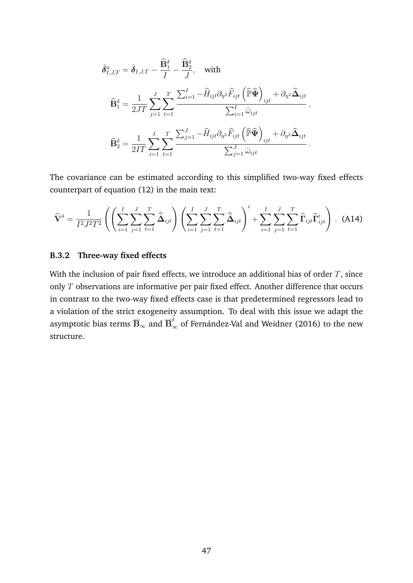$$
\tilde{\delta}_{I,J,T}^{a} = \hat{\delta}_{I,J,T} - \frac{\widehat{\mathbf{B}}_{1}^{\delta}}{I} - \frac{\widehat{\mathbf{B}}_{2}^{\delta}}{J}, \quad \text{with}
$$
\n
$$
\widehat{\mathbf{B}}_{1}^{\delta} = \frac{1}{2JT} \sum_{j=1}^{J} \sum_{t=1}^{T} \frac{\sum_{i=1}^{I} -\widehat{H}_{ijt} \partial_{\eta^{2}} \widehat{F}_{ijt} \left(\widehat{\mathbb{P}} \widehat{\mathbf{\Psi}}\right)_{ijt} + \partial_{\eta^{2}} \widehat{\mathbf{\Delta}}_{ijt}}{\sum_{i=1}^{I} \widehat{\omega}_{ijt}},
$$
\n
$$
\widehat{\mathbf{B}}_{2}^{\delta} = \frac{1}{2IT} \sum_{i=1}^{I} \sum_{t=1}^{T} \sum_{t=1}^{T} \frac{\sum_{j=1}^{J} -\widehat{H}_{ijt} \partial_{\eta^{2}} \widehat{F}_{ijt} \left(\widehat{\mathbb{P}} \widehat{\mathbf{\Psi}}\right)_{ijt} + \partial_{\eta^{2}} \widehat{\mathbf{\Delta}}_{ijt}}{\sum_{j=1}^{J} \widehat{\omega}_{ijt}}.
$$

The covariance can be estimated according to this simplified two-way fixed effects counterpart of equation [\(12\)](#page-19-1) in the main text:

$$
\widehat{\mathbf{V}}^{\delta} = \frac{1}{I^2 J^2 T^2} \left( \left( \sum_{i=1}^{I} \sum_{j=1}^{J} \sum_{t=1}^{T} \widehat{\tilde{\mathbf{\Delta}}}_{ijt} \right) \left( \sum_{i=1}^{I} \sum_{j=1}^{J} \sum_{t=1}^{T} \widehat{\tilde{\mathbf{\Delta}}}_{ijt} \right)' + \sum_{i=1}^{I} \sum_{j=1}^{J} \sum_{t=1}^{T} \widehat{\mathbf{\Gamma}}_{ijt} \widehat{\mathbf{\Gamma}}'_{ijt} \right) .
$$
 (A14)

## **B.3.2 Three-way fixed effects**

With the inclusion of pair fixed effects, we introduce an additional bias of order  $T$ , since only  $T$  observations are informative per pair fixed effect. Another difference that occurs in contrast to the two-way fixed effects case is that predetermined regressors lead to a violation of the strict exogeneity assumption. To deal with this issue we adapt the asymptotic bias terms  $\overline{\mathbf{B}}_{\infty}$  and  $\overline{\mathbf{B}}_{\infty}^{\delta}$  of Fernández-Val and Weidner [\(2016\)](#page-35-7) to the new structure.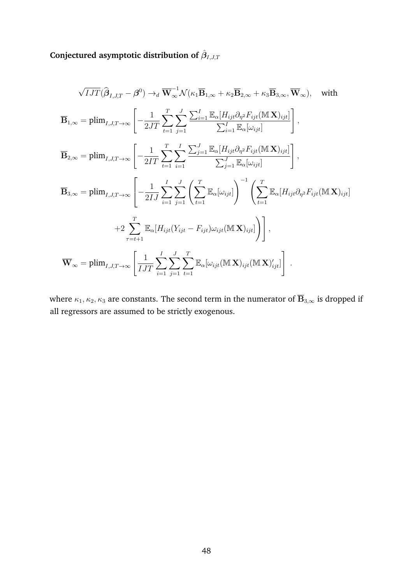Conjectured asymptotic distribution of  $\hat{\boldsymbol{\beta}}_{I,J,T}$ 

$$
\sqrt{I J T}(\hat{\beta}_{I,J,T} - \beta^{0}) \rightarrow_{d} \overline{\mathbf{W}}_{\infty}^{-1} \mathcal{N}(\kappa_{1} \overline{\mathbf{B}}_{1,\infty} + \kappa_{2} \overline{\mathbf{B}}_{2,\infty} + \kappa_{3} \overline{\mathbf{B}}_{3,\infty}, \overline{\mathbf{W}}_{\infty}), \text{ with}
$$
  
\n
$$
\overline{\mathbf{B}}_{1,\infty} = \text{plim}_{I,J,T \to \infty} \left[ -\frac{1}{2J T} \sum_{t=1}^{T} \sum_{j=1}^{J} \frac{\sum_{i=1}^{I} \mathbb{E}_{\alpha} [H_{ijt} \partial_{\eta^{2}} F_{ijt}(\mathbf{M} \mathbf{X})_{ijt}]}{\sum_{i=1}^{I} \mathbb{E}_{\alpha} [\omega_{ijt}]} \right],
$$
  
\n
$$
\overline{\mathbf{B}}_{2,\infty} = \text{plim}_{I,J,T \to \infty} \left[ -\frac{1}{2T T} \sum_{t=1}^{T} \sum_{i=1}^{I} \frac{\sum_{j=1}^{J} \mathbb{E}_{\alpha} [H_{ijt} \partial_{\eta^{2}} F_{ijt}(\mathbf{M} \mathbf{X})_{ijt}]}{\sum_{j=1}^{J} \mathbb{E}_{\alpha} [\omega_{ijt}]} \right],
$$
  
\n
$$
\overline{\mathbf{B}}_{3,\infty} = \text{plim}_{I,J,T \to \infty} \left[ -\frac{1}{2I J} \sum_{i=1}^{I} \sum_{j=1}^{J} \left( \sum_{t=1}^{T} \mathbb{E}_{\alpha} [\omega_{ijt}] \right)^{-1} \left( \sum_{t=1}^{T} \mathbb{E}_{\alpha} [H_{ijt} \partial_{\eta^{2}} F_{ijt}(\mathbf{M} \mathbf{X})_{ijt}] \right)
$$
  
\n
$$
+2 \sum_{\tau=t+1}^{T} \mathbb{E}_{\alpha} [H_{ijt} (Y_{ijt} - F_{ijt}) \omega_{ijt}(\mathbf{M} \mathbf{X})_{ijt}] \right],
$$
  
\n
$$
\overline{\mathbf{W}}_{\infty} = \text{plim}_{I,J,T \to \infty} \left[ \frac{1}{I J T} \sum_{i=1
$$

where  $\kappa_1, \kappa_2, \kappa_3$  are constants. The second term in the numerator of  $\overline{\mathbf{B}}_{3,\infty}$  is dropped if all regressors are assumed to be strictly exogenous.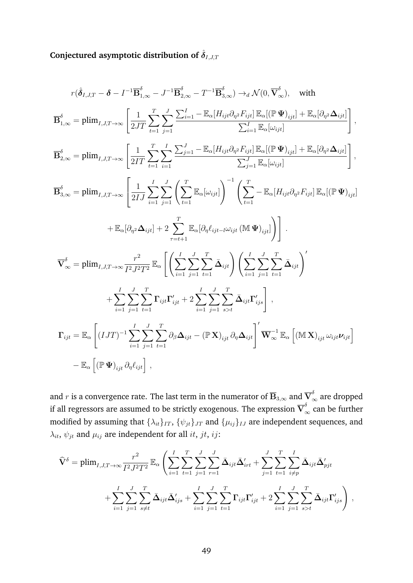Conjectured asymptotic distribution of  $\hat{\delta}_{I,J,T}$ 

$$
r(\hat{\delta}_{I,J,T} - \delta - I^{-1} \overline{\mathbf{B}}_{1,\infty}^{\delta} - J^{-1} \overline{\mathbf{B}}_{2,\infty}^{\delta} - T^{-1} \overline{\mathbf{B}}_{3,\infty}^{\delta}) \rightarrow_d \mathcal{N}(0, \overline{\mathbf{V}}_{\infty}^{\delta}), \text{ with}
$$
  
\n
$$
\overline{\mathbf{B}}_{1,\infty}^{\delta} = \text{plim}_{I,J,T \to \infty} \left[ \frac{1}{2JT} \sum_{t=1}^{T} \sum_{j=1}^{J} \frac{\sum_{i=1}^{I} - \mathbb{E}_{\alpha}[H_{ijt}\partial_{\eta^{2}}F_{ijt}] \mathbb{E}_{\alpha}[(\mathbb{P}\mathbf{\Psi})_{ijt}] + \mathbb{E}_{\alpha}[\partial_{\eta^{2}}\Delta_{ijt}]}{\sum_{i=1}^{I} \mathbb{E}_{\alpha}[\omega_{ijt}]} \right],
$$
  
\n
$$
\overline{\mathbf{B}}_{2,\infty}^{\delta} = \text{plim}_{I,J,T \to \infty} \left[ \frac{1}{2IT} \sum_{t=1}^{T} \sum_{i=1}^{I} \sum_{j=1}^{J} \frac{\sum_{j=1}^{J} - \mathbb{E}_{\alpha}[H_{ijt}\partial_{\eta^{2}}F_{ijt}] \mathbb{E}_{\alpha}[(\mathbb{P}\mathbf{\Psi})_{ijt}] + \mathbb{E}_{\alpha}[\partial_{\eta^{2}}\Delta_{ijt}]}{\sum_{j=1}^{J} \mathbb{E}_{\alpha}[\omega_{ijt}]} \right],
$$
  
\n
$$
\overline{\mathbf{B}}_{3,\infty}^{\delta} = \text{plim}_{I,J,T \to \infty} \left[ \frac{1}{2IJ} \sum_{i=1}^{I} \sum_{j=1}^{J} \left( \sum_{t=1}^{T} \mathbb{E}_{\alpha}[\omega_{ijt}] \right)^{-1} \left( \sum_{t=1}^{T} - \mathbb{E}_{\alpha}[H_{ijt}\partial_{\eta^{2}}F_{ijt}] \mathbb{E}_{\alpha}[(\mathbb{P}\mathbf{\Psi})_{ijt}] \right) \right].
$$
  
\n
$$
\nabla_{\infty}^{\delta} = \text{plim}_{I,J,T \to \infty} \frac{r^{2}}{I^{2}J^{2}T^{2
$$

and  $r$  is a convergence rate. The last term in the numerator of  $\overline{\mathbf{B}}_{3,\infty}$  and  $\overline{\mathbf{V}}_\infty^\delta$  are dropped if all regressors are assumed to be strictly exogenous. The expression  $\overline{\mathbf V}_{\infty}^\delta$  can be further modified by assuming that  $\{\lambda_{it}\}_{IT}$ ,  $\{\psi_{jt}\}_{JT}$  and  $\{\mu_{ij}\}_{IJ}$  are independent sequences, and  $\lambda_{it}$ ,  $\psi_{jt}$  and  $\mu_{ij}$  are independent for all *it*, *jt*, *ij*:

$$
\widehat{\mathbf{V}}^{\delta} = \text{plim}_{I,J,T \to \infty} \frac{r^2}{I^2 J^2 T^2} \mathbb{E}_{\alpha} \left( \sum_{i=1}^I \sum_{t=1}^T \sum_{j=1}^J \sum_{r=1}^J \bar{\Delta}_{ijt} \bar{\Delta}'_{irt} + \sum_{j=1}^J \sum_{t=1}^T \sum_{i \neq p}^I \bar{\Delta}_{ijt} \bar{\Delta}'_{pjt} + \sum_{i=1}^I \sum_{j=1}^J \sum_{s \neq t}^T \bar{\Delta}_{ijt} \bar{\Delta}'_{ijs} + \sum_{i=1}^I \sum_{j=1}^J \sum_{t=1}^T \sum_{t=1}^T \Gamma_{ijt} \Gamma'_{ijt} + 2 \sum_{i=1}^I \sum_{j=1}^J \sum_{s > t}^T \bar{\Delta}_{ijt} \Gamma'_{ijs} \right),
$$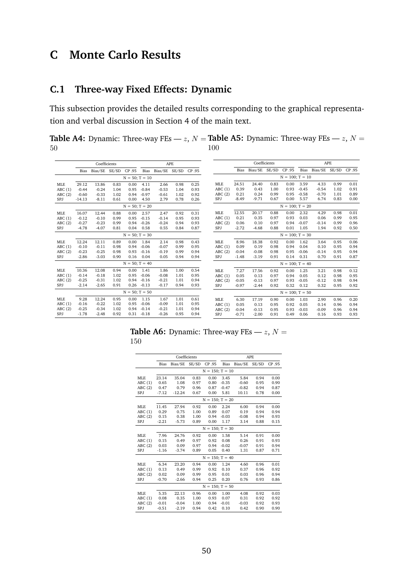# **C Monte Carlo Results**

# <span id="page-52-1"></span>**C.1 Three-way Fixed Effects: Dynamic**

This subsection provides the detailed results corresponding to the graphical representation and verbal discussion in Section [4](#page-20-0) of the main text.

<span id="page-52-0"></span>**Table A4:** Dynamic: Three-way FEs —  $z$ ,  $N =$  **Table A5:** Dynamic: Three-way FEs —  $z$ ,  $N =$ 50 100

|            |          | Coefficients  |      |                     |         |                    | <b>APE</b> |        |            |         | Coefficients  |      |                      |         |               | <b>APE</b> |        |
|------------|----------|---------------|------|---------------------|---------|--------------------|------------|--------|------------|---------|---------------|------|----------------------|---------|---------------|------------|--------|
|            | Bias     | Bias/SE SE/SD |      | CP .95              |         | Bias Bias/SE SE/SD |            | CP .95 |            | Bias    | Bias/SE SE/SD |      | CP .95               | Bias    | Bias/SE SE/SD |            | CP .95 |
|            |          |               |      | $N = 50; T = 10$    |         |                    |            |        |            |         |               |      | $N = 100$ ; $T = 10$ |         |               |            |        |
| <b>MLE</b> | 29.12    | 13.86         | 0.83 | 0.00                | 4.11    | 2.66               | 0.98       | 0.25   | <b>MLE</b> | 24.51   | 24.40         | 0.83 | 0.00                 | 3.59    | 4.33          | 0.99       | 0.01   |
| ABC(1)     | $-0.44$  | $-0.24$       | 1.04 | 0.95                | $-0.84$ | $-0.53$            | 1.04       | 0.93   | ABC(1)     | 0.39    | 0.43          | 1.00 | 0.93                 | $-0.45$ | $-0.54$       | 1.02       | 0.91   |
| ABC(2)     | $-0.60$  | $-0.33$       | 1.02 | 0.94                | $-0.97$ | $-0.61$            | 1.02       | 0.92   | ABC(2)     | 0.21    | 0.24          | 0.99 | 0.95                 | $-0.58$ | $-0.70$       | 1.01       | 0.89   |
| SPJ        | $-14.13$ | $-8.11$       | 0.61 | 0.00                | 4.50    | 2.79               | 0.78       | 0.26   | <b>SPJ</b> | $-8.49$ | $-9.71$       | 0.67 | 0.00                 | 5.57    | 6.74          | 0.83       | 0.00   |
|            |          |               |      | $N = 50$ ; $T = 20$ |         |                    |            |        |            |         |               |      | $N = 100$ ; $T = 20$ |         |               |            |        |
| <b>MLE</b> | 16.07    | 12.44         | 0.88 | 0.00                | 2.57    | 2.47               | 0.92       | 0.31   | <b>MLE</b> | 12.55   | 20.17         | 0.88 | 0.00                 | 2.32    | 4.29          | 0.98       | 0.01   |
| ABC(1)     | $-0.12$  | $-0.10$       | 0.99 | 0.95                | $-0.15$ | $-0.14$            | 0.95       | 0.93   | ABC(1)     | 0.21    | 0.35          | 0.97 | 0.93                 | 0.03    | 0.06          | 0.99       | 0.95   |
| ABC(2)     | $-0.27$  | $-0.23$       | 0.99 | 0.94                | $-0.26$ | $-0.24$            | 0.94       | 0.93   | ABC(2)     | 0.06    | 0.10          | 0.97 | 0.94                 | $-0.07$ | $-0.14$       | 0.99       | 0.96   |
| SPJ        | $-4.78$  | $-4.07$       | 0.81 | 0.04                | 0.58    | 0.55               | 0.84       | 0.87   | SPJ        | $-2.72$ | $-4.68$       | 0.88 | 0.01                 | 1.05    | 1.94          | 0.92       | 0.50   |
|            |          |               |      | $N = 50; T = 30$    |         |                    |            |        |            |         |               |      | $N = 100$ ; $T = 30$ |         |               |            |        |
| <b>MLE</b> | 12.24    | 12.11         | 0.89 | 0.00                | 1.84    | 2.14               | 0.98       | 0.43   | <b>MLE</b> | 8.96    | 18.38         | 0.92 | 0.00                 | 1.62    | 3.64          | 0.95       | 0.06   |
| ABC(1)     | $-0.10$  | $-0.11$       | 0.98 | 0.94                | $-0.06$ | $-0.07$            | 0.99       | 0.95   | ABC(1)     | 0.09    | 0.19          | 0.98 | 0.94                 | 0.04    | 0.10          | 0.95       | 0.94   |
| ABC(2)     | $-0.23$  | $-0.25$       | 0.98 | 0.93                | $-0.16$ | $-0.19$            | 0.99       | 0.94   | ABC(2)     | $-0.04$ | $-0.08$       | 0.98 | 0.95                 | $-0.06$ | $-0.14$       | 0.95       | 0.94   |
| SPJ        | $-2.86$  | $-3.03$       | 0.90 | 0.16                | 0.04    | 0.05               | 0.94       | 0.94   | <b>SPJ</b> | $-1.48$ | $-3.19$       | 0.91 | 0.14                 | 0.31    | 0.70          | 0.91       | 0.87   |
|            |          |               |      | $N = 50$ ; T = 40   |         |                    |            |        |            |         |               |      | $N = 100$ ; $T = 40$ |         |               |            |        |
| <b>MLE</b> | 10.36    | 12.08         | 0.94 | 0.00                | 1.41    | 1.86               | 1.00       | 0.54   | <b>MLE</b> | 7.27    | 17.56         | 0.92 | 0.00                 | 1.25    | 3.21          | 0.98       | 0.12   |
| ABC(1)     | $-0.14$  | $-0.18$       | 1.02 | 0.95                | $-0.06$ | $-0.08$            | 1.01       | 0.95   | ABC(1)     | 0.05    | 0.13          | 0.97 | 0.94                 | 0.05    | 0.12          | 0.98       | 0.95   |
| ABC(2)     | $-0.25$  | $-0.31$       | 1.02 | 0.94                | $-0.16$ | $-0.21$            | 1.01       | 0.94   | ABC(2)     | $-0.05$ | $-0.13$       | 0.97 | 0.93                 | $-0.05$ | $-0.12$       | 0.98       | 0.94   |
| SPJ        | $-2.14$  | $-2.65$       | 0.91 | 0.26                | $-0.13$ | $-0.17$            | 0.94       | 0.93   | <b>SPJ</b> | $-0.97$ | $-2.44$       | 0.92 | 0.32                 | 0.12    | 0.32          | 0.95       | 0.92   |
|            |          |               |      | $N = 50; T = 50$    |         |                    |            |        |            |         |               |      | $N = 100$ ; $T = 50$ |         |               |            |        |
| <b>MLE</b> | 9.28     | 12.24         | 0.95 | 0.00                | 1.15    | 1.67               | 1.01       | 0.61   | <b>MLE</b> | 6.30    | 17.19         | 0.90 | 0.00                 | 1.03    | 2.90          | 0.96       | 0.20   |
| ABC(1)     | $-0.16$  | $-0.22$       | 1.02 | 0.95                | $-0.06$ | $-0.09$            | 1.01       | 0.95   | ABC(1)     | 0.05    | 0.13          | 0.95 | 0.92                 | 0.05    | 0.14          | 0.96       | 0.94   |
| ABC(2)     | $-0.25$  | $-0.34$       | 1.02 | 0.94                | $-0.14$ | $-0.21$            | 1.01       | 0.94   | ABC(2)     | $-0.04$ | $-0.13$       | 0.95 | 0.93                 | $-0.03$ | $-0.09$       | 0.96       | 0.94   |
| <b>SPJ</b> | $-1.78$  | $-2.48$       | 0.92 | 0.31                | $-0.18$ | $-0.26$            | 0.95       | 0.94   | <b>SPJ</b> | $-0.71$ | $-2.00$       | 0.91 | 0.49                 | 0.06    | 0.16          | 0.93       | 0.93   |

**Table A6:** Dynamic: Three-way FEs —  $z$ ,  $N =$ 150

|            |         | Coefficients |       |                      | <b>APE</b>  |         |       |        |  |
|------------|---------|--------------|-------|----------------------|-------------|---------|-------|--------|--|
|            | Bias    | Bias/SE      | SE/SD | CP .95               | <b>Bias</b> | Bias/SE | SE/SD | CP .95 |  |
|            |         |              |       | $N = 150$ ; $T = 10$ |             |         |       |        |  |
| <b>MLE</b> | 23.14   | 35.04        | 0.83  | 0.00                 | 3.45        | 5.84    | 0.94  | 0.00   |  |
| ABC(1)     | 0.65    | 1.08         | 0.97  | 0.80                 | $-0.35$     | $-0.60$ | 0.95  | 0.90   |  |
| ABC(2)     | 0.47    | 0.79         | 0.96  | 0.87                 | $-0.47$     | $-0.82$ | 0.94  | 0.87   |  |
| SPJ        | $-7.12$ | $-12.24$     | 0.67  | 0.00                 | 5.81        | 10.11   | 0.78  | 0.00   |  |
|            |         |              |       | $N = 150$ : $T = 20$ |             |         |       |        |  |
| <b>MLE</b> | 11.45   | 27.94        | 0.92  | 0.00                 | 2.24        | 6.00    | 0.94  | 0.00   |  |
| ABC(1)     | 0.29    | 0.75         | 1.00  | 0.89                 | 0.07        | 0.19    | 0.94  | 0.94   |  |
| ABC(2)     | 0.15    | 0.38         | 1.00  | 0.94                 | $-0.03$     | $-0.08$ | 0.94  | 0.93   |  |
| SPJ        | $-2.21$ | $-5.73$      | 0.89  | 0.00                 | 1.17        | 3.14    | 0.88  | 0.15   |  |
|            |         |              |       | $N = 150$ : T = 30   |             |         |       |        |  |
| <b>MLE</b> | 7.96    | 24.76        | 0.92  | 0.00                 | 1.58        | 5.14    | 0.91  | 0.00   |  |
| ABC(1)     | 0.15    | 0.49         | 0.97  | 0.92                 | 0.08        | 0.26    | 0.91  | 0.93   |  |
| ABC(2)     | 0.03    | 0.09         | 0.97  | 0.94                 | $-0.02$     | $-0.07$ | 0.91  | 0.94   |  |
| SPJ        | $-1.16$ | $-3.74$      | 0.89  | 0.05                 | 0.40        | 1.31    | 0.87  | 0.71   |  |
|            |         |              |       | $N = 150$ ; T = 40   |             |         |       |        |  |
| <b>MLE</b> | 6.34    | 23.20        | 0.94  | 0.00                 | 1.24        | 4.60    | 0.96  | 0.01   |  |
| ABC(1)     | 0.13    | 0.49         | 0.99  | 0.92                 | 0.10        | 0.37    | 0.96  | 0.92   |  |
| ABC(2)     | 0.02    | 0.09         | 0.99  | 0.95                 | 0.01        | 0.03    | 0.96  | 0.94   |  |
| SPJ        | $-0.70$ | $-2.66$      | 0.94  | 0.25                 | 0.20        | 0.76    | 0.93  | 0.86   |  |
|            |         |              |       | $N = 150$ : T = 50   |             |         |       |        |  |
| <b>MLE</b> | 5.35    | 22.13        | 0.96  | 0.00                 | 1.00        | 4.08    | 0.92  | 0.03   |  |
| ABC(1)     | 0.08    | 0.35         | 1.00  | 0.93                 | 0.07        | 0.31    | 0.92  | 0.92   |  |
| ABC(2)     | $-0.01$ | $-0.04$      | 1.00  | 0.94                 | $-0.01$     | $-0.03$ | 0.92  | 0.93   |  |
| SPJ        | $-0.51$ | $-2.19$      | 0.94  | 0.42                 | 0.10        | 0.42    | 0.90  | 0.90   |  |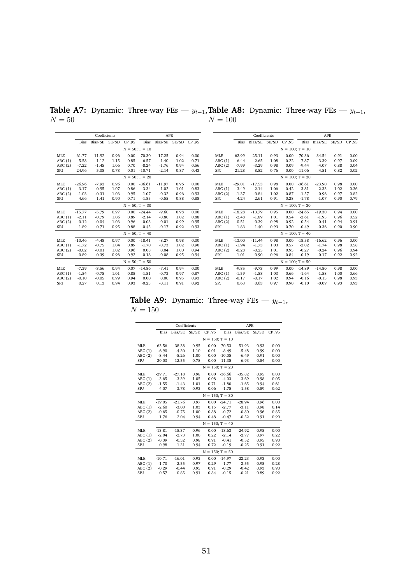|            |          | Coefficients  |      |        |                     | <b>APE</b>    |      |        |            |          | Coefficients  |      |                      |             | APE                 |      |      |
|------------|----------|---------------|------|--------|---------------------|---------------|------|--------|------------|----------|---------------|------|----------------------|-------------|---------------------|------|------|
|            | Bias     | Bias/SE SE/SD |      | CP .95 | Bias                | Bias/SE SE/SD |      | CP .95 |            | Bias     | Bias/SE SE/SD |      | CP .95               | <b>Bias</b> | Bias/SE SE/SD CP.95 |      |      |
|            |          |               |      |        | $N = 50; T = 10$    |               |      |        |            |          |               |      | $N = 100$ ; $T = 10$ |             |                     |      |      |
| <b>MLE</b> | $-61.77$ | $-11.92$      | 0.96 | 0.00   | $-70.30$            | $-17.25$      | 0.94 | 0.00   | <b>MLE</b> | $-62.99$ | $-25.11$      | 0.93 | 0.00                 | $-70.36$    | $-34.54$            | 0.91 | 0.00 |
| ABC(1)     | $-5.58$  | $-1.12$       | 1.15 | 0.85   | $-6.57$             | $-1.40$       | 1.02 | 0.71   | ABC(1)     | $-6.44$  | $-2.65$       | 1.08 | 0.22                 | $-7.87$     | $-3.39$             | 0.97 | 0.09 |
| ABC(2)     | $-7.22$  | $-1.45$       | 1.06 | 0.70   | $-8.24$             | $-1.76$       | 0.94 | 0.56   | ABC(2)     | $-7.99$  | $-3.29$       | 0.98 | 0.09                 | $-9.44$     | $-4.07$             | 0.88 | 0.04 |
| SPJ        | 24.96    | 5.08          | 0.78 | 0.01   | $-10.71$            | $-2.14$       | 0.87 | 0.43   | SPJ        | 21.28    | 8.82          | 0.76 | 0.00                 | $-11.06$    | $-4.51$             | 0.82 | 0.02 |
|            |          |               |      |        | $N = 50$ ; $T = 20$ |               |      |        |            |          |               |      | $N = 100$ ; $T = 20$ |             |                     |      |      |
| <b>MLE</b> | $-26.96$ | $-7.92$       | 0.96 | 0.00   | $-36.61$            | $-11.97$      | 0.96 | 0.00   | <b>MLE</b> | $-29.01$ | $-17.53$      | 0.98 | 0.00                 | $-36.61$    | $-23.90$            | 0.98 | 0.00 |
| ABC(1)     | $-3.17$  | $-0.95$       | 1.07 | 0.86   | $-3.34$             | $-1.02$       | 1.01 | 0.83   | ABC(1)     | $-3.49$  | $-2.14$       | 1.06 | 0.42                 | $-3.81$     | $-2.33$             | 1.02 | 0.36 |
| ABC(2)     | $-1.03$  | $-0.31$       | 1.03 | 0.95   | $-1.07$             | $-0.32$       | 0.96 | 0.93   | ABC(2)     | $-1.37$  | $-0.84$       | 1.02 | 0.87                 | $-1.57$     | $-0.96$             | 0.97 | 0.82 |
| SPJ        | 4.66     | 1.41          | 0.90 | 0.71   | $-1.85$             | $-0.55$       | 0.88 | 0.88   | SPJ        | 4.24     | 2.61          | 0.91 | 0.28                 | $-1.78$     | $-1.07$             | 0.90 | 0.79 |
|            |          |               |      |        | $N = 50$ ; T = 30   |               |      |        |            |          |               |      | $N = 100$ ; $T = 30$ |             |                     |      |      |
| <b>MLE</b> | $-15.77$ | $-5.79$       | 0.97 | 0.00   | $-24.44$            | $-9.60$       | 0.98 | 0.00   | <b>MLE</b> | $-18.28$ | $-13.79$      | 0.95 | 0.00                 | $-24.65$    | $-19.30$            | 0.94 | 0.00 |
| ABC(1)     | $-2.11$  | $-0.79$       | 1.06 | 0.89   | $-2.14$             | $-0.80$       | 1.02 | 0.88   | ABC(1)     | $-2.48$  | $-1.89$       | 1.01 | 0.54                 | $-2.61$     | $-1.95$             | 0.96 | 0.52 |
| ABC(2)     | $-0.12$  | $-0.04$       | 1.03 | 0.96   | $-0.03$             | $-0.01$       | 0.99 | 0.95   | ABC(2)     | $-0.51$  | $-0.39$       | 0.98 | 0.92                 | $-0.54$     | $-0.41$             | 0.94 | 0.91 |
| SPJ        | 1.89     | 0.71          | 0.95 | 0.88   | $-0.45$             | $-0.17$       | 0.92 | 0.93   | SPJ        | 1.83     | 1.40          | 0.93 | 0.70                 | $-0.49$     | $-0.36$             | 0.90 | 0.90 |
|            |          |               |      |        | $N = 50$ ; T = 40   |               |      |        |            |          |               |      | $N = 100$ ; T = 40   |             |                     |      |      |
| <b>MLE</b> | $-10.46$ | $-4.48$       | 0.97 | 0.00   | $-18.41$            | $-8.27$       | 0.98 | 0.00   | <b>MLE</b> | $-13.00$ | $-11.44$      | 0.98 | 0.00                 | $-18.58$    | $-16.62$            | 0.96 | 0.00 |
| ABC(1)     | $-1.72$  | $-0.75$       | 1.04 | 0.89   | $-1.70$             | $-0.73$       | 1.02 | 0.90   | ABC(1)     | $-1.94$  | $-1.73$       | 1.03 | 0.57                 | $-2.02$     | $-1.74$             | 0.98 | 0.58 |
| ABC(2)     | $-0.02$  | $-0.01$       | 1.02 | 0.96   | 0.08                | 0.04          | 1.00 | 0.94   | ABC(2)     | $-0.28$  | $-0.25$       | 1.01 | 0.95                 | $-0.27$     | $-0.24$             | 0.96 | 0.94 |
| SPJ        | 0.89     | 0.39          | 0.96 | 0.92   | $-0.18$             | $-0.08$       | 0.95 | 0.94   | SPJ        | 1.01     | 0.90          | 0.96 | 0.84                 | $-0.19$     | $-0.17$             | 0.92 | 0.92 |
|            |          |               |      |        | $N = 50; T = 50$    |               |      |        |            |          |               |      | $N = 100$ ; T = 50   |             |                     |      |      |
| <b>MLE</b> | $-7.39$  | $-3.56$       | 0.94 | 0.07   | $-14.86$            | $-7.41$       | 0.94 | 0.00   | <b>MLE</b> | $-9.85$  | $-9.73$       | 0.99 | 0.00                 | $-14.89$    | $-14.80$            | 0.98 | 0.00 |
| ABC(1)     | $-1.54$  | $-0.75$       | 1.01 | 0.88   | $-1.51$             | $-0.73$       | 0.97 | 0.87   | ABC(1)     | $-1.59$  | $-1.58$       | 1.03 | 0.66                 | $-1.64$     | $-1.58$             | 1.00 | 0.66 |
| ABC(2)     | $-0.10$  | $-0.05$       | 0.99 | 0.94   | 0.00                | 0.00          | 0.95 | 0.93   | ABC(2)     | $-0.17$  | $-0.17$       | 1.02 | 0.94                 | $-0.16$     | $-0.15$             | 0.98 | 0.93 |
| SPJ        | 0.27     | 0.13          | 0.94 | 0.93   | $-0.23$             | $-0.11$       | 0.91 | 0.92   | <b>SPJ</b> | 0.63     | 0.63          | 0.97 | 0.90                 | $-0.10$     | $-0.09$             | 0.93 | 0.93 |

**Table A7:** Dynamic: Three-way FEs —  $y_{t-1}$ , **Table A8:** Dynamic: Three-way FEs —  $y_{t-1}$ ,  ${\cal N}=50$  ${\cal N}=100$ 

**Table A9:** Dynamic: Three-way FEs —  $y_{t-1}$ ,  ${\cal N}=150$ 

|            |             | Coefficients |       |                      |             | <b>APE</b> |       |        |
|------------|-------------|--------------|-------|----------------------|-------------|------------|-------|--------|
|            | <b>Bias</b> | Bias/SE      | SE/SD | CP .95               | <b>Bias</b> | Bias/SE    | SE/SD | CP .95 |
|            |             |              |       | $N = 150$ ; $T = 10$ |             |            |       |        |
| <b>MLE</b> | $-63.56$    | $-38.38$     | 0.95  | 0.00                 | $-70.53$    | $-51.93$   | 0.93  | 0.00   |
| ABC(1)     | $-6.90$     | $-4.30$      | 1.10  | 0.01                 | $-8.49$     | $-5.48$    | 0.99  | 0.00   |
| ABC(2)     | $-8.44$     | $-5.26$      | 1.00  | 0.00                 | $-10.05$    | $-6.49$    | 0.91  | 0.00   |
| <b>SPJ</b> | 20.03       | 12.55        | 0.78  | 0.00                 | $-11.35$    | $-6.93$    | 0.84  | 0.00   |
|            |             |              |       | $N = 150$ : T = 20   |             |            |       |        |
| <b>MLE</b> | $-29.71$    | $-27.18$     | 0.98  | 0.00                 | $-36.66$    | $-35.82$   | 0.95  | 0.00   |
| ABC(1)     | $-3.65$     | $-3.39$      | 1.05  | 0.08                 | $-4.03$     | $-3.69$    | 0.98  | 0.05   |
| ABC(2)     | $-1.55$     | $-1.43$      | 1.01  | 0.71                 | $-1.80$     | $-1.65$    | 0.94  | 0.61   |
| <b>SPJ</b> | 4.07        | 3.78         | 0.93  | 0.06                 | $-1.75$     | $-1.58$    | 0.89  | 0.62   |
|            |             |              |       | $N = 150$ ; $T = 30$ |             |            |       |        |
| <b>MLE</b> | $-19.05$    | $-21.76$     | 0.97  | 0.00                 | $-24.71$    | $-28.94$   | 0.96  | 0.00   |
| ABC(1)     | $-2.60$     | $-3.00$      | 1.03  | 0.15                 | $-2.77$     | $-3.11$    | 0.98  | 0.14   |
| ABC(2)     | $-0.65$     | $-0.75$      | 1.00  | 0.88                 | $-0.72$     | $-0.80$    | 0.96  | 0.85   |
| <b>SPJ</b> | 1.76        | 2.04         | 0.94  | 0.48                 | $-0.47$     | $-0.52$    | 0.91  | 0.90   |
|            |             |              |       | $N = 150$ : T = 40   |             |            |       |        |
| <b>MLE</b> | $-13.81$    | $-18.37$     | 0.96  | 0.00                 | $-18.63$    | $-24.92$   | 0.95  | 0.00   |
| ABC(1)     | $-2.04$     | $-2.73$      | 1.00  | 0.22                 | $-2.14$     | $-2.77$    | 0.97  | 0.22   |
| ABC(2)     | $-0.39$     | $-0.52$      | 0.98  | 0.91                 | $-0.41$     | $-0.52$    | 0.95  | 0.90   |
| <b>SPJ</b> | 0.98        | 1.31         | 0.94  | 0.72                 | $-0.19$     | $-0.25$    | 0.91  | 0.92   |
|            |             |              |       | $N = 150$ : T = 50   |             |            |       |        |
| <b>MLE</b> | $-10.71$    | $-16.01$     | 0.93  | 0.00                 | $-14.97$    | $-22.23$   | 0.93  | 0.00   |
| ABC(1)     | $-1.70$     | $-2.55$      | 0.97  | 0.29                 | $-1.77$     | $-2.55$    | 0.95  | 0.28   |
| ABC(2)     | $-0.29$     | $-0.44$      | 0.95  | 0.91                 | $-0.29$     | $-0.42$    | 0.93  | 0.90   |
| <b>SPJ</b> | 0.57        | 0.85         | 0.91  | 0.84                 | $-0.15$     | $-0.21$    | 0.89  | 0.92   |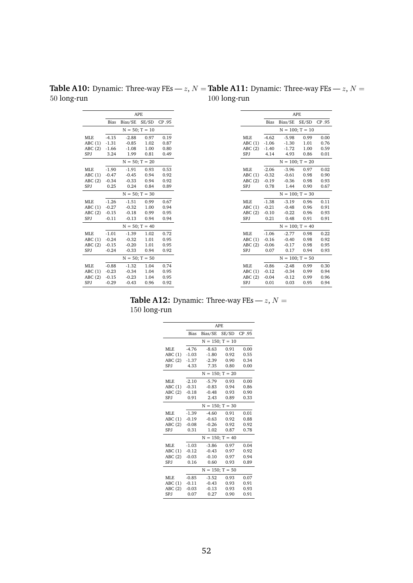<span id="page-54-0"></span>**Table A10:** Dynamic: Three-way FEs —  $z$ ,  $N =$ 50 long-run **Table A11:** Dynamic: Three-way FEs —  $z$ ,  $N =$ 100 long-run

|                            |         |               | <b>APE</b>       |        |            |             |                      | <b>APE</b> |
|----------------------------|---------|---------------|------------------|--------|------------|-------------|----------------------|------------|
| Bias                       |         | Bias/SE SE/SD |                  | CP .95 |            | <b>Bias</b> | Bias/SE SE/SD        |            |
|                            |         |               | $N = 50; T = 10$ |        |            |             | $N = 100$ ; $T = 10$ |            |
| $-4.15$                    |         | $-2.88$       | 0.97             | 0.19   | MLE        | $-4.62$     | $-5.98$              | 0.99       |
| $-1.31$<br>$-0.85$         |         |               | 1.02             | 0.87   | ABC(1)     | $-1.06$     | $-1.30$              |            |
| $-1.66$<br>$-1.08$         |         |               | 1.00             | 0.80   | ABC(2)     | $-1.40$     | $-1.72$              |            |
| 3.24<br>1.99               |         |               | 0.81             | 0.49   | SPJ        | 4.14        | 4.93                 |            |
| $N = 50; T = 20$           |         |               |                  |        |            |             | $N = 100; T = 20$    |            |
| $-1.90$<br>$-1.91$         |         |               | 0.93             | 0.53   | MLE        | $-2.06$     | $-3.96$              | 0.97       |
| $-0.47$<br>$-0.45$         |         |               | 0.94             | 0.92   | ABC(1)     | $-0.32$     | $-0.61$              | 0.98       |
| $-0.34$<br>$-0.33$<br>0.94 |         |               |                  | 0.92   | ABC(2)     | $-0.19$     | $-0.36$              | 0.98       |
| 0.24<br>0.25               |         |               | 0.84             | 0.89   | SPJ        | 0.78        | 1.44                 | 0.90       |
| $N = 50$ ; $T = 30$        |         |               |                  |        |            |             | $N = 100$ ; $T = 30$ |            |
| $-1.26$<br>$-1.51$         |         |               | 0.99             | 0.67   | <b>MLE</b> | $-1.38$     | $-3.19$              | 0.96       |
| $-0.27$<br>$-0.32$         |         |               | 1.00             | 0.94   | ABC(1)     | $-0.21$     | $-0.48$              | 0.96       |
| $-0.15$<br>$-0.18$         |         |               | 0.99             | 0.95   | ABC(2)     | $-0.10$     | $-0.22$              | 0.96       |
| $-0.11$<br>$-0.13$         |         |               | 0.94             | 0.94   | SPJ        | 0.21        | 0.48                 | 0.91       |
|                            |         |               | $N = 50; T = 40$ |        |            |             | $N = 100$ ; $T = 40$ |            |
| $-1.01$                    |         | $-1.39$       | 1.02             | 0.72   | MLE        | $-1.06$     | $-2.77$              | 0.98       |
| $-0.24$                    |         | $-0.32$       | 1.01             | 0.95   | ABC(1)     | $-0.16$     | $-0.40$              | 0.98       |
| $-0.15$                    |         | $-0.20$       | 1.01             | 0.95   | ABC(2)     | $-0.06$     | $-0.17$              | 0.98       |
| $-0.24$                    |         | $-0.33$       | 0.94             | 0.92   | SPJ        | 0.07        | 0.17                 | 0.94       |
|                            |         |               | $N = 50; T = 50$ |        |            |             | $N = 100$ ; $T = 50$ |            |
| $-0.88$                    |         | $-1.32$       | 1.04             | 0.74   | <b>MLE</b> | $-0.86$     | $-2.48$              | 0.99       |
| $-0.23$                    |         | $-0.34$       | 1.04             | 0.95   | ABC(1)     | $-0.12$     | $-0.34$              | 0.99       |
| $-0.15$                    |         | $-0.23$       | 1.04             | 0.95   | ABC(2)     | $-0.04$     | $-0.12$              |            |
| $-0.29$                    | $-0.43$ |               | 0.96             | 0.92   | SPJ        | 0.01        | 0.03                 | 0.95       |

**Table A12:** Dynamic: Three-way FEs —  $z$ ,  $N =$ 150 long-run

|            |             |         | APF.                 |       |
|------------|-------------|---------|----------------------|-------|
|            | <b>Bias</b> | Bias/SE | SE/SD                | CP.95 |
|            |             |         | $N = 150; T = 10$    |       |
| MLE.       | $-4.76$     | $-8.63$ | 0.91                 | 0.00  |
| ABC(1)     | $-1.03$     | $-1.80$ | 0.92                 | 0.55  |
| ABC(2)     | $-1.37$     | $-2.39$ | 0.90                 | 0.34  |
| SPJ        | 4.33        | 7.35    | 0.80                 | 0.00  |
|            |             |         | $N = 150$ ; $T = 20$ |       |
| MLE.       | $-2.10$     | $-5.79$ | 0.93                 | 0.00  |
| ABC(1)     | $-0.31$     | $-0.83$ | 0.94                 | 0.86  |
| ABC(2)     | $-0.18$     | $-0.48$ | 0.93                 | 0.90  |
| SPJ        | 0.91        | 2.43    | 0.89                 | 0.33  |
|            |             |         | $N = 150$ ; $T = 30$ |       |
| MLE        | $-1.39$     | $-4.60$ | 0.91                 | 0.01  |
| ABC(1)     | $-0.19$     | $-0.63$ | 0.92                 | 0.88  |
| ABC(2)     | $-0.08$     | $-0.26$ | 0.92                 | 0.92  |
| SPJ        | 0.31        | 1.02    | 0.87                 | 0.78  |
|            |             |         | $N = 150$ ; T = 40   |       |
| <b>MLE</b> | $-1.03$     | $-3.86$ | 0.97                 | 0.04  |
| ABC(1)     | $-0.12$     | $-0.43$ | 0.97                 | 0.92  |
| ABC(2)     | $-0.03$     | $-0.10$ | 0.97                 | 0.94  |
| SPJ        | 0.16        | 0.60    | 0.93                 | 0.89  |
|            |             |         | $N = 150$ ; $T = 50$ |       |
| <b>MLE</b> | $-0.85$     | $-3.52$ | 0.93                 | 0.07  |
| ABC(1)     | $-0.11$     | $-0.43$ | 0.93                 | 0.91  |
| ABC(2)     | $-0.03$     | $-0.13$ | 0.93                 | 0.93  |
| SPJ        | 0.07        | 0.27    | 0.90                 | 0.91  |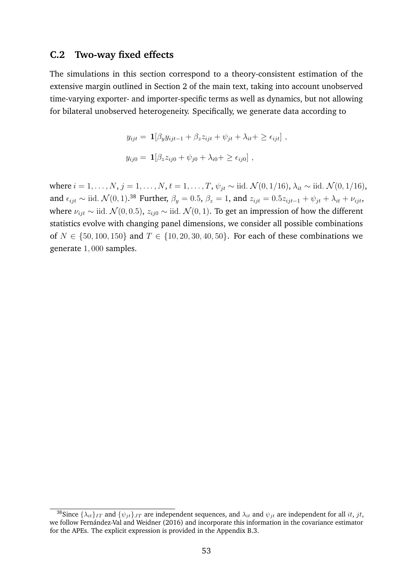## <span id="page-55-0"></span>**C.2 Two-way fixed effects**

The simulations in this section correspond to a theory-consistent estimation of the extensive margin outlined in Section [2](#page-8-0) of the main text, taking into account unobserved time-varying exporter- and importer-specific terms as well as dynamics, but not allowing for bilateral unobserved heterogeneity. Specifically, we generate data according to

$$
y_{ijt} = \mathbf{1}[\beta_y y_{ijt-1} + \beta_z z_{ijt} + \psi_{jt} + \lambda_{it} + \ge \epsilon_{ijt}],
$$
  

$$
y_{ij0} = \mathbf{1}[\beta_z z_{ij0} + \psi_{j0} + \lambda_{i0} + \ge \epsilon_{ij0}],
$$

where  $i = 1, ..., N$ ,  $j = 1, ..., N$ ,  $t = 1, ..., T$ ,  $\psi_{it} \sim$  iid.  $\mathcal{N}(0, 1/16)$ ,  $\lambda_{it} \sim$  iid.  $\mathcal{N}(0, 1/16)$ , and  $\epsilon_{ijt} \sim$  iid.  $\mathcal{N}(0, 1)$ .<sup>[38](#page-55-1)</sup> Further,  $\beta_y = 0.5$ ,  $\beta_z = 1$ , and  $z_{ijt} = 0.5z_{ijt-1} + \psi_{jt} + \lambda_{it} + \nu_{ijt}$ , where  $\nu_{ijt} \sim$  iid.  $\mathcal{N}(0, 0.5)$ ,  $z_{ij0} \sim$  iid.  $\mathcal{N}(0, 1)$ . To get an impression of how the different statistics evolve with changing panel dimensions, we consider all possible combinations of  $N \in \{50, 100, 150\}$  and  $T \in \{10, 20, 30, 40, 50\}$ . For each of these combinations we generate 1, 000 samples.

<span id="page-55-1"></span><sup>&</sup>lt;sup>38</sup>Since  $\{\lambda_{it}\}_{IT}$  and  $\{\psi_{it}\}_{JT}$  are independent sequences, and  $\lambda_{it}$  and  $\psi_{it}$  are independent for all it, jt, we follow Fernández-Val and Weidner [\(2016\)](#page-35-7) and incorporate this information in the covariance estimator for the APEs. The explicit expression is provided in the Appendix [B.3.](#page-45-0)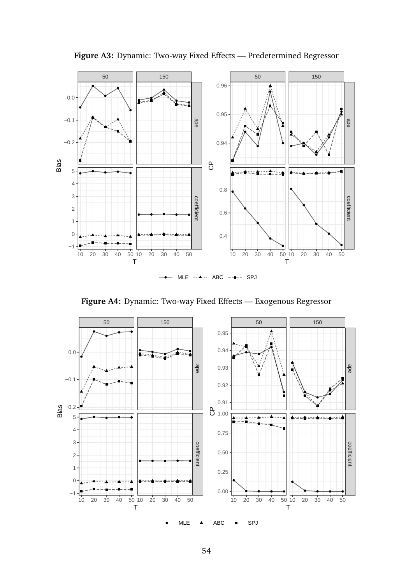

**Figure A3:** Dynamic: Two-way Fixed Effects — Predetermined Regressor

**Figure A4:** Dynamic: Two-way Fixed Effects — Exogenous Regressor



 $MLE - + \rightarrow -$  ABC  $- +$ - SPJ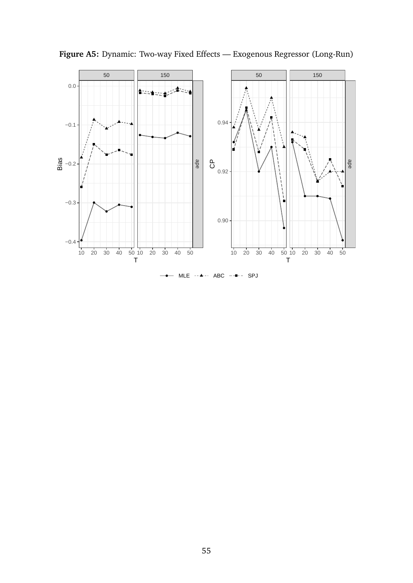

**Figure A5:** Dynamic: Two-way Fixed Effects — Exogenous Regressor (Long-Run)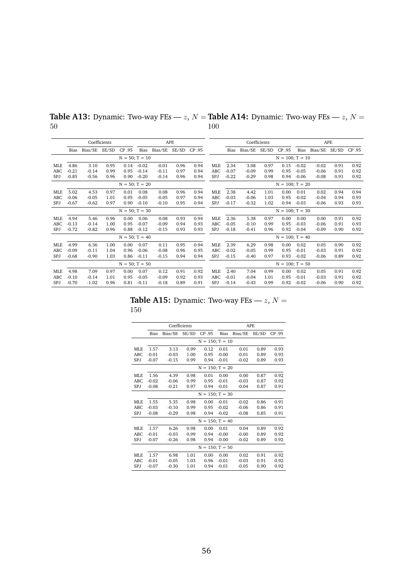|            |         | Coefficients<br><b>APE</b> |       |                     |         |         |       |        |            |         | Coefficients |       |                      |         | APE     |       |        |
|------------|---------|----------------------------|-------|---------------------|---------|---------|-------|--------|------------|---------|--------------|-------|----------------------|---------|---------|-------|--------|
|            | Bias    | Bias/SE                    | SE/SD | CP .95              | Bias    | Bias/SE | SE/SD | CP .95 |            | Bias    | Bias/SE      | SE/SD | CP .95               | Bias    | Bias/SE | SE/SD | CP .95 |
|            |         |                            |       | $N = 50; T = 10$    |         |         |       |        |            |         |              |       | $N = 100$ ; $T = 10$ |         |         |       |        |
| MLE        | 4.86    | 3.10                       | 0.95  | 0.14                | $-0.02$ | $-0.01$ | 0.96  | 0.94   | <b>MLE</b> | 2.34    | 3.08         | 0.97  | 0.15                 | $-0.02$ | $-0.02$ | 0.91  | 0.92   |
| ABC        | $-0.21$ | $-0.14$                    | 0.99  | 0.95                | $-0.14$ | $-0.11$ | 0.97  | 0.94   | ABC        | $-0.07$ | $-0.09$      | 0.99  | 0.95                 | $-0.05$ | $-0.06$ | 0.91  | 0.92   |
| SPJ        | $-0.85$ | $-0.56$                    | 0.96  | 0.90                | $-0.20$ | $-0.14$ | 0.96  | 0.94   | SPJ        | $-0.22$ | $-0.29$      | 0.98  | 0.94                 | $-0.06$ | $-0.08$ | 0.91  | 0.92   |
|            |         |                            |       | $N = 50$ ; $T = 20$ |         |         |       |        |            |         |              |       | $N = 100$ ; $T = 20$ |         |         |       |        |
| MLE        | 5.02    | 4.53                       | 0.97  | 0.01                | 0.08    | 0.08    | 0.96  | 0.94   | <b>MLE</b> | 2.38    | 4.42         | 1.01  | 0.00                 | 0.01    | 0.02    | 0.94  | 0.94   |
| ABC        | $-0.06$ | $-0.05$                    | 1.01  | 0.95                | $-0.05$ | $-0.05$ | 0.97  | 0.94   | ABC        | $-0.03$ | $-0.06$      | 1.03  | 0.95                 | $-0.02$ | $-0.04$ | 0.94  | 0.93   |
| <b>SPJ</b> | $-0.67$ | $-0.62$                    | 0.97  | 0.90                | $-0.10$ | $-0.10$ | 0.95  | 0.94   | SPJ        | $-0.17$ | $-0.32$      | 1.02  | 0.94                 | $-0.03$ | $-0.06$ | 0.93  | 0.93   |
|            |         |                            |       | $N = 50; T = 30$    |         |         |       |        |            |         |              |       | $N = 100; T = 30$    |         |         |       |        |
| MLE        | 4.94    | 5.46                       | 0.96  | 0.00                | 0.06    | 0.08    | 0.93  | 0.94   | <b>MLE</b> | 2.36    | 5.38         | 0.97  | 0.00                 | 0.00    | 0.00    | 0.91  | 0.92   |
| ABC        | $-0.13$ | $-0.14$                    | 1.00  | 0.95                | $-0.07$ | $-0.09$ | 0.94  | 0.93   | ABC        | $-0.05$ | $-0.10$      | 0.99  | 0.95                 | $-0.03$ | $-0.06$ | 0.91  | 0.93   |
| <b>SPJ</b> | $-0.72$ | $-0.82$                    | 0.96  | 0.88                | $-0.12$ | $-0.15$ | 0.93  | 0.93   | SPJ        | $-0.18$ | $-0.41$      | 0.96  | 0.92                 | $-0.04$ | $-0.09$ | 0.90  | 0.92   |
|            |         |                            |       | $N = 50$ ; $T = 40$ |         |         |       |        |            |         |              |       | $N = 100$ ; $T = 40$ |         |         |       |        |
| <b>MLE</b> | 4.99    | 6.36                       | 1.00  | 0.00                | 0.07    | 0.11    | 0.95  | 0.94   | <b>MLE</b> | 2.39    | 6.29         | 0.98  | 0.00                 | 0.02    | 0.05    | 0.90  | 0.92   |
| ABC        | $-0.09$ | $-0.11$                    | 1.04  | 0.96                | $-0.06$ | $-0.08$ | 0.96  | 0.95   | ABC        | $-0.02$ | $-0.05$      | 0.99  | 0.95                 | $-0.01$ | $-0.03$ | 0.91  | 0.92   |
| SPJ        | $-0.68$ | $-0.90$                    | 1.03  | 0.86                | $-0.11$ | $-0.15$ | 0.94  | 0.94   | SPJ        | $-0.15$ | $-0.40$      | 0.97  | 0.93                 | $-0.02$ | $-0.06$ | 0.89  | 0.92   |
|            |         |                            |       | $N = 50; T = 50$    |         |         |       |        |            |         |              |       | $N = 100$ ; $T = 50$ |         |         |       |        |
| <b>MLE</b> | 4.98    | 7.09                       | 0.97  | 0.00                | 0.07    | 0.12    | 0.91  | 0.92   | <b>MLE</b> | 2.40    | 7.04         | 0.99  | 0.00                 | 0.02    | 0.05    | 0.91  | 0.92   |
| ABC        | $-0.10$ | $-0.14$                    | 1.01  | 0.95                | $-0.05$ | $-0.09$ | 0.92  | 0.93   | ABC        | $-0.01$ | $-0.04$      | 1.01  | 0.95                 | $-0.01$ | $-0.03$ | 0.91  | 0.92   |
| SPJ        | $-0.70$ | $-1.02$                    | 0.96  | 0.81                | $-0.11$ | $-0.18$ | 0.89  | 0.91   | SPJ        | $-0.14$ | $-0.43$      | 0.99  | 0.92                 | $-0.02$ | $-0.06$ | 0.90  | 0.92   |

**Table A13:** Dynamic: Two-way FEs —  $z$ ,  $N =$  **Table A14:** Dynamic: Two-way FEs —  $z$ ,  $N =$ 50 100

**Table A15:** Dynamic: Two-way FEs —  $z$ ,  $N =$ 150

L.

|                 |         |         | Coefficients |                      | <b>APE</b> |         |       |        |  |  |
|-----------------|---------|---------|--------------|----------------------|------------|---------|-------|--------|--|--|
|                 | Bias    | Bias/SE | SE/SD        | CP .95               | Bias       | Bias/SE | SE/SD | CP .95 |  |  |
|                 |         |         |              | $N = 150$ ; $T = 10$ |            |         |       |        |  |  |
| ML <sub>F</sub> | 1.57    | 3.13    | 0.99         | 0.12                 | 0.01       | 0.01    | 0.89  | 0.93   |  |  |
| ABC             | $-0.01$ | $-0.03$ | 1.00         | 0.95                 | $-0.00$    | $-0.01$ | 0.89  | 0.93   |  |  |
| SPJ             | $-0.07$ | $-0.15$ | 0.99         | 0.94                 | $-0.01$    | $-0.02$ | 0.89  | 0.93   |  |  |
|                 |         |         |              | $N = 150$ ; $T = 20$ |            |         |       |        |  |  |
| <b>MLE</b>      | 1.56    | 4.39    | 0.98         | 0.01                 | 0.00       | 0.00    | 0.87  | 0.92   |  |  |
| ABC             | $-0.02$ | $-0.06$ | 0.99         | 0.95                 | $-0.01$    | $-0.03$ | 0.87  | 0.92   |  |  |
| SPJ             | $-0.08$ | $-0.21$ | 0.97         | 0.94                 | $-0.01$    | $-0.04$ | 0.87  | 0.91   |  |  |
|                 |         |         |              | $N = 150$ ; $T = 30$ |            |         |       |        |  |  |
| <b>MLE</b>      | 1.55    | 5.35    | 0.98         | 0.00                 | $-0.01$    | $-0.02$ | 0.86  | 0.91   |  |  |
| ABC             | $-0.03$ | $-0.10$ | 0.99         | 0.95                 | $-0.02$    | $-0.06$ | 0.86  | 0.91   |  |  |
| SPJ             | $-0.08$ | $-0.29$ | 0.98         | 0.94                 | $-0.02$    | $-0.08$ | 0.85  | 0.91   |  |  |
|                 |         |         |              | $N = 150$ ; $T = 40$ |            |         |       |        |  |  |
| ML <sub>F</sub> | 1.57    | 6.26    | 0.98         | 0.00                 | 0.01       | 0.04    | 0.89  | 0.92   |  |  |
| ABC             | $-0.01$ | $-0.03$ | 0.99         | 0.94                 | $-0.00$    | $-0.00$ | 0.89  | 0.92   |  |  |
| SPJ             | $-0.07$ | $-0.26$ | 0.98         | 0.94                 | $-0.00$    | $-0.02$ | 0.89  | 0.92   |  |  |
|                 |         |         |              | $N = 150$ ; $T = 50$ |            |         |       |        |  |  |
| <b>MLE</b>      | 1.57    | 6.98    | 1.01         | 0.00                 | 0.00       | 0.02    | 0.91  | 0.92   |  |  |
| ABC             | $-0.01$ | $-0.05$ | 1.03         | 0.96                 | $-0.01$    | $-0.03$ | 0.91  | 0.92   |  |  |
| SPJ             | $-0.07$ | $-0.30$ | 1.01         | 0.94                 | $-0.01$    | $-0.05$ | 0.90  | 0.92   |  |  |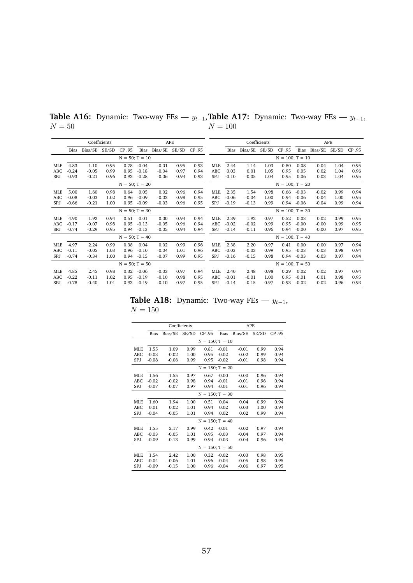|        |  | <b>Table A16:</b> Dynamic: Two-way FEs — $y_{t-1}$ , <b>Table A17:</b> Dynamic: Two-way FEs — $y_{t-1}$ , |  |  |
|--------|--|-----------------------------------------------------------------------------------------------------------|--|--|
| $N=50$ |  | $N = 100$                                                                                                 |  |  |

|            |         |         | Coefficients<br><b>APE</b> |                     |         |         |       |        |            |         | Coefficients |       |                      |         | <b>APE</b>   |       |        |
|------------|---------|---------|----------------------------|---------------------|---------|---------|-------|--------|------------|---------|--------------|-------|----------------------|---------|--------------|-------|--------|
|            | Bias    | Bias/SE | SE/SD                      | CP .95              | Bias    | Bias/SE | SE/SD | CP .95 |            | Bias    | Bias/SE      | SE/SD | CP .95               |         | Bias Bias/SE | SE/SD | CP .95 |
|            |         |         |                            | $N = 50; T = 10$    |         |         |       |        |            |         |              |       | $N = 100$ ; $T = 10$ |         |              |       |        |
| <b>MLE</b> | 4.83    | 1.10    | 0.95                       | 0.78                | $-0.04$ | $-0.01$ | 0.95  | 0.93   | <b>MLE</b> | 2.44    | 1.14         | 1.03  | 0.80                 | 0.08    | 0.04         | 1.04  | 0.95   |
| ABC        | $-0.24$ | $-0.05$ | 0.99                       | 0.95                | $-0.18$ | $-0.04$ | 0.97  | 0.94   | ABC        | 0.03    | 0.01         | 1.05  | 0.95                 | 0.05    | 0.02         | 1.04  | 0.96   |
| SPJ        | $-0.93$ | $-0.21$ | 0.96                       | 0.93                | $-0.28$ | $-0.06$ | 0.94  | 0.93   | <b>SPJ</b> | $-0.10$ | $-0.05$      | 1.04  | 0.95                 | 0.06    | 0.03         | 1.04  | 0.95   |
|            |         |         |                            | $N = 50; T = 20$    |         |         |       |        |            |         |              |       | $N = 100; T = 20$    |         |              |       |        |
| MLE        | 5.00    | 1.60    | 0.98                       | 0.64                | 0.05    | 0.02    | 0.96  | 0.94   | <b>MLE</b> | 2.35    | 1.54         | 0.98  | 0.66                 | $-0.03$ | $-0.02$      | 0.99  | 0.94   |
| ABC        | $-0.08$ | $-0.03$ | 1.02                       | 0.96                | $-0.09$ | $-0.03$ | 0.98  | 0.95   | ABC        | $-0.06$ | $-0.04$      | 1.00  | 0.94                 | $-0.06$ | $-0.04$      | 1.00  | 0.95   |
| <b>SPJ</b> | $-0.66$ | $-0.21$ | 1.00                       | 0.95                | $-0.09$ | $-0.03$ | 0.96  | 0.95   | SPJ        | $-0.19$ | $-0.13$      | 0.99  | 0.94                 | $-0.06$ | $-0.04$      | 0.99  | 0.94   |
|            |         |         |                            | $N = 50; T = 30$    |         |         |       |        |            |         |              |       | $N = 100; T = 30$    |         |              |       |        |
| MLE        | 4.90    | 1.92    | 0.94                       | 0.51                | 0.01    | 0.00    | 0.94  | 0.94   | MLE        | 2.39    | 1.92         | 0.97  | 0.52                 | 0.03    | 0.02         | 0.99  | 0.95   |
| <b>ABC</b> | $-0.17$ | $-0.07$ | 0.98                       | 0.95                | $-0.13$ | $-0.05$ | 0.96  | 0.94   | ABC        | $-0.02$ | $-0.02$      | 0.99  | 0.95                 | $-0.00$ | $-0.00$      | 0.99  | 0.95   |
| <b>SPJ</b> | $-0.74$ | $-0.29$ | 0.95                       | 0.94                | $-0.13$ | $-0.05$ | 0.94  | 0.94   | <b>SPJ</b> | $-0.14$ | $-0.11$      | 0.96  | 0.94                 | $-0.00$ | $-0.00$      | 0.97  | 0.95   |
|            |         |         |                            | $N = 50$ ; $T = 40$ |         |         |       |        |            |         |              |       | $N = 100$ ; $T = 40$ |         |              |       |        |
| <b>MLE</b> | 4.97    | 2.24    | 0.99                       | 0.38                | 0.04    | 0.02    | 0.99  | 0.96   | <b>MLE</b> | 2.38    | 2.20         | 0.97  | 0.41                 | 0.00    | 0.00         | 0.97  | 0.94   |
| <b>ABC</b> | $-0.11$ | $-0.05$ | 1.03                       | 0.96                | $-0.10$ | $-0.04$ | 1.01  | 0.96   | ABC        | $-0.03$ | $-0.03$      | 0.99  | 0.95                 | $-0.03$ | $-0.03$      | 0.98  | 0.94   |
| <b>SPJ</b> | $-0.74$ | $-0.34$ | 1.00                       | 0.94                | $-0.15$ | $-0.07$ | 0.99  | 0.95   | SPJ        | $-0.16$ | $-0.15$      | 0.98  | 0.94                 | $-0.03$ | $-0.03$      | 0.97  | 0.94   |
|            |         |         |                            | $N = 50$ ; T = 50   |         |         |       |        |            |         |              |       | $N = 100$ ; $T = 50$ |         |              |       |        |
| <b>MLE</b> | 4.85    | 2.45    | 0.98                       | 0.32                | $-0.06$ | $-0.03$ | 0.97  | 0.94   | <b>MLE</b> | 2.40    | 2.48         | 0.98  | 0.29                 | 0.02    | 0.02         | 0.97  | 0.94   |
| ABC        | $-0.22$ | $-0.11$ | 1.02                       | 0.95                | $-0.19$ | $-0.10$ | 0.98  | 0.95   | ABC        | $-0.01$ | $-0.01$      | 1.00  | 0.95                 | $-0.01$ | $-0.01$      | 0.98  | 0.95   |
| SPJ        | $-0.78$ | $-0.40$ | 1.01                       | 0.93                | $-0.19$ | $-0.10$ | 0.97  | 0.95   | SPJ        | $-0.14$ | $-0.15$      | 0.97  | 0.93                 | $-0.02$ | $-0.02$      | 0.96  | 0.93   |

**Table A18:** Dynamic: Two-way FEs —  $y_{t-1}$ ,  $N=150\,$ 

|            |             |         | Coefficients |                      |             |         | <b>APE</b> |        |
|------------|-------------|---------|--------------|----------------------|-------------|---------|------------|--------|
|            | <b>Bias</b> | Bias/SE | SE/SD        | CP .95               | <b>Bias</b> | Bias/SE | SE/SD      | CP .95 |
|            |             |         |              | $N = 150$ ; $T = 10$ |             |         |            |        |
| MLE        | 1.55        | 1.09    | 0.99         | 0.81                 | $-0.01$     | $-0.01$ | 0.99       | 0.94   |
| ABC        | $-0.03$     | $-0.02$ | 1.00         | 0.95                 | $-0.02$     | $-0.02$ | 0.99       | 0.94   |
| SPJ        | $-0.08$     | $-0.06$ | 0.99         | 0.95                 | $-0.02$     | $-0.01$ | 0.98       | 0.94   |
|            |             |         |              | $N = 150$ ; $T = 20$ |             |         |            |        |
| <b>MLE</b> | 1.56        | 1.55    | 0.97         | 0.67                 | $-0.00$     | $-0.00$ | 0.96       | 0.94   |
| ABC        | $-0.02$     | $-0.02$ | 0.98         | 0.94                 | $-0.01$     | $-0.01$ | 0.96       | 0.94   |
| SPJ        | $-0.07$     | $-0.07$ | 0.97         | 0.94                 | $-0.01$     | $-0.01$ | 0.96       | 0.94   |
|            |             |         |              | $N = 150$ ; $T = 30$ |             |         |            |        |
| <b>MLE</b> | 1.60        | 1.94    | 1.00         | 0.51                 | 0.04        | 0.04    | 0.99       | 0.94   |
| ABC        | 0.01        | 0.02    | 1.01         | 0.94                 | 0.02        | 0.03    | 1.00       | 0.94   |
| SPJ        | $-0.04$     | $-0.05$ | 1.01         | 0.94                 | 0.02        | 0.02    | 0.99       | 0.94   |
|            |             |         |              | $N = 150$ ; $T = 40$ |             |         |            |        |
| MLE.       | 1.55        | 2.17    | 0.99         | 0.42                 | $-0.01$     | $-0.02$ | 0.97       | 0.94   |
| ABC        | $-0.03$     | $-0.05$ | 1.01         | 0.95                 | $-0.03$     | $-0.04$ | 0.97       | 0.94   |
| SPJ        | $-0.09$     | $-0.13$ | 0.99         | 0.94                 | $-0.03$     | $-0.04$ | 0.96       | 0.94   |
|            |             |         |              | $N = 150$ ; $T = 50$ |             |         |            |        |
| <b>MLE</b> | 1.54        | 2.42    | 1.00         | 0.32                 | $-0.02$     | $-0.03$ | 0.98       | 0.95   |
| ABC        | $-0.04$     | $-0.06$ | 1.01         | 0.96                 | $-0.04$     | $-0.05$ | 0.98       | 0.95   |
| SPJ        | $-0.09$     | $-0.15$ | 1.00         | 0.96                 | $-0.04$     | $-0.06$ | 0.97       | 0.95   |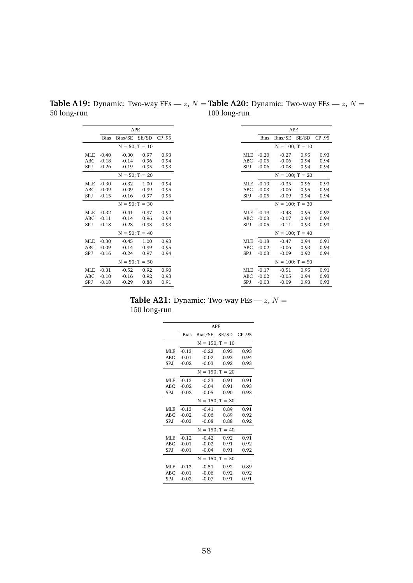|                       | <b>Table A19:</b> Dynamic: Two-way FEs — <i>z</i> , $N =$ <b>Table A20:</b> Dynamic: Two-way FEs — <i>z</i> , $N =$ |
|-----------------------|---------------------------------------------------------------------------------------------------------------------|
| $50 \text{ long-run}$ | $100$ long-run                                                                                                      |

|            |         |               | <b>APE</b>          |        |
|------------|---------|---------------|---------------------|--------|
|            | Bias    | Bias/SE SE/SD |                     | CP .95 |
|            |         |               | $N = 50; T = 10$    |        |
| <b>MLE</b> | $-0.40$ | $-0.30$       | 0.97                | 0.93   |
| ABC        | $-0.18$ | $-0.14$       | 0.96                | 0.94   |
| SPJ        | $-0.26$ | $-0.19$       | 0.95                | 0.93   |
|            |         |               | $N = 50; T = 20$    |        |
| <b>MLE</b> | $-0.30$ | $-0.32$       | 1.00                | 0.94   |
| ABC        | $-0.09$ | $-0.09$       | 0.99                | 0.95   |
| SPJ        | $-0.15$ | $-0.16$       | 0.97                | 0.95   |
|            |         |               | $N = 50; T = 30$    |        |
| MLE        | $-0.32$ | $-0.41$       | 0.97                | 0.92   |
| ABC        | $-0.11$ | $-0.14$       | 0.96                | 0.94   |
| SPJ        | $-0.18$ | $-0.23$       | 0.93                | 0.93   |
|            |         |               | $N = 50; T = 40$    |        |
| <b>MLE</b> | $-0.30$ | $-0.45$       | 1.00                | 0.93   |
| <b>ABC</b> | $-0.09$ | $-0.14$       | 0.99                | 0.95   |
| SPJ        | $-0.16$ | $-0.24$       | 0.97                | 0.94   |
|            |         |               | $N = 50$ ; $T = 50$ |        |
| MLE        | $-0.31$ | $-0.52$       | 0.92                | 0.90   |
| <b>ABC</b> | $-0.10$ | $-0.16$       | 0.92                | 0.93   |
| SPJ        | $-0.18$ | $-0.29$       | 0.88                | 0.91   |

**Table A21:** Dynamic: Two-way FEs —  $z$ ,  $N =$ 150 long-run

|            | APF.        |         |                      |        |  |  |
|------------|-------------|---------|----------------------|--------|--|--|
|            | <b>Bias</b> | Bias/SE | SE/SD                | CP .95 |  |  |
|            |             |         | $N = 150; T = 10$    |        |  |  |
| MLE.       | $-0.13$     | $-0.22$ | 0.93                 | 0.93   |  |  |
| ABC        | $-0.01$     | $-0.02$ | 0.93                 | 0.94   |  |  |
| SPJ.       | $-0.02$     | $-0.03$ | 0.92                 | 0.93   |  |  |
|            |             |         | $N = 150; T = 20$    |        |  |  |
| MLE.       | $-0.13$     | $-0.33$ | 0.91                 | 0.91   |  |  |
| ABC        | $-0.02$     | $-0.04$ | 0.91                 | 0.93   |  |  |
| SPJ        | $-0.02$     | $-0.05$ | 0.90                 | 0.93   |  |  |
|            |             |         | $N = 150; T = 30$    |        |  |  |
| MLE        | $-0.13$     | $-0.41$ | 0.89                 | 0.91   |  |  |
| ABC        | $-0.02$     | $-0.06$ | 0.89                 | 0.92   |  |  |
| SPJ.       | $-0.03$     | $-0.08$ | 0.88                 | 0.92   |  |  |
|            |             |         | $N = 150$ ; $T = 40$ |        |  |  |
| MLE.       | $-0.12$     | $-0.42$ | 0.92                 | 0.91   |  |  |
| ABC        | $-0.01$     | $-0.02$ | 0.91                 | 0.92   |  |  |
| SPJ.       | $-0.01$     | $-0.04$ | 0.91                 | 0.92   |  |  |
|            |             |         | $N = 150$ ; $T = 50$ |        |  |  |
| <b>MLE</b> | $-0.13$     | $-0.51$ | 0.92                 | 0.89   |  |  |
| ABC        | $-0.01$     | $-0.06$ | 0.92                 | 0.92   |  |  |
| SPJ        | $-0.02$     | $-0.07$ | 0.91                 | 0.91   |  |  |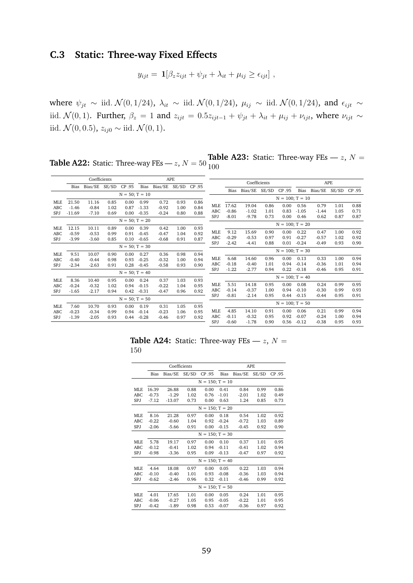# <span id="page-61-0"></span>**C.3 Static: Three-way Fixed Effects**

$$
y_{ijt} = \mathbf{1}[\beta_z z_{ijt} + \psi_{jt} + \lambda_{it} + \mu_{ij} \ge \epsilon_{ijt}],
$$

where  $\psi_{jt} \sim$  iid.  $\mathcal{N}(0, 1/24)$ ,  $\lambda_{it} \sim$  iid.  $\mathcal{N}(0, 1/24)$ ,  $\mu_{ij} \sim$  iid.  $\mathcal{N}(0, 1/24)$ , and  $\epsilon_{ijt} \sim$ iid.  $\mathcal{N}(0, 1)$ . Further,  $\beta_z = 1$  and  $z_{ijt} = 0.5z_{ijt-1} + \psi_{jt} + \lambda_{it} + \mu_{ij} + \nu_{ijt}$ , where  $\nu_{ijt} \sim$ iid.  $\mathcal{N}(0, 0.5)$ ,  $z_{ij0}$  ∼ iid.  $\mathcal{N}(0, 1)$ .

**Table A22:** Static: Three-way FEs —  $z$ ,  $N = 50$ **Table A23:** Static: Three-way FEs  $-z$ ,  $N =$ 100

|                   |                  | Coefficients       |              |                   |                    | APE                |              |              |            |                   |         | Coefficients |                   |         |         | <b>APE</b> |        |
|-------------------|------------------|--------------------|--------------|-------------------|--------------------|--------------------|--------------|--------------|------------|-------------------|---------|--------------|-------------------|---------|---------|------------|--------|
|                   | <b>Bias</b>      | Bias/SE SE/SD      |              | CP .95            | Bias               | Bias/SE            | SE/SD        | CP .95       |            |                   |         |              |                   |         |         |            |        |
|                   |                  |                    |              | $N = 50; T = 10$  |                    |                    |              |              |            | Bias              | Bias/SE | SE/SD        | CP .95            | Bias    | Bias/SE | SE/SD      | CP .95 |
|                   |                  |                    |              |                   |                    |                    |              |              |            |                   |         |              | $N = 100; T = 10$ |         |         |            |        |
| <b>MLE</b>        | 21.50<br>$-1.46$ | 11.16              | 0.85<br>1.02 | 0.00<br>0.87      | 0.99               | 0.72               | 0.93         | 0.86<br>0.84 | <b>MLE</b> | 17.62             | 19.04   | 0.86         | 0.00              | 0.56    | 0.79    | 1.01       | 0.88   |
| ABC<br><b>SPJ</b> | $-11.69$         | $-0.84$<br>$-7.10$ | 0.69         | 0.00              | $-1.33$<br>$-0.35$ | $-0.92$<br>$-0.24$ | 1.00<br>0.80 | 0.88         | ABC        | $-0.86$           | $-1.02$ | 1.01         | 0.83              | $-1.05$ | $-1.44$ | 1.05       | 0.71   |
|                   |                  |                    |              |                   |                    |                    |              |              | SPJ        | $-8.01$           | $-9.78$ | 0.73         | 0.00              | 0.46    | 0.62    | 0.87       | 0.87   |
|                   | $N = 50; T = 20$ |                    |              |                   |                    |                    |              |              |            | $N = 100; T = 20$ |         |              |                   |         |         |            |        |
| <b>MLE</b>        | 12.15            | 10.11              | 0.89         | 0.00              | 0.39               | 0.42               | 1.00         | 0.93         |            |                   |         |              |                   |         |         |            |        |
| <b>ABC</b>        | $-0.59$          | $-0.53$            | 0.99         | 0.91              | $-0.45$            | $-0.47$            | 1.04         | 0.92         | <b>MLE</b> | 9.12              | 15.69   | 0.90         | 0.00              | 0.22    | 0.47    | 1.00       | 0.92   |
| SPJ               | $-3.99$          | $-3.60$            | 0.85         | 0.10              | $-0.65$            | $-0.68$            | 0.91         | 0.87         | ABC        | $-0.29$           | $-0.53$ | 0.97         | 0.91              | $-0.27$ | $-0.57$ | 1.02       | 0.92   |
|                   |                  |                    |              | $N = 50; T = 30$  |                    |                    |              |              | SPJ        | $-2.42$           | $-4.41$ | 0.88         | 0.01              | $-0.24$ | $-0.49$ | 0.93       | 0.90   |
| <b>MLE</b>        | 9.51             | 10.07              | 0.90         | 0.00              | 0.27               | 0.36               | 0.98         | 0.94         |            |                   |         |              | $N = 100; T = 30$ |         |         |            |        |
| <b>ABC</b>        | $-0.40$          | $-0.44$            | 0.98         | 0.93              | $-0.25$            | $-0.32$            | 1.00         | 0.94         | <b>MLE</b> | 6.68              | 14.60   | 0.96         | 0.00              | 0.13    | 0.33    | 1.00       | 0.94   |
| SPJ               | $-2.34$          | $-2.63$            | 0.91         | 0.28              | $-0.45$            | $-0.58$            | 0.93         | 0.90         | ABC        | $-0.18$           | $-0.40$ | 1.01         | 0.94              | $-0.14$ | $-0.36$ | 1.01       | 0.94   |
|                   |                  |                    |              | $N = 50$ ; T = 40 |                    |                    |              |              | SPJ        | $-1.22$           | $-2.77$ | 0.94         | 0.22              | $-0.18$ | $-0.46$ | 0.95       | 0.91   |
|                   |                  |                    |              |                   |                    |                    |              |              |            |                   |         |              | $N = 100; T = 40$ |         |         |            |        |
| <b>MLE</b>        | 8.36             | 10.40              | 0.95         | 0.00              | 0.24               | 0.37               | 1.03         | 0.93         | <b>MLE</b> | 5.51              | 14.18   | 0.95         | 0.00              | 0.08    | 0.24    | 0.99       | 0.95   |
| <b>ABC</b>        | $-0.24$          | $-0.32$            | 1.02         | 0.94              | $-0.15$            | $-0.22$            | 1.04         | 0.95         | ABC        | $-0.14$           | $-0.37$ | 1.00         | 0.94              | $-0.10$ | $-0.30$ | 0.99       | 0.93   |
| <b>SPJ</b>        | $-1.65$          | $-2.17$            | 0.94         | 0.42              | $-0.31$            | $-0.47$            | 0.96         | 0.92         | SPJ        | $-0.81$           | $-2.14$ | 0.95         | 0.44              | $-0.15$ | $-0.44$ | 0.95       | 0.91   |
|                   | $N = 50; T = 50$ |                    |              |                   |                    |                    |              |              |            |                   |         |              |                   |         |         |            |        |
| <b>MLE</b>        | 7.60             | 10.70              | 0.93         | 0.00              | 0.19               | 0.31               | 1.05         | 0.95         |            |                   |         |              | $N = 100; T = 50$ |         |         |            |        |
| ABC               | $-0.23$          | $-0.34$            | 0.99         | 0.94              | $-0.14$            | $-0.23$            | 1.06         | 0.95         | <b>MLE</b> | 4.85              | 14.10   | 0.91         | 0.00              | 0.06    | 0.21    | 0.99       | 0.94   |
| SPJ               | $-1.39$          | $-2.05$            | 0.93         | 0.44              | $-0.28$            | $-0.46$            | 0.97         | 0.92         | ABC        | $-0.11$           | $-0.32$ | 0.95         | 0.92              | $-0.07$ | $-0.24$ | 1.00       | 0.94   |
|                   |                  |                    |              |                   |                    |                    |              |              | SPJ        | $-0.60$           | $-1.78$ | 0.90         | 0.56              | $-0.12$ | $-0.38$ | 0.95       | 0.93   |

**Table A24:** Static: Three-way FEs  $-z$ ,  $N =$ 150

|            |         | Coefficients         |       |                    | <b>APE</b> |         |       |        |  |  |  |
|------------|---------|----------------------|-------|--------------------|------------|---------|-------|--------|--|--|--|
|            | Bias    | Bias/SE              | SE/SD | CP .95             | Bias       | Bias/SE | SE/SD | CP .95 |  |  |  |
|            |         | $N = 150$ ; $T = 10$ |       |                    |            |         |       |        |  |  |  |
| <b>MLE</b> | 16.39   | 26.88                | 0.88  | 0.00               | 0.41       | 0.84    | 0.99  | 0.86   |  |  |  |
| ABC        | $-0.73$ | $-1.29$              | 1.02  | 0.76               | $-1.01$    | $-2.01$ | 1.02  | 0.49   |  |  |  |
| SPJ        | $-7.12$ | $-13.07$             | 0.73  | 0.00               | 0.63       | 1.24    | 0.85  | 0.73   |  |  |  |
|            |         | $N = 150$ ; $T = 20$ |       |                    |            |         |       |        |  |  |  |
| <b>MLE</b> | 8.16    | 21.28                | 0.97  | 0.00               | 0.18       | 0.54    | 1.02  | 0.92   |  |  |  |
| ABC        | $-0.22$ | $-0.60$              | 1.04  | 0.92               | $-0.24$    | $-0.72$ | 1.03  | 0.89   |  |  |  |
| SPJ        | $-2.06$ | $-5.66$              | 0.91  | 0.00               | $-0.15$    | $-0.45$ | 0.92  | 0.90   |  |  |  |
|            |         |                      |       | $N = 150$ ; T = 30 |            |         |       |        |  |  |  |
| <b>MLE</b> | 5.78    | 19.17                | 0.97  | 0.00               | 0.10       | 0.37    | 1.01  | 0.95   |  |  |  |
| <b>ABC</b> | $-0.12$ | $-0.41$              | 1.02  | 0.94               | $-0.11$    | $-0.41$ | 1.02  | 0.94   |  |  |  |
| SPJ        | $-0.98$ | $-3.36$              | 0.95  | 0.09               | $-0.13$    | $-0.47$ | 0.97  | 0.92   |  |  |  |
|            |         |                      |       | $N = 150$ ; T = 40 |            |         |       |        |  |  |  |
| <b>MLE</b> | 4.64    | 18.08                | 0.97  | 0.00               | 0.05       | 0.22    | 1.03  | 0.94   |  |  |  |
| ABC        | $-0.10$ | $-0.40$              | 1.01  | 0.93               | $-0.08$    | $-0.36$ | 1.03  | 0.94   |  |  |  |
| SPJ        | $-0.62$ | $-2.46$              | 0.96  | 0.32               | $-0.11$    | $-0.46$ | 0.99  | 0.92   |  |  |  |
|            |         |                      |       | $N = 150$ : T = 50 |            |         |       |        |  |  |  |
| <b>MLE</b> | 4.01    | 17.65                | 1.01  | 0.00               | 0.05       | 0.24    | 1.01  | 0.95   |  |  |  |
| <b>ABC</b> | $-0.06$ | $-0.27$              | 1.05  | 0.95               | $-0.05$    | $-0.22$ | 1.01  | 0.95   |  |  |  |
| SPJ        | $-0.42$ | $-1.89$              | 0.98  | 0.53               | $-0.07$    | $-0.36$ | 0.97  | 0.92   |  |  |  |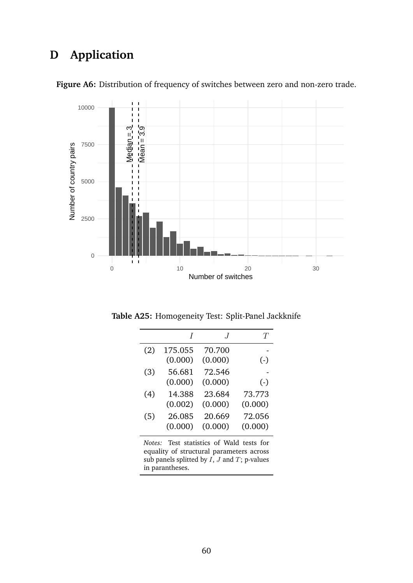# <span id="page-62-1"></span>**D Application**



<span id="page-62-0"></span>Figure A6: Distribution of frequency of switches between zero and non-zero trade.

<span id="page-62-2"></span>**Table A25:** Homogeneity Test: Split-Panel Jackknife

|     | $\prime$           | $\cdot$           | Ŧ                 |
|-----|--------------------|-------------------|-------------------|
| (2) | 175.055<br>(0.000) | 70.700<br>(0.000) | $(-)$             |
| (3) | 56.681<br>(0.000)  | 72.546<br>(0.000) | $(-)$             |
| (4) | 14.388<br>(0.002)  | 23.684<br>(0.000) | 73.773<br>(0.000) |
| (5) | 26.085<br>(0.000)  | 20.669<br>(0.000) | 72.056<br>(0.000) |

*Notes:* Test statistics of Wald tests for equality of structural parameters across sub panels splitted by  $\overrightarrow{I}$ ,  $\overrightarrow{J}$  and  $\overrightarrow{T}$ ; p-values in parantheses.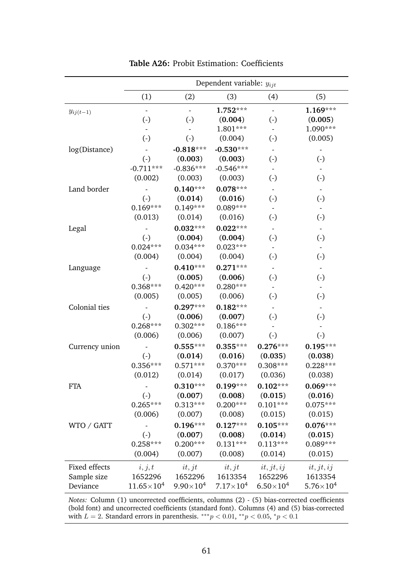<span id="page-63-0"></span>

|                              |                        |                        | Dependent variable: $y_{ijt}$ |                        |                        |
|------------------------------|------------------------|------------------------|-------------------------------|------------------------|------------------------|
|                              | (1)                    | (2)                    | (3)                           | (4)                    | (5)                    |
| $y_{ij(t-1)}$                | $\Box$                 | $\Box$                 | 1.752***                      | $\Box$                 | $1.169***$             |
|                              | $\left( \cdot \right)$ | $\left( \cdot \right)$ | (0.004)                       | $(\cdot)$              | (0.005)                |
|                              |                        |                        | $1.801***$                    | $\blacksquare$         | 1.090***               |
|                              | $\left( \cdot \right)$ | $\left( \cdot \right)$ | (0.004)                       | $(\cdot)$              | (0.005)                |
| log(Distance)                |                        | $-0.818***$            | $-0.530***$                   | $\blacksquare$         |                        |
|                              | $(\cdot)$              | (0.003)                | (0.003)                       | $(\cdot)$              | $\left( \cdot \right)$ |
|                              | $-0.711***$            | $-0.836***$            | $-0.546***$                   |                        |                        |
|                              | (0.002)                | (0.003)                | (0.003)                       | $(\cdot)$              | $(\cdot)$              |
| Land border                  |                        | $0.140***$             | $0.078***$                    |                        |                        |
|                              | $\left( \cdot \right)$ | (0.014)                | (0.016)                       | $(\cdot)$              | $(\cdot)$              |
|                              | $0.169***$             | $0.149***$             | $0.089***$                    |                        |                        |
|                              | (0.013)                | (0.014)                | (0.016)                       | $(\cdot)$              | $(\cdot)$              |
| Legal                        |                        | $0.032***$             | $0.022***$                    | $\blacksquare$         | $\blacksquare$         |
|                              | $\left( \cdot \right)$ | (0.004)                | (0.004)                       | $(\cdot)$              | $\left( \cdot \right)$ |
|                              | $0.024***$             | $0.034***$             | $0.023***$                    |                        |                        |
|                              | (0.004)                | (0.004)                | (0.004)                       | $(\cdot)$              | $(\cdot)$              |
| Language                     |                        | $0.410***$             | $0.271***$                    |                        |                        |
|                              | $\left( -\right)$      | (0.005)                | (0.006)                       | $(\cdot)$              | $\left( \cdot \right)$ |
|                              | $0.368***$             | $0.420***$             | $0.280***$                    |                        |                        |
|                              | (0.005)                | (0.005)                | (0.006)                       | $\left( \cdot \right)$ | $(\cdot)$              |
| Colonial ties                |                        | $0.297***$             | $0.182***$                    |                        |                        |
|                              | $\left( \cdot \right)$ | (0.006)                | (0.007)                       | $(\cdot)$              | $(\cdot)$              |
|                              | $0.268***$             | $0.302***$             | $0.186***$                    |                        |                        |
|                              | (0.006)                | (0.006)                | (0.007)                       | $\left( \cdot \right)$ | $(\cdot)$              |
| Currency union               |                        | $0.555***$             | $0.355***$                    | $0.276***$             | $0.195***$             |
|                              | $\left( \cdot \right)$ | (0.014)                | (0.016)                       | (0.035)                | (0.038)                |
|                              | $0.356***$             | $0.571***$             | $0.370***$                    | $0.308***$             | $0.228***$             |
|                              | (0.012)                | (0.014)                | (0.017)                       | (0.036)                | (0.038)                |
| FTA                          |                        | $0.310***$             | $0.199***$                    | $0.102***$             | $0.069***$             |
|                              | $(\cdot)$              | (0.007)                | (0.008)                       | (0.015)                | (0.016)                |
|                              | $0.265***$             | $0.313***$             | $0.200***$                    | $0.101***$             | $0.075***$             |
|                              | (0.006)                | (0.007)                | (0.008)                       | (0.015)                | (0.015)                |
| WTO / GATT                   |                        | $0.196***$             | $0.127***$                    | $0.105***$             | $0.076***$             |
|                              | $\left( \cdot \right)$ | (0.007)                | (0.008)                       | (0.014)                | (0.015)                |
|                              | $0.258***$             | $0.200***$             | $0.131***$                    | $0.113***$             | $0.089***$             |
|                              | (0.004)                | (0.007)                | (0.008)                       | (0.014)                | (0.015)                |
|                              | i, j, t                | it, jt                 | it, jt                        | $it, j_t, ij$          | $it, j_t, ij$          |
|                              |                        |                        |                               |                        |                        |
| Fixed effects<br>Sample size | 1652296                | 1652296                | 1613354                       | 1652296                | 1613354                |

**Table A26:** Probit Estimation: Coefficients

*Notes:* Column (1) uncorrected coefficients, columns (2) - (5) bias-corrected coefficients (bold font) and uncorrected coefficients (standard font). Columns (4) and (5) bias-corrected with  $L = 2$ . Standard errors in parenthesis. \*\*\*  $p < 0.01$ , \*\*  $p < 0.05$ , \*  $p < 0.1$